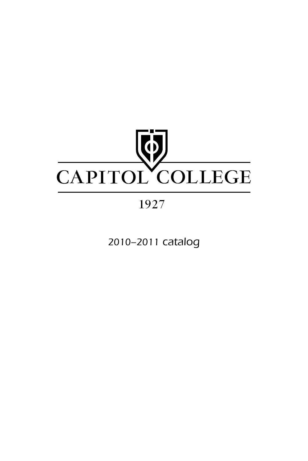

## 1927

2010–2011 catalog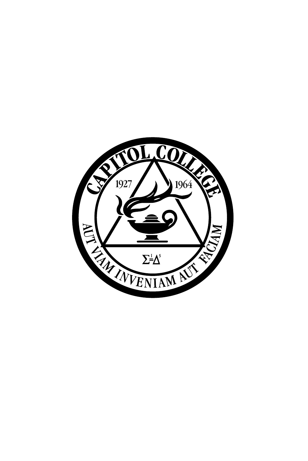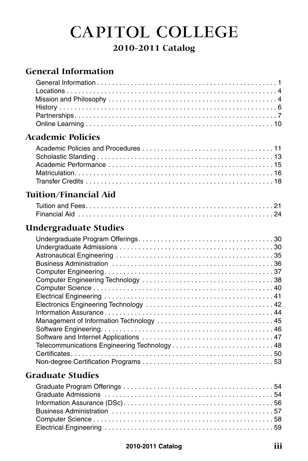# **CAPITOL COLLEGE**

## **2010-2011 Catalog**

## **General Information**

## **Academic Policies**

## **Tuition/Financial Aid**

## **Undergraduate Studies**

| Telecommunications Engineering Technology 48 |
|----------------------------------------------|
|                                              |
|                                              |

## **Graduate Studies**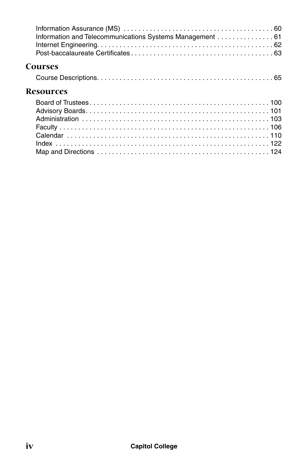| Information and Telecommunications Systems Management  61 |  |
|-----------------------------------------------------------|--|
| Courses                                                   |  |
|                                                           |  |
| <b>Resources</b>                                          |  |
|                                                           |  |
|                                                           |  |
|                                                           |  |
|                                                           |  |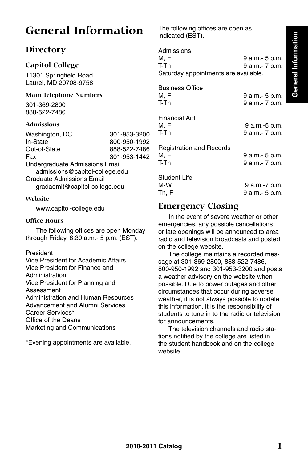## **General Information**

## **Directory**

#### **Capitol College**

11301 Springfield Road Laurel, MD 20708-9758

#### **Main Telephone Numbers**

301-369-2800 888-522-7486

#### **Admissions**

| Washington, DC                                                    | 301-953-3200 |  |
|-------------------------------------------------------------------|--------------|--|
| In-State                                                          | 800-950-1992 |  |
| Out-of-State                                                      | 888-522-7486 |  |
| Fax                                                               | 301-953-1442 |  |
| Undergraduate Admissions Email<br>admissions@capitol-college.edu  |              |  |
| <b>Graduate Admissions Email</b><br>gradadmit@capitol-college.edu |              |  |
|                                                                   |              |  |

#### **Website**

www.capitol-college.edu

#### **Office Hours**

The following offices are open Monday through Friday, 8:30 a.m.- 5 p.m. (EST).

#### President

Vice President for Academic Affairs Vice President for Finance and **Administration** Vice President for Planning and Assessment Administration and Human Resources Advancement and Alumni Services Career Services\* Office of the Deans Marketing and Communications

\*Evening appointments are available.

The following offices are open as indicated (EST).

| Admissions<br>M. F<br>T-Th<br>Saturday appointments are available. | 9 a.m.- 5 p.m.<br>9 a.m.- 7 p.m. |
|--------------------------------------------------------------------|----------------------------------|
| <b>Business Office</b><br>M. F<br>T-Th                             | 9 a.m.- 5 p.m.<br>9 a.m.- 7 p.m. |
| Financial Aid<br>M. F<br>T-Th                                      | 9 a.m.-5 p.m.<br>9 a.m.- 7 p.m.  |
| <b>Registration and Records</b><br>M. F<br>T-Th                    | 9 a.m.- 5 p.m.<br>9 a.m.- 7 p.m. |
| Student Life<br>M-W<br>Th, F                                       | 9 a.m.-7 p.m.<br>9 a.m.- 5 p.m.  |
| Emergency Closing                                                  |                                  |

## **Emergency Closing**

In the event of severe weather or other emergencies, any possible cancellations or late openings will be announced to area radio and television broadcasts and posted on the college website.

The college maintains a recorded message at 301-369-2800, 888-522-7486, 800-950-1992 and 301-953-3200 and posts a weather advisory on the website when possible. Due to power outages and other circumstances that occur during adverse weather, it is not always possible to update this information. It is the responsibility of students to tune in to the radio or television for announcements.

The television channels and radio stations notified by the college are listed in the student handbook and on the college website.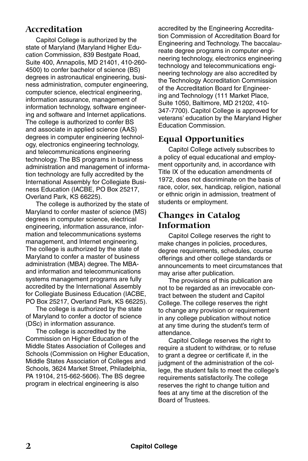### **Accreditation**

Capitol College is authorized by the state of Maryland (Maryland Higher Education Commission, 839 Bestgate Road, Suite 400, Annapolis, MD 21401, 410-260- 4500) to confer bachelor of science (BS) degrees in astronautical engineering, business administration, computer engineering, computer science, electrical engineering, information assurance, management of information technology, software engineering and software and Internet applications. The college is authorized to confer BS and associate in applied science (AAS) degrees in computer engineering technology, electronics engineering technology, and telecommunications engineering technology. The BS programs in business administration and management of information technology are fully accredited by the International Assembly for Collegiate Business Education (IACBE, PO Box 25217, Overland Park, KS 66225).

The college is authorized by the state of Maryland to confer master of science (MS) degrees in computer science, electrical engineering, information assurance, information and telecommunications systems management, and Internet engineering. The college is authorized by the state of Maryland to confer a master of business administration (MBA) degree. The MBAand information and telecommunications systems management programs are fully accredited by the International Assembly for Collegiate Business Education (IACBE, PO Box 25217, Overland Park, KS 66225).

The college is authorized by the state of Maryland to confer a doctor of science (DSc) in information assurance.

The college is accredited by the Commission on Higher Education of the Middle States Association of Colleges and Schools (Commission on Higher Education, Middle States Association of Colleges and Schools, 3624 Market Street, Philadelphia, PA 19104, 215-662-5606). The BS degree program in electrical engineering is also

accredited by the Engineering Accreditation Commission of Accreditation Board for Engineering and Technology. The baccalaureate degree programs in computer engineering technology, electronics engineering technology and telecommunications engineering technology are also accredited by the Technology Accreditation Commission of the Accreditation Board for Engineering and Technology (111 Market Place, Suite 1050, Baltimore, MD 21202, 410- 347-7700). Capitol College is approved for veterans' education by the Maryland Higher Education Commission.

## **Equal Opportunities**

Capitol College actively subscribes to a policy of equal educational and employment opportunity and, in accordance with Title IX of the education amendments of 1972, does not discriminate on the basis of race, color, sex, handicap, religion, national or ethnic origin in admission, treatment of students or employment.

### **Changes in Catalog Information**

Capitol College reserves the right to make changes in policies, procedures, degree requirements, schedules, course offerings and other college standards or announcements to meet circumstances that may arise after publication.

The provisions of this publication are not to be regarded as an irrevocable contract between the student and Capitol College. The college reserves the right to change any provision or requirement in any college publication without notice at any time during the student's term of attendance.

Capitol College reserves the right to require a student to withdraw, or to refuse to grant a degree or certificate if, in the judgment of the administration of the college, the student fails to meet the college's requirements satisfactorily. The college reserves the right to change tuition and fees at any time at the discretion of the Board of Trustees.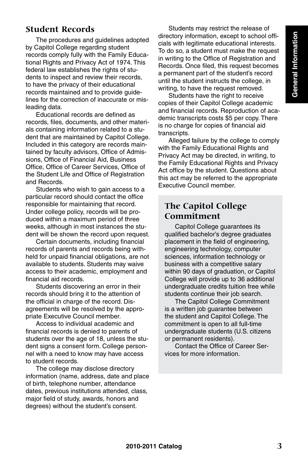## **Student Records**

The procedures and guidelines adopted by Capitol College regarding student records comply fully with the Family Educational Rights and Privacy Act of 1974. This federal law establishes the rights of students to inspect and review their records, to have the privacy of their educational records maintained and to provide guidelines for the correction of inaccurate or misleading data.

Educational records are defined as records, files, documents, and other materials containing information related to a student that are maintained by Capitol College. Included in this category are records maintained by faculty advisors, Office of Admissions, Office of Financial Aid, Business Office, Office of Career Services, Office of the Student Life and Office of Registration and Records.

Students who wish to gain access to a particular record should contact the office responsible for maintaining that record. Under college policy, records will be produced within a maximum period of three weeks, although in most instances the student will be shown the record upon request.

Certain documents, including financial records of parents and records being withheld for unpaid financial obligations, are not available to students. Students may waive access to their academic, employment and financial aid records.

Students discovering an error in their records should bring it to the attention of the official in charge of the record. Disagreements will be resolved by the appropriate Executive Council member.

Access to individual academic and financial records is denied to parents of students over the age of 18, unless the student signs a consent form. College personnel with a need to know may have access to student records.

The college may disclose directory information (name, address, date and place of birth, telephone number, attendance dates, previous institutions attended, class, major field of study, awards, honors and degrees) without the student's consent.

Students may restrict the release of directory information, except to school officials with legitimate educational interests. To do so, a student must make the request in writing to the Office of Registration and Records. Once filed, this request becomes a permanent part of the student's record until the student instructs the college, in writing, to have the request removed.

Students have the right to receive copies of their Capitol College academic and financial records. Reproduction of academic transcripts costs \$5 per copy. There is no charge for copies of financial aid transcripts.

Alleged failure by the college to comply with the Family Educational Rights and Privacy Act may be directed, in writing, to the Family Educational Rights and Privacy Act office by the student. Questions about this act may be referred to the appropriate Executive Council member.

## **The Capitol College Commitment**

Capitol College guarantees its qualified bachelor's degree graduates placement in the field of engineering, engineering technology, computer sciences, information technology or business with a competitive salary within 90 days of graduation, or Capitol College will provide up to 36 additional undergraduate credits tuition free while students continue their job search.

The Capitol College Commitment is a written job guarantee between the student and Capitol College. The commitment is open to all full-time undergraduate students (U.S. citizens or permanent residents).

Contact the Office of Career Services for more information.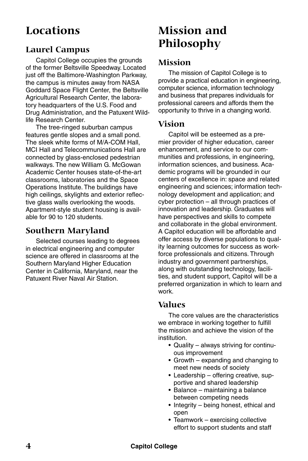## **Locations**

## **Laurel Campus**

Capitol College occupies the grounds of the former Beltsville Speedway. Located just off the Baltimore-Washington Parkway, the campus is minutes away from NASA Goddard Space Flight Center, the Beltsville Agricultural Research Center, the laboratory headquarters of the U.S. Food and Drug Administration, and the Patuxent Wildlife Research Center.

The tree-ringed suburban campus features gentle slopes and a small pond. The sleek white forms of M/A-COM Hall, MCI Hall and Telecommunications Hall are connected by glass-enclosed pedestrian walkways. The new William G. McGowan Academic Center houses state-of-the-art classrooms, laboratories and the Space Operations Institute. The buildings have high ceilings, skylights and exterior reflective glass walls overlooking the woods. Apartment-style student housing is available for 90 to 120 students.

## **Southern Maryland**

Selected courses leading to degrees in electrical engineering and computer science are offered in classrooms at the Southern Maryland Higher Education Center in California, Maryland, near the Patuxent River Naval Air Station.

## **Mission and Philosophy**

## **Mission**

The mission of Capitol College is to provide a practical education in engineering, computer science, information technology and business that prepares individuals for professional careers and affords them the opportunity to thrive in a changing world.

## **Vision**

Capitol will be esteemed as a premier provider of higher education, career enhancement, and service to our communities and professions, in engineering, information sciences, and business. Academic programs will be grounded in our centers of excellence in: space and related engineering and sciences; information technology development and application; and cyber protection – all through practices of innovation and leadership. Graduates will have perspectives and skills to compete and collaborate in the global environment. A Capitol education will be affordable and offer access by diverse populations to quality learning outcomes for success as workforce professionals and citizens. Through industry and government partnerships, along with outstanding technology, facilities, and student support, Capitol will be a preferred organization in which to learn and work.

## **Values**

The core values are the characteristics we embrace in working together to fulfill the mission and achieve the vision of the institution.

- Quality always striving for continuous improvement
- Growth expanding and changing to meet new needs of society
- Leadership offering creative, supportive and shared leadership
- Balance maintaining a balance between competing needs
- Integrity being honest, ethical and open
- Teamwork exercising collective effort to support students and staff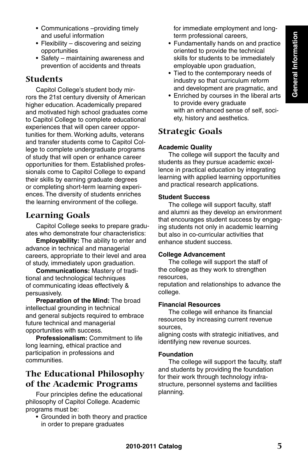- Communications –providing timely and useful information
- Flexibility discovering and seizing opportunities
- Safety maintaining awareness and prevention of accidents and threats

### **Students**

Capitol College's student body mirrors the 21st century diversity of American higher education. Academically prepared and motivated high school graduates come to Capitol College to complete educational experiences that will open career opportunities for them. Working adults, veterans and transfer students come to Capitol College to complete undergraduate programs of study that will open or enhance career opportunities for them. Established professionals come to Capitol College to expand their skills by earning graduate degrees or completing short-term learning experiences. The diversity of students enriches the learning environment of the college.

## **Learning Goals**

Capitol College seeks to prepare graduates who demonstrate four characteristics:

**Employability:** The ability to enter and advance in technical and managerial careers, appropriate to their level and area of study, immediately upon graduation.

**Communications:** Mastery of traditional and technological techniques of communicating ideas effectively & persuasively.

**Preparation of the Mind:** The broad intellectual grounding in technical and general subjects required to embrace future technical and managerial opportunities with success.

**Professionalism:** Commitment to life long learning, ethical practice and participation in professions and communities.

### **The Educational Philosophy of the Academic Programs**

Four principles define the educational philosophy of Capitol College. Academic programs must be:

• Grounded in both theory and practice in order to prepare graduates

for immediate employment and longterm professional careers,

- Fundamentally hands on and practice oriented to provide the technical skills for students to be immediately employable upon graduation,
- Tied to the contemporary needs of industry so that curriculum reform and development are pragmatic, and
- Enriched by courses in the liberal arts to provide every graduate with an enhanced sense of self, society, history and aesthetics.

## **Strategic Goals**

#### **Academic Quality**

The college will support the faculty and students as they pursue academic excellence in practical education by integrating learning with applied learning opportunities and practical research applications.

#### **Student Success**

The college will support faculty, staff and alumni as they develop an environment that encourages student success by engaging students not only in academic learning but also in co-curricular activities that enhance student success.

#### **College Advancement**

The college will support the staff of the college as they work to strengthen resources,

reputation and relationships to advance the college.

#### **Financial Resources**

The college will enhance its financial resources by increasing current revenue sources,

aligning costs with strategic initiatives, and identifying new revenue sources.

#### **Foundation**

The college will support the faculty, staff and students by providing the foundation for their work through technology infrastructure, personnel systems and facilities planning.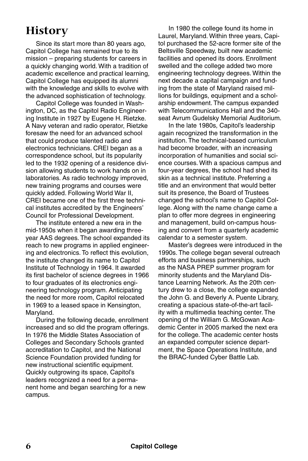## **History**

Since its start more than 80 years ago, Capitol College has remained true to its mission – preparing students for careers in a quickly changing world. With a tradition of academic excellence and practical learning, Capitol College has equipped its alumni with the knowledge and skills to evolve with the advanced sophistication of technology.

Capitol College was founded in Washington, DC, as the Capitol Radio Engineering Institute in 1927 by Eugene H. Rietzke. A Navy veteran and radio operator, Rietzke foresaw the need for an advanced school that could produce talented radio and electronics technicians. CREI began as a correspondence school, but its popularity led to the 1932 opening of a residence division allowing students to work hands on in laboratories. As radio technology improved, new training programs and courses were quickly added. Following World War II, CREI became one of the first three technical institutes accredited by the Engineers' Council for Professional Development.

The institute entered a new era in the mid-1950s when it began awarding threeyear AAS degrees. The school expanded its reach to new programs in applied engineering and electronics. To reflect this evolution, the institute changed its name to Capitol Institute of Technology in 1964. It awarded its first bachelor of science degrees in 1966 to four graduates of its electronics engineering technology program. Anticipating the need for more room, Capitol relocated in 1969 to a leased space in Kensington, Maryland.

During the following decade, enrollment increased and so did the program offerings. In 1976 the Middle States Association of Colleges and Secondary Schools granted accreditation to Capitol, and the National Science Foundation provided funding for new instructional scientific equipment. Quickly outgrowing its space, Capitol's leaders recognized a need for a permanent home and began searching for a new campus.

In 1980 the college found its home in Laurel, Maryland. Within three years, Capitol purchased the 52-acre former site of the Beltsville Speedway, built new academic facilities and opened its doors. Enrollment swelled and the college added two more engineering technology degrees. Within the next decade a capital campaign and funding from the state of Maryland raised millions for buildings, equipment and a scholarship endowment. The campus expanded with Telecommunications Hall and the 340 seat Avrum Gudelsky Memorial Auditorium.

In the late 1980s, Capitol's leadership again recognized the transformation in the institution. The technical-based curriculum had become broader, with an increasing incorporation of humanities and social science courses. With a spacious campus and four-year degrees, the school had shed its skin as a technical institute. Preferring a title and an environment that would better suit its presence, the Board of Trustees changed the school's name to Capitol College. Along with the name change came a plan to offer more degrees in engineering and management, build on-campus housing and convert from a quarterly academic calendar to a semester system.

Master's degrees were introduced in the 1990s. The college began several outreach efforts and business partnerships, such as the NASA PREP summer program for minority students and the Maryland Distance Learning Network. As the 20th century drew to a close, the college expanded the John G. and Beverly A. Puente Library, creating a spacious state-of-the-art facility with a multimedia teaching center. The opening of the William G. McGowan Academic Center in 2005 marked the next era for the college. The academic center hosts an expanded computer science department, the Space Operations Institute, and the BRAC-funded Cyber Battle Lab.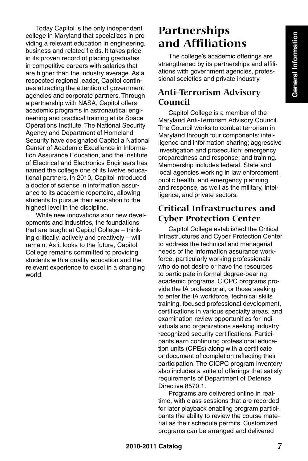Today Capitol is the only independent college in Maryland that specializes in providing a relevant education in engineering, business and related fields. It takes pride in its proven record of placing graduates in competitive careers with salaries that are higher than the industry average. As a respected regional leader, Capitol continues attracting the attention of government agencies and corporate partners. Through a partnership with NASA, Capitol offers academic programs in astronautical engineering and practical training at its Space Operations Institute. The National Security Agency and Department of Homeland Security have designated Capitol a National Center of Academic Excellence in Information Assurance Education, and the Institute of Electrical and Electronics Engineers has named the college one of its twelve educational partners. In 2010, Capitol introduced a doctor of science in information assurance to its academic repertoire, allowing students to pursue their education to the highest level in the discipline.

While new innovations spur new developments and industries, the foundations that are taught at Capitol College – thinking critically, actively and creatively – will remain. As it looks to the future, Capitol College remains committed to providing students with a quality education and the relevant experience to excel in a changing world.

## **Partnerships and Affiliations**

The college's academic offerings are strengthened by its partnerships and affiliations with government agencies, professional societies and private industry.

## **Anti-Terrorism Advisory Council**

Capitol College is a member of the Maryland Anti-Terrorism Advisory Council. The Council works to combat terrorism in Maryland through four components: intelligence and information sharing; aggressive investigation and prosecution; emergency preparedness and response; and training. Membership includes federal, State and local agencies working in law enforcement, public health, and emergency planning and response, as well as the military, intelligence, and private sectors.

## **Critical Infrastructures and Cyber Protection Center**

Capitol College established the Critical Infrastructures and Cyber Protection Center to address the technical and managerial needs of the information assurance workforce, particularly working professionals who do not desire or have the resources to participate in formal degree-bearing academic programs. CICPC programs provide the IA professional, or those seeking to enter the IA workforce, technical skills training, focused professional development, certifications in various specialty areas, and examination review opportunities for individuals and organizations seeking industry recognized security certifications. Participants earn continuing professional education units (CPEs) along with a certificate or document of completion reflecting their participation. The CICPC program inventory also includes a suite of offerings that satisfy requirements of Department of Defense Directive 8570.1.

Programs are delivered online in realtime, with class sessions that are recorded for later playback enabling program participants the ability to review the course material as their schedule permits. Customized programs can be arranged and delivered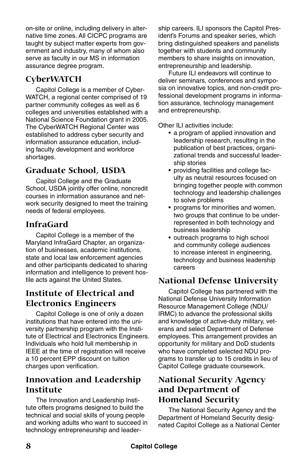on-site or online, including delivery in alternative time zones. All CICPC programs are taught by subject matter experts from government and industry, many of whom also serve as faculty in our MS in information assurance degree program.

## **CyberWATCH**

Capitol College is a member of Cyber-WATCH, a regional center comprised of 19 partner community colleges as well as 6 colleges and universities established with a National Science Foundation grant in 2005. The CyberWATCH Regional Center was established to address cyber security and information assurance education, including faculty development and workforce shortages.

## **Graduate School, USDA**

Capitol College and the Graduate School, USDA jointly offer online, noncredit courses in information assurance and network security designed to meet the training needs of federal employees.

## **InfraGard**

Capitol College is a member of the Maryland InfraGard Chapter, an organization of businesses, academic institutions, state and local law enforcement agencies and other participants dedicated to sharing information and intelligence to prevent hostile acts against the United States.

## **Institute of Electrical and Electronics Engineers**

Capitol College is one of only a dozen institutions that have entered into the university partnership program with the Institute of Electrical and Electronics Engineers. Individuals who hold full membership in IEEE at the time of registration will receive a 10 percent EPP discount on tuition charges upon verification.

## **Innovation and Leadership Institute**

The Innovation and Leadership Institute offers programs designed to build the technical and social skills of young people and working adults who want to succeed in technology entrepreneurship and leadership careers. ILI sponsors the Capitol President's Forums and speaker series, which bring distinguished speakers and panelists together with students and community members to share insights on innovation, entrepreneurship and leadership.

Future ILI endeavors will continue to deliver seminars, conferences and symposia on innovative topics, and non-credit professional development programs in information assurance, technology management and entrepreneurship.

Other II Lactivities include:

- a program of applied innovation and leadership research, resulting in the publication of best practices, organizational trends and successful leadership stories
- providing facilities and college faculty as neutral resources focused on bringing together people with common technology and leadership challenges to solve problems
- programs for minorities and women, two groups that continue to be underrepresented in both technology and business leadership
- outreach programs to high school and community college audiences to increase interest in engineering, technology and business leadership careers

## **National Defense University**

Capitol College has partnered with the National Defense University Information Resource Management College (NDU/ IRMC) to advance the professional skills and knowledge of active-duty military, veterans and select Department of Defense employees. This arrangement provides an opportunity for military and DoD students who have completed selected NDU programs to transfer up to 15 credits in lieu of Capitol College graduate coursework.

## **National Security Agency and Department of Homeland Security**

The National Security Agency and the Department of Homeland Security designated Capitol College as a National Center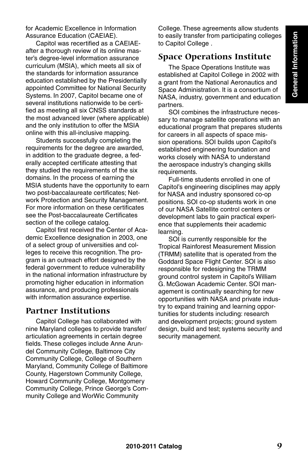for Academic Excellence in Information Assurance Education (CAEIAE).

Capitol was recertified as a CAEIAEafter a thorough review of its online master's degree-level information assurance curriculum (MSIA), which meets all six of the standards for information assurance education established by the Presidentially appointed Committee for National Security Systems. In 2007, Capitol became one of several institutions nationwide to be certified as meeting all six CNSS standards at the most advanced lever (where applicable) and the only institution to offer the MSIA online with this all-inclusive mapping.

Students successfully completing the requirements for the degree are awarded, in addition to the graduate degree, a federally accepted certificate attesting that they studied the requirements of the six domains. In the process of earning the MSIA students have the opportunity to earn two post-baccalaureate certificates; Network Protection and Security Management. For more information on these certificates see the Post-baccalaureate Certificates section of the college catalog.

Capitol first received the Center of Academic Excellence designation in 2003, one of a select group of universities and colleges to receive this recognition. The program is an outreach effort designed by the federal government to reduce vulnerability in the national information infrastructure by promoting higher education in information assurance, and producing professionals with information assurance expertise.

#### **Partner Institutions**

Capitol College has collaborated with nine Maryland colleges to provide transfer/ articulation agreements in certain degree fields. These colleges include Anne Arundel Community College, Baltimore City Community College, College of Southern Maryland, Community College of Baltimore County, Hagerstown Community College, Howard Community College, Montgomery Community College, Prince George's Community College and WorWic Community

College. These agreements allow students to easily transfer from participating colleges to Capitol College .

### **Space Operations Institute**

The Space Operations Institute was established at Capitol College in 2002 with a grant from the National Aeronautics and Space Administration. It is a consortium of NASA, industry, government and education partners.

SOI combines the infrastructure necessary to manage satellite operations with an educational program that prepares students for careers in all aspects of space mission operations. SOI builds upon Capitol's established engineering foundation and works closely with NASA to understand the aerospace industry's changing skills requirements.

Full-time students enrolled in one of Capitol's engineering disciplines may apply for NASA and industry sponsored co-op positions. SOI co-op students work in one of our NASA Satellite control centers or development labs to gain practical experience that supplements their academic learning.

SOI is currently responsible for the Tropical Rainforest Measurement Mission (TRMM) satellite that is operated from the Goddard Space Flight Center. SOI is also responsible for redesigning the TRMM ground control system in Capitol's William G. McGowan Academic Center. SOI management is continually searching for new opportunities with NASA and private industry to expand training and learning opportunities for students including: research and development projects; ground system design, build and test; systems security and security management.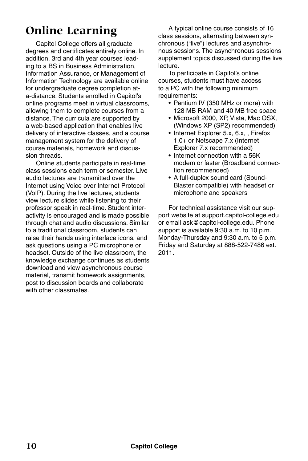## **Online Learning**

Capitol College offers all graduate degrees and certificates entirely online. In addition, 3rd and 4th year courses leading to a BS in Business Administration, Information Assurance, or Management of Information Technology are available online for undergraduate degree completion ata-distance. Students enrolled in Capitol's online programs meet in virtual classrooms, allowing them to complete courses from a distance. The curricula are supported by a web-based application that enables live delivery of interactive classes, and a course management system for the delivery of course materials, homework and discussion threads.

Online students participate in real-time class sessions each term or semester. Live audio lectures are transmitted over the Internet using Voice over Internet Protocol (VoIP). During the live lectures, students view lecture slides while listening to their professor speak in real-time. Student interactivity is encouraged and is made possible through chat and audio discussions. Similar to a traditional classroom, students can raise their hands using interface icons, and ask questions using a PC microphone or headset. Outside of the live classroom, the knowledge exchange continues as students download and view asynchronous course material, transmit homework assignments, post to discussion boards and collaborate with other classmates.

A typical online course consists of 16 class sessions, alternating between synchronous ("live") lectures and asynchronous sessions. The asynchronous sessions supplement topics discussed during the live lecture.

To participate in Capitol's online courses, students must have access to a PC with the following minimum requirements:

- Pentium IV (350 MHz or more) with 128 MB RAM and 40 MB free space
- Microsoft 2000, XP, Vista, Mac OSX, (Windows XP (SP2) recommended)
- Internet Explorer 5.x, 6.x, , Firefox 1.0+ or Netscape 7.x (Internet Explorer 7.x recommended)
- Internet connection with a 56K modem or faster (Broadband connection recommended)
- A full-duplex sound card (Sound-Blaster compatible) with headset or microphone and speakers

For technical assistance visit our support website at support.capitol-college.edu or email ask@capitol-college.edu. Phone support is available 9:30 a.m. to 10 p.m. Monday-Thursday and 9:30 a.m. to 5 p.m. Friday and Saturday at 888-522-7486 ext. 2011.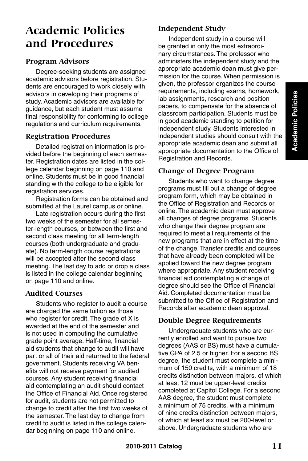## **Academic Policies and Procedures**

#### **Program Advisors**

Degree-seeking students are assigned academic advisors before registration. Students are encouraged to work closely with advisors in developing their programs of study. Academic advisors are available for guidance, but each student must assume final responsibility for conforming to college regulations and curriculum requirements.

#### **Registration Procedures**

Detailed registration information is provided before the beginning of each semester. Registration dates are listed in the college calendar beginning on page 110 and online. Students must be in good financial standing with the college to be eligible for registration services.

Registration forms can be obtained and submitted at the Laurel campus or online.

Late registration occurs during the first two weeks of the semester for all semester-length courses, or between the first and second class meeting for all term-length courses (both undergraduate and graduate). No term-length course registrations will be accepted after the second class meeting. The last day to add or drop a class is listed in the college calendar beginning on page 110 and online.

#### **Audited Courses**

Students who register to audit a course are charged the same tuition as those who register for credit. The grade of X is awarded at the end of the semester and is not used in computing the cumulative grade point average. Half-time, financial aid students that change to audit will have part or all of their aid returned to the federal government. Students receiving VA benefits will not receive payment for audited courses. Any student receiving financial aid contemplating an audit should contact the Office of Financial Aid. Once registered for audit, students are not permitted to change to credit after the first two weeks of the semester. The last day to change from credit to audit is listed in the college calendar beginning on page 110 and online.

### **Independent Study**

Independent study in a course will be granted in only the most extraordinary circumstances. The professor who administers the independent study and the appropriate academic dean must give permission for the course. When permission is given, the professor organizes the course requirements, including exams, homework, lab assignments, research and position papers, to compensate for the absence of classroom participation. Students must be in good academic standing to petition for independent study. Students interested in independent studies should consult with the appropriate academic dean and submit all appropriate documentation to the Office of Registration and Records.

#### **Change of Degree Program**

Students who want to change degree programs must fill out a change of degree program form, which may be obtained in the Office of Registration and Records or online. The academic dean must approve all changes of degree programs. Students who change their degree program are required to meet all requirements of the new programs that are in effect at the time of the change. Transfer credits and courses that have already been completed will be applied toward the new degree program where appropriate. Any student receiving financial aid contemplating a change of degree should see the Office of Financial Aid. Completed documentation must be submitted to the Office of Registration and Records after academic dean approval.

#### **Double Degree Requirements**

Undergraduate students who are currently enrolled and want to pursue two degrees (AAS or BS) must have a cumulative GPA of 2.5 or higher. For a second BS degree, the student must complete a minimum of 150 credits, with a minimum of 18 credits distinction between majors, of which at least 12 must be upper-level credits completed at Capitol College. For a second AAS degree, the student must complete a minimum of 75 credits, with a minimum of nine credits distinction between majors, of which at least six must be 200-level or above. Undergraduate students who are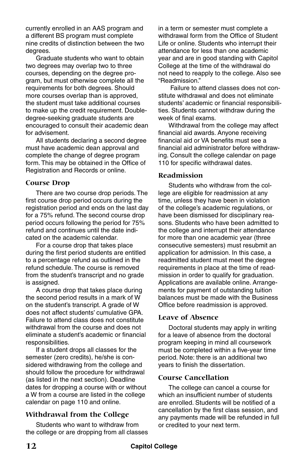currently enrolled in an AAS program and a different BS program must complete nine credits of distinction between the two degrees.

Graduate students who want to obtain two degrees may overlap two to three courses, depending on the degree program, but must otherwise complete all the requirements for both degrees. Should more courses overlap than is approved, the student must take additional courses to make up the credit requirement. Doubledegree-seeking graduate students are encouraged to consult their academic dean for advisement.

All students declaring a second degree must have academic dean approval and complete the change of degree program form. This may be obtained in the Office of Registration and Records or online.

#### **Course Drop**

There are two course drop periods. The first course drop period occurs during the registration period and ends on the last day for a 75% refund. The second course drop period occurs following the period for 75% refund and continues until the date indicated on the academic calendar.

For a course drop that takes place during the first period students are entitled to a percentage refund as outlined in the refund schedule. The course is removed from the student's transcript and no grade is assigned.

A course drop that takes place during the second period results in a mark of W on the student's transcript. A grade of W does not affect students' cumulative GPA. Failure to attend class does not constitute withdrawal from the course and does not eliminate a student's academic or financial responsibilities.

If a student drops all classes for the semester (zero credits), he/she is considered withdrawing from the college and should follow the procedure for withdrawal (as listed in the next section). Deadline dates for dropping a course with or without a W from a course are listed in the college calendar on page 110 and online.

#### **Withdrawal from the College**

Students who want to withdraw from the college or are dropping from all classes in a term or semester must complete a withdrawal form from the Office of Student Life or online. Students who interrupt their attendance for less than one academic year and are in good standing with Capitol College at the time of the withdrawal do not need to reapply to the college. Also see "Readmission."

 Failure to attend classes does not constitute withdrawal and does not eliminate students' academic or financial responsibilities. Students cannot withdraw during the week of final exams.

Withdrawal from the college may affect financial aid awards. Anyone receiving financial aid or VA benefits must see a financial aid administrator before withdrawing. Consult the college calendar on page 110 for specific withdrawal dates.

#### **Readmission**

Students who withdraw from the college are eligible for readmission at any time, unless they have been in violation of the college's academic regulations, or have been dismissed for disciplinary reasons. Students who have been admitted to the college and interrupt their attendance for more than one academic year (three consecutive semesters) must resubmit an application for admission. In this case, a readmitted student must meet the degree requirements in place at the time of readmission in order to qualify for graduation. Applications are available online. Arrangements for payment of outstanding tuition balances must be made with the Business Office before readmission is approved.

#### **Leave of Absence**

Doctoral students may apply in writing for a leave of absence from the doctoral program keeping in mind all coursework must be completed within a five-year time period. Note: there is an additional two years to finish the dissertation.

#### **Course Cancellation**

The college can cancel a course for which an insufficient number of students are enrolled. Students will be notified of a cancellation by the first class session, and any payments made will be refunded in full or credited to your next term.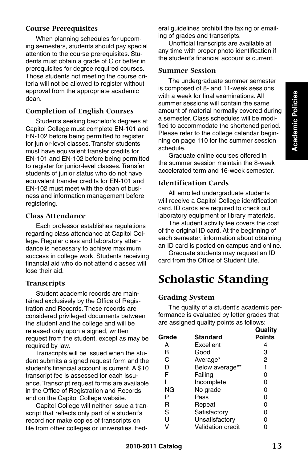#### **Course Prerequisites**

When planning schedules for upcoming semesters, students should pay special attention to the course prerequisites. Students must obtain a grade of C or better in prerequisites for degree required courses. Those students not meeting the course criteria will not be allowed to register without approval from the appropriate academic dean.

#### **Completion of English Courses**

Students seeking bachelor's degrees at Capitol College must complete EN-101 and EN-102 before being permitted to register for junior-level classes. Transfer students must have equivalent transfer credits for EN-101 and EN-102 before being permitted to register for junior-level classes. Transfer students of junior status who do not have equivalent transfer credits for EN-101 and EN-102 must meet with the dean of business and information management before registering.

#### **Class Attendance**

Each professor establishes regulations regarding class attendance at Capitol College. Regular class and laboratory attendance is necessary to achieve maximum success in college work. Students receiving financial aid who do not attend classes will lose their aid.

#### **Transcripts**

Student academic records are maintained exclusively by the Office of Registration and Records. These records are considered privileged documents between the student and the college and will be released only upon a signed, written request from the student, except as may be required by law.

Transcripts will be issued when the student submits a signed request form and the student's financial account is current. A \$10 transcript fee is assessed for each issuance. Transcript request forms are available in the Office of Registration and Records and on the Capitol College website.

Capitol College will neither issue a transcript that reflects only part of a student's record nor make copies of transcripts on file from other colleges or universities. Federal guidelines prohibit the faxing or emailing of grades and transcripts.

Unofficial transcripts are available at any time with proper photo identification if the student's financial account is current.

#### **Summer Session**

The undergraduate summer semester is composed of 8- and 11-week sessions with a week for final examinations. All summer sessions will contain the same amount of material normally covered during a semester. Class schedules will be modified to accommodate the shortened period. Please refer to the college calendar beginning on page 110 for the summer session schedule.

Graduate online courses offered in the summer session maintain the 8-week accelerated term and 16-week semester.

#### **Identification Cards**

All enrolled undergraduate students will receive a Capitol College identification card. ID cards are required to check out laboratory equipment or library materials.

The student activity fee covers the cost of the original ID card. At the beginning of each semester, information about obtaining an ID card is posted on campus and online.

Graduate students may request an ID card from the Office of Student Life.

## **Scholastic Standing**

#### **Grading System**

The quality of a student's academic performance is evaluated by letter grades that are assigned quality points as follows:

| Grade | Standard                 | Quality<br><b>Points</b> |
|-------|--------------------------|--------------------------|
| А     | Excellent                | 4                        |
| в     | Good                     | 3                        |
| C     | Average*                 | 2                        |
| D     | Below average**          | 1                        |
| F     | Failing                  | 0                        |
|       | Incomplete               | 0                        |
| ΝG    | No grade                 | 0                        |
| P     | Pass                     | 0                        |
| R     | Repeat                   | 0                        |
| S     | Satisfactory             | 0                        |
| U     | Unsatisfactory           | Ω                        |
|       | <b>Validation credit</b> |                          |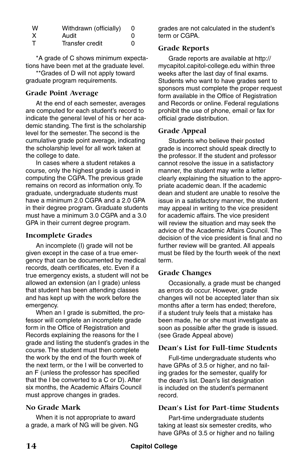| w      | Withdrawn (officially) | 0 |
|--------|------------------------|---|
| X      | Audit                  | 0 |
| $\top$ | Transfer credit        | O |

\*A grade of C shows minimum expectations have been met at the graduate level.

\*\*Grades of D will not apply toward graduate program requirements.

#### **Grade Point Average**

At the end of each semester, averages are computed for each student's record to indicate the general level of his or her academic standing. The first is the scholarship level for the semester. The second is the cumulative grade point average, indicating the scholarship level for all work taken at the college to date.

In cases where a student retakes a course, only the highest grade is used in computing the CGPA. The previous grade remains on record as information only. To graduate, undergraduate students must have a minimum 2.0 CGPA and a 2.0 GPA in their degree program. Graduate students must have a minimum 3.0 CGPA and a 3.0 GPA in their current degree program.

#### **Incomplete Grades**

An incomplete (I) grade will not be given except in the case of a true emergency that can be documented by medical records, death certificates, etc. Even if a true emergency exists, a student will not be allowed an extension (an I grade) unless that student has been attending classes and has kept up with the work before the emergency.

When an I grade is submitted, the professor will complete an incomplete grade form in the Office of Registration and Records explaining the reasons for the I grade and listing the student's grades in the course. The student must then complete the work by the end of the fourth week of the next term, or the I will be converted to an F (unless the professor has specified that the I be converted to a C or D). After six months, the Academic Affairs Council must approve changes in grades.

#### **No Grade Mark**

When it is not appropriate to award a grade, a mark of NG will be given. NG grades are not calculated in the student's term or CGPA

#### **Grade Reports**

Grade reports are available at http:// mycapitol.capitol-college.edu within three weeks after the last day of final exams. Students who want to have grades sent to sponsors must complete the proper request form available in the Office of Registration and Records or online. Federal regulations prohibit the use of phone, email or fax for official grade distribution.

#### **Grade Appeal**

Students who believe their posted grade is incorrect should speak directly to the professor. If the student and professor cannot resolve the issue in a satisfactory manner, the student may write a letter clearly explaining the situation to the appropriate academic dean. If the academic dean and student are unable to resolve the issue in a satisfactory manner, the student may appeal in writing to the vice president for academic affairs. The vice president will review the situation and may seek the advice of the Academic Affairs Council. The decision of the vice president is final and no further review will be granted. All appeals must be filed by the fourth week of the next term.

#### **Grade Changes**

Occasionally, a grade must be changed as errors do occur. However, grade changes will not be accepted later than six months after a term has ended; therefore, if a student truly feels that a mistake has been made, he or she must investigate as soon as possible after the grade is issued. (see Grade Appeal above)

#### **Dean's List for Full-time Students**

Full-time undergraduate students who have GPAs of 3.5 or higher, and no failing grades for the semester, qualify for the dean's list. Dean's list designation is included on the student's permanent record.

#### **Dean's List for Part-time Students**

Part-time undergraduate students taking at least six semester credits, who have GPAs of 3.5 or higher and no failing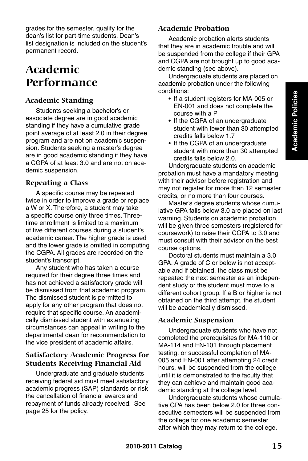grades for the semester, qualify for the dean's list for part-time students. Dean's list designation is included on the student's permanent record.

## **Academic Performance**

#### **Academic Standing**

Students seeking a bachelor's or associate degree are in good academic standing if they have a cumulative grade point average of at least 2.0 in their degree program and are not on academic suspension. Students seeking a master's degree are in good academic standing if they have a CGPA of at least 3.0 and are not on academic suspension.

#### **Repeating a Class**

A specific course may be repeated twice in order to improve a grade or replace a W or X. Therefore, a student may take a specific course only three times. Threetime enrollment is limited to a maximum of five different courses during a student's academic career. The higher grade is used and the lower grade is omitted in computing the CGPA. All grades are recorded on the student's transcript.

Any student who has taken a course required for their degree three times and has not achieved a satisfactory grade will be dismissed from that academic program. The dismissed student is permitted to apply for any other program that does not require that specific course. An academically dismissed student with extenuating circumstances can appeal in writing to the departmental dean for recommendation to the vice president of academic affairs.

#### **Satisfactory Academic Progress for Students Receiving Financial Aid**

Undergraduate and graduate students receiving federal aid must meet satisfactory academic progress (SAP) standards or risk the cancellation of financial awards and repayment of funds already received. See page 25 for the policy.

### **Academic Probation**

Academic probation alerts students that they are in academic trouble and will be suspended from the college if their GPA and CGPA are not brought up to good academic standing (see above).

Undergraduate students are placed on academic probation under the following conditions:

- If a student registers for MA-005 or EN-001 and does not complete the course with a P
- If the CGPA of an undergraduate student with fewer than 30 attempted credits falls below 1.7
- If the CGPA of an undergraduate student with more than 30 attempted credits falls below 2.0.

Undergraduate students on academic probation must have a mandatory meeting with their advisor before registration and may not register for more than 12 semester credits, or no more than four courses.

Master's degree students whose cumulative GPA falls below 3.0 are placed on last warning. Students on academic probation will be given three semesters (registered for coursework) to raise their CGPA to 3.0 and must consult with their advisor on the best course options.

Doctoral students must maintain a 3.0 GPA. A grade of C or below is not acceptable and if obtained, the class must be repeated the next semester as an independent study or the student must move to a different cohort group. If a B or higher is not obtained on the third attempt, the student will be academically dismissed.

#### **Academic Suspension**

Undergraduate students who have not completed the prerequisites for MA-110 or MA-114 and EN-101 through placement testing, or successful completion of MA-005 and EN-001 after attempting 24 credit hours, will be suspended from the college until it is demonstrated to the faculty that they can achieve and maintain good academic standing at the college level.

Undergraduate students whose cumulative GPA has been below 2.0 for three consecutive semesters will be suspended from the college for one academic semester after which they may return to the college.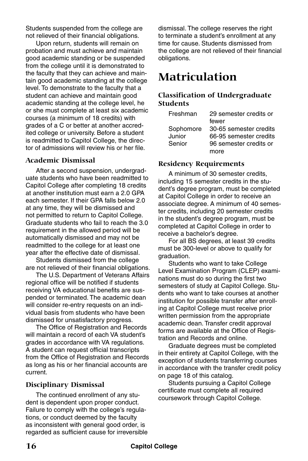Students suspended from the college are not relieved of their financial obligations.

Upon return, students will remain on probation and must achieve and maintain good academic standing or be suspended from the college until it is demonstrated to the faculty that they can achieve and maintain good academic standing at the college level. To demonstrate to the faculty that a student can achieve and maintain good academic standing at the college level, he or she must complete at least six academic courses (a minimum of 18 credits) with grades of a C or better at another accredited college or university. Before a student is readmitted to Capitol College, the director of admissions will review his or her file.

#### **Academic Dismissal**

After a second suspension, undergraduate students who have been readmitted to Capitol College after completing 18 credits at another institution must earn a 2.0 GPA each semester. If their GPA falls below 2.0 at any time, they will be dismissed and not permitted to return to Capitol College. Graduate students who fail to reach the 3.0 requirement in the allowed period will be automatically dismissed and may not be readmitted to the college for at least one year after the effective date of dismissal.

Students dismissed from the college are not relieved of their financial obligations.

The U.S. Department of Veterans Affairs regional office will be notified if students receiving VA educational benefits are suspended or terminated. The academic dean will consider re-entry requests on an individual basis from students who have been dismissed for unsatisfactory progress.

The Office of Registration and Records will maintain a record of each VA student's grades in accordance with VA regulations. A student can request official transcripts from the Office of Registration and Records as long as his or her financial accounts are current.

#### **Disciplinary Dismissal**

The continued enrollment of any student is dependent upon proper conduct. Failure to comply with the college's regulations, or conduct deemed by the faculty as inconsistent with general good order, is regarded as sufficient cause for irreversible dismissal. The college reserves the right to terminate a student's enrollment at any time for cause. Students dismissed from the college are not relieved of their financial obligations.

## **Matriculation**

#### **Classification of Undergraduate Students**

| 29 semester credits or |
|------------------------|
| fewer                  |
| 30-65 semester credits |
| 66-95 semester credits |
| 96 semester credits or |
| more                   |
|                        |

#### **Residency Requirements**

A minimum of 30 semester credits, including 15 semester credits in the student's degree program, must be completed at Capitol College in order to receive an associate degree. A minimum of 40 semester credits, including 20 semester credits in the student's degree program, must be completed at Capitol College in order to receive a bachelor's degree.

For all BS degrees, at least 39 credits must be 300-level or above to qualify for graduation.

Students who want to take College Level Examination Program (CLEP) examinations must do so during the first two semesters of study at Capitol College. Students who want to take courses at another institution for possible transfer after enrolling at Capitol College must receive prior written permission from the appropriate academic dean. Transfer credit approval forms are available at the Office of Registration and Records and online.

Graduate degrees must be completed in their entirety at Capitol College, with the exception of students transferring courses in accordance with the transfer credit policy on page 18 of this catalog.

Students pursuing a Capitol College certificate must complete all required coursework through Capitol College.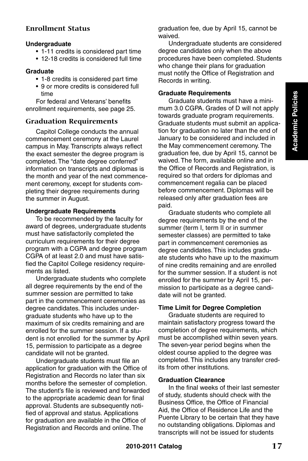#### **Enrollment Status**

#### **Undergraduate**

- 1-11 credits is considered part time
- 12-18 credits is considered full time

#### **Graduate**

- 1-8 credits is considered part time
- 9 or more credits is considered full time

For federal and Veterans' benefits enrollment requirements, see page 25.

#### **Graduation Requirements**

Capitol College conducts the annual commencement ceremony at the Laurel campus in May. Transcripts always reflect the exact semester the degree program is completed. The "date degree conferred" information on transcripts and diplomas is the month and year of the next commencement ceremony, except for students completing their degree requirements during the summer in August.

#### **Undergraduate Requirements**

To be recommended by the faculty for award of degrees, undergraduate students must have satisfactorily completed the curriculum requirements for their degree program with a CGPA and degree program CGPA of at least 2.0 and must have satisfied the Capitol College residency requirements as listed.

Undergraduate students who complete all degree requirements by the end of the summer session are permitted to take part in the commencement ceremonies as degree candidates. This includes undergraduate students who have up to the maximum of six credits remaining and are enrolled for the summer session. If a student is not enrolled for the summer by April 15, permission to participate as a degree candidate will not be granted.

Undergraduate students must file an application for graduation with the Office of Registration and Records no later than six months before the semester of completion. The student's file is reviewed and forwarded to the appropriate academic dean for final approval. Students are subsequently notified of approval and status. Applications for graduation are available in the Office of Registration and Records and online. The

graduation fee, due by April 15, cannot be waived.

Undergraduate students are considered degree candidates only when the above procedures have been completed. Students who change their plans for graduation must notify the Office of Registration and Records in writing.

#### **Graduate Requirements**

Graduate students must have a minimum 3.0 CGPA. Grades of D will not apply towards graduate program requirements. Graduate students must submit an application for graduation no later than the end of January to be considered and included in the May commencement ceremony. The graduation fee, due by April 15, cannot be waived. The form, available online and in the Office of Records and Registration, is required so that orders for diplomas and commencement regalia can be placed before commencement. Diplomas will be released only after graduation fees are paid.

Graduate students who complete all degree requirements by the end of the summer (term I, term II or in summer semester classes) are permitted to take part in commencement ceremonies as degree candidates. This includes graduate students who have up to the maximum of nine credits remaining and are enrolled for the summer session. If a student is not enrolled for the summer by April 15, permission to participate as a degree candidate will not be granted.

#### **Time Limit for Degree Completion**

Graduate students are required to maintain satisfactory progress toward the completion of degree requirements, which must be accomplished within seven years. The seven-year period begins when the oldest course applied to the degree was completed. This includes any transfer credits from other institutions.

#### **Graduation Clearance**

In the final weeks of their last semester of study, students should check with the Business Office, the Office of Financial Aid, the Office of Residence Life and the Puente Library to be certain that they have no outstanding obligations. Diplomas and transcripts will not be issued for students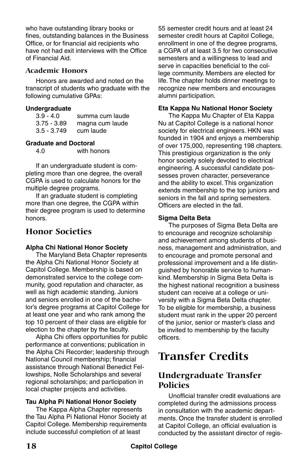who have outstanding library books or fines, outstanding balances in the Business Office, or for financial aid recipients who have not had exit interviews with the Office of Financial Aid.

#### **Academic Honors**

Honors are awarded and noted on the transcript of students who graduate with the following cumulative GPAs:

#### **Undergraduate**

| $3.9 - 4.0$   | summa cum laude |
|---------------|-----------------|
| $3.75 - 3.89$ | magna cum laude |
| $3.5 - 3.749$ | cum laude       |

#### **Graduate and Doctoral**

4.0 with honors

If an undergraduate student is completing more than one degree, the overall CGPA is used to calculate honors for the multiple degree programs.

If an graduate student is completing more than one degree, the CGPA within their degree program is used to determine honors.

## **Honor Societies**

#### **Alpha Chi National Honor Society**

The Maryland Beta Chapter represents the Alpha Chi National Honor Society at Capitol College. Membership is based on demonstrated service to the college community, good reputation and character, as well as high academic standing. Juniors and seniors enrolled in one of the bachelor's degree programs at Capitol College for at least one year and who rank among the top 10 percent of their class are eligible for election to the chapter by the faculty.

Alpha Chi offers opportunities for public performance at conventions; publication in the Alpha Chi Recorder; leadership through National Council membership; financial assistance through National Benedict Fellowships, Nolle Scholarships and several regional scholarships; and participation in local chapter projects and activities.

#### **Tau Alpha Pi National Honor Society**

The Kappa Alpha Chapter represents the Tau Alpha Pi National Honor Society at Capitol College. Membership requirements include successful completion of at least

55 semester credit hours and at least 24 semester credit hours at Capitol College, enrollment in one of the degree programs, a CGPA of at least 3.5 for two consecutive semesters and a willingness to lead and serve in capacities beneficial to the college community. Members are elected for life. The chapter holds dinner meetings to recognize new members and encourages alumni participation.

#### **Eta Kappa Nu National Honor Society**

The Kappa Mu Chapter of Eta Kappa Nu at Capitol College is a national honor society for electrical engineers. HKN was founded in 1904 and enjoys a membership of over 175,000, representing 198 chapters. This prestigious organization is the only honor society solely devoted to electrical engineering. A successful candidate possesses proven character, perseverance and the ability to excel. This organization extends membership to the top juniors and seniors in the fall and spring semesters. Officers are elected in the fall.

#### **Sigma Delta Beta**

The purposes of Sigma Beta Delta are to encourage and recognize scholarship and achievement among students of business, management and administration, and to encourage and promote personal and professional improvement and a life distinguished by honorable service to humankind. Membership in Sigma Beta Delta is the highest national recognition a business student can receive at a college or university with a Sigma Beta Delta chapter. To be eligible for membership, a business student must rank in the upper 20 percent of the junior, senior or master's class and be invited to membership by the faculty officers.

## **Transfer Credits**

## **Undergraduate Transfer Policies**

Unofficial transfer credit evaluations are completed during the admissions process in consultation with the academic departments. Once the transfer student is enrolled at Capitol College, an official evaluation is conducted by the assistant director of regis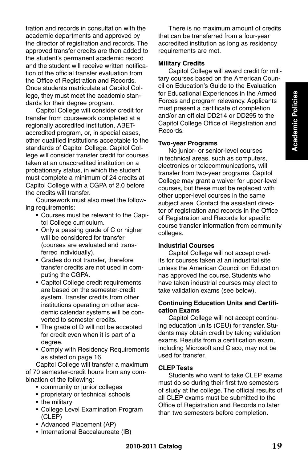tration and records in consultation with the academic departments and approved by the director of registration and records. The approved transfer credits are then added to the student's permanent academic record and the student will receive written notification of the official transfer evaluation from the Office of Registration and Records. Once students matriculate at Capitol College, they must meet the academic standards for their degree program.

Capitol College will consider credit for transfer from coursework completed at a regionally accredited institution, ABETaccredited program, or, in special cases, other qualified institutions acceptable to the standards of Capitol College. Capitol College will consider transfer credit for courses taken at an unaccredited institution on a probationary status, in which the student must complete a minimum of 24 credits at Capitol College with a CGPA of 2.0 before the credits will transfer.

Coursework must also meet the following requirements:

- Courses must be relevant to the Capitol College curriculum.
- Only a passing grade of C or higher will be considered for transfer (courses are evaluated and transferred individually).
- Grades do not transfer, therefore transfer credits are not used in computing the CGPA.
- Capitol College credit requirements are based on the semester-credit system. Transfer credits from other institutions operating on other academic calendar systems will be converted to semester credits.
- The grade of D will not be accepted for credit even when it is part of a degree.
- Comply with Residency Requirements as stated on page 16.

Capitol College will transfer a maximum of 70 semester-credit hours from any combination of the following:

- community or junior colleges
- proprietary or technical schools
- the military
- College Level Examination Program (CLEP)
- Advanced Placement (AP)
- International Baccalaureate (IB)

There is no maximum amount of credits that can be transferred from a four-year accredited institution as long as residency requirements are met.

#### **Military Credits**

Capitol College will award credit for military courses based on the American Council on Education's Guide to the Evaluation for Educational Experiences in the Armed Forces and program relevancy. Applicants must present a certificate of completion and/or an official DD214 or DD295 to the Capitol College Office of Registration and Records.

#### **Two-year Programs**

No junior- or senior-level courses in technical areas, such as computers, electronics or telecommunications, will transfer from two-year programs. Capitol College may grant a waiver for upper-level courses, but these must be replaced with other upper-level courses in the same subject area. Contact the assistant director of registration and records in the Office of Registration and Records for specific course transfer information from community colleges.

#### **Industrial Courses**

Capitol College will not accept credits for courses taken at an industrial site unless the American Council on Education has approved the course. Students who have taken industrial courses may elect to take validation exams (see below).

#### **Continuing Education Units and Certification Exams**

Capitol College will not accept continuing education units (CEU) for transfer. Students may obtain credit by taking validation exams. Results from a certification exam, including Microsoft and Cisco, may not be used for transfer.

#### **CLEP Tests**

Students who want to take CLEP exams must do so during their first two semesters of study at the college. The official results of all CLEP exams must be submitted to the Office of Registration and Records no later than two semesters before completion.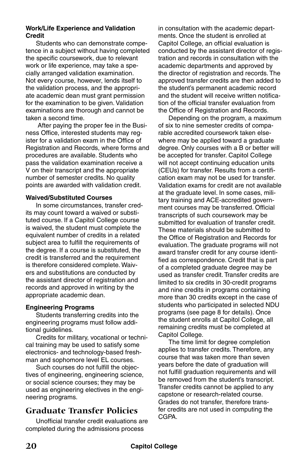#### **Work/Life Experience and Validation Credit**

Students who can demonstrate competence in a subject without having completed the specific coursework, due to relevant work or life experience, may take a specially arranged validation examination. Not every course, however, lends itself to the validation process, and the appropriate academic dean must grant permission for the examination to be given. Validation examinations are thorough and cannot be taken a second time.

 After paying the proper fee in the Business Office, interested students may register for a validation exam in the Office of Registration and Records, where forms and procedures are available. Students who pass the validation examination receive a V on their transcript and the appropriate number of semester credits. No quality points are awarded with validation credit.

#### **Waived/Substituted Courses**

In some circumstances, transfer credits may count toward a waived or substituted course. If a Capitol College course is waived, the student must complete the equivalent number of credits in a related subject area to fulfill the requirements of the degree. If a course is substituted, the credit is transferred and the requirement is therefore considered complete. Waivers and substitutions are conducted by the assistant director of registration and records and approved in writing by the appropriate academic dean.

#### **Engineering Programs**

Students transferring credits into the engineering programs must follow additional guidelines.

Credits for military, vocational or technical training may be used to satisfy some electronics- and technology-based freshman and sophomore level EL courses.

Such courses do not fulfill the objectives of engineering, engineering science, or social science courses; they may be used as engineering electives in the engineering programs.

## **Graduate Transfer Policies**

Unofficial transfer credit evaluations are completed during the admissions process

in consultation with the academic departments. Once the student is enrolled at Capitol College, an official evaluation is conducted by the assistant director of registration and records in consultation with the academic departments and approved by the director of registration and records. The approved transfer credits are then added to the student's permanent academic record and the student will receive written notification of the official transfer evaluation from the Office of Registration and Records.

Depending on the program, a maximum of six to nine semester credits of comparable accredited coursework taken elsewhere may be applied toward a graduate degree. Only courses with a B or better will be accepted for transfer. Capitol College will not accept continuing education units (CEUs) for transfer. Results from a certification exam may not be used for transfer. Validation exams for credit are not available at the graduate level. In some cases, military training and ACE-accredited government courses may be transferred. Official transcripts of such coursework may be submitted for evaluation of transfer credit. These materials should be submitted to the Office of Registration and Records for evaluation. The graduate programs will not award transfer credit for any course identified as correspondence. Credit that is part of a completed graduate degree may be used as transfer credit. Transfer credits are limited to six credits in 30-credit programs and nine credits in programs containing more than 30 credits except in the case of students who participated in selected NDU programs (see page 8 for details). Once the student enrolls at Capitol College, all remaining credits must be completed at Capitol College.

The time limit for degree completion applies to transfer credits. Therefore, any course that was taken more than seven years before the date of graduation will not fulfill graduation requirements and will be removed from the student's transcript. Transfer credits cannot be applied to any capstone or research-related course. Grades do not transfer, therefore transfer credits are not used in computing the CGPA.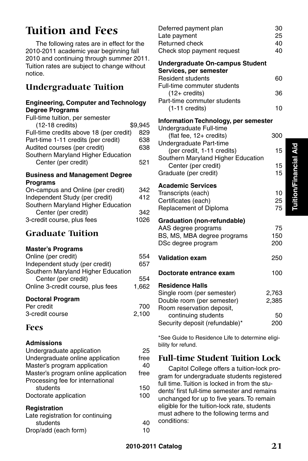## **Tuition and Fees**

The following rates are in effect for the 2010-2011 academic year beginning fall 2010 and continuing through summer 2011. Tuition rates are subject to change without notice.

## **Undergraduate Tuition**

#### **Engineering, Computer and Technology Degree Programs**

| Full-time tuition, per semester         |         |
|-----------------------------------------|---------|
| $(12-18 \text{ credits})$               | \$9.945 |
| Full-time credits above 18 (per credit) | 829     |
| Part-time 1-11 credits (per credit)     | 638     |
| Audited courses (per credit)            | 638     |
| Southern Maryland Higher Education      |         |
| Center (per credit)                     | 521     |

#### **Business and Management Degree Programs**

| On-campus and Online (per credit)  | 342  |
|------------------------------------|------|
| Independent Study (per credit)     | 412  |
| Southern Maryland Higher Education |      |
| Center (per credit)                | 342  |
| 3-credit course, plus fees         | 1026 |

## **Graduate Tuition**

#### **Master's Programs**

| Online (per credit)                | 554   |
|------------------------------------|-------|
| Independent study (per credit)     | 657   |
| Southern Maryland Higher Education |       |
| Center (per credit)                | 554   |
| Online 3-credit course, plus fees  | 1,662 |
| <b>Doctoral Program</b>            |       |
| Per credit                         |       |

| ı cı vicult     | 7 UU  |
|-----------------|-------|
| 3-credit course | 2,100 |

### **Fees**

#### **Admissions**

| Undergraduate application           | 25   |
|-------------------------------------|------|
| Undergraduate online application    | free |
| Master's program application        | 40   |
| Master's program online application | free |
| Processing fee for international    |      |
| students                            | 150  |
| Doctorate application               | 100  |
| <b>Registration</b>                 |      |
| Late registration for continuing    |      |
| students                            |      |

Drop/add (each form) 10

|               | Deferred payment plan<br>Late payment<br>Returned check<br>Check stop payment request           | 30<br>25<br>40<br>40 |
|---------------|-------------------------------------------------------------------------------------------------|----------------------|
|               | <b>Undergraduate On-campus Student</b><br>Services, per semester                                |                      |
|               | <b>Resident students</b><br>Full-time commuter students<br>$(12 + \text{credits})$              | 60<br>36             |
|               | Part-time commuter students<br>$(1-11$ credits)                                                 | 10                   |
|               | <b>Information Technology, per semester</b><br>Undergraduate Full-time                          |                      |
| ļ             | (flat fee, 12+ credits)<br>Undergraduate Part-time                                              | 300                  |
| ļ             | (per credit, 1-11 credits)<br>Southern Maryland Higher Education                                | 15                   |
|               | Center (per credit)<br>Graduate (per credit)                                                    | 15<br>15             |
| $\frac{1}{2}$ | <b>Academic Services</b><br>Transcripts (each)<br>Certificates (each)<br>Replacement of Diploma | 10<br>25<br>75       |
| )<br>)        | <b>Graduation (non-refundable)</b><br>AAS degree programs                                       | 75                   |
|               | BS, MS, MBA degree programs<br>DSc degree program                                               | 150<br>200           |
|               | <b>Validation exam</b>                                                                          | 250                  |
|               | Doctorate entrance exam                                                                         | 100                  |
|               | <b>Residence Halls</b><br>Single room (per semester)                                            | 2,763                |
|               | Double room (per semester)<br>Room reservation deposit,                                         | 2,385                |
| ١             | continuing students<br>Security deposit (refundable)*                                           | 50<br>200            |
|               | *See Guide to Residence Life to determine eligi-<br>bility for refund.                          |                      |

## **Full-time Student Tuition Lock**

Capitol College offers a tuition-lock program for undergraduate students registered full time. Tuition is locked in from the students' first full-time semester and remains unchanged for up to five years. To remain eligible for the tuition-lock rate, students must adhere to the following terms and conditions: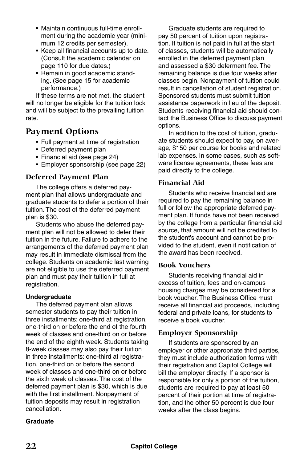- Maintain continuous full-time enrollment during the academic year (minimum 12 credits per semester).
- Keep all financial accounts up to date. (Consult the academic calendar on page 110 for due dates.)
- Remain in good academic standing. (See page 15 for academic performance.)

If these terms are not met, the student will no longer be eligible for the tuition lock and will be subject to the prevailing tuition rate.

## **Payment Options**

- Full payment at time of registration
- Deferred payment plan
- Financial aid (see page 24)
- Employer sponsorship (see page 22)

#### **Deferred Payment Plan**

The college offers a deferred payment plan that allows undergraduate and graduate students to defer a portion of their tuition. The cost of the deferred payment plan is \$30.

Students who abuse the deferred payment plan will not be allowed to defer their tuition in the future. Failure to adhere to the arrangements of the deferred payment plan may result in immediate dismissal from the college. Students on academic last warning are not eligible to use the deferred payment plan and must pay their tuition in full at registration.

#### **Undergraduate**

The deferred payment plan allows semester students to pay their tuition in three installments: one-third at registration, one-third on or before the end of the fourth week of classes and one-third on or before the end of the eighth week. Students taking 8-week classes may also pay their tuition in three installments: one-third at registration, one-third on or before the second week of classes and one-third on or before the sixth week of classes. The cost of the deferred payment plan is \$30, which is due with the first installment. Nonpayment of tuition deposits may result in registration cancellation.

#### **Graduate**

Graduate students are required to pay 50 percent of tuition upon registration. If tuition is not paid in full at the start of classes, students will be automatically enrolled in the deferred payment plan and assessed a \$30 deferment fee. The remaining balance is due four weeks after classes begin. Nonpayment of tuition could result in cancellation of student registration. Sponsored students must submit tuition assistance paperwork in lieu of the deposit. Students receiving financial aid should contact the Business Office to discuss payment options.

In addition to the cost of tuition, graduate students should expect to pay, on average, \$150 per course for books and related lab expenses. In some cases, such as software license agreements, these fees are paid directly to the college.

#### **Financial Aid**

Students who receive financial aid are required to pay the remaining balance in full or follow the appropriate deferred payment plan. If funds have not been received by the college from a particular financial aid source, that amount will not be credited to the student's account and cannot be provided to the student, even if notification of the award has been received.

#### **Book Vouchers**

Students receiving financial aid in excess of tuition, fees and on-campus housing charges may be considered for a book voucher. The Business Office must receive all financial aid proceeds, including federal and private loans, for students to receive a book voucher.

#### **Employer Sponsorship**

If students are sponsored by an employer or other appropriate third parties, they must include authorization forms with their registration and Capitol College will bill the employer directly. If a sponsor is responsible for only a portion of the tuition, students are required to pay at least 50 percent of their portion at time of registration, and the other 50 percent is due four weeks after the class begins.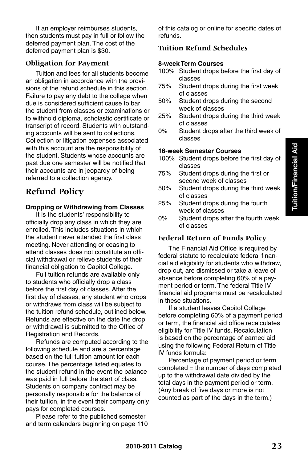If an employer reimburses students, then students must pay in full or follow the deferred payment plan. The cost of the deferred payment plan is \$30.

#### **Obligation for Payment**

Tuition and fees for all students become an obligation in accordance with the provisions of the refund schedule in this section. Failure to pay any debt to the college when due is considered sufficient cause to bar the student from classes or examinations or to withhold diploma, scholastic certificate or transcript of record. Students with outstanding accounts will be sent to collections. Collection or litigation expenses associated with this account are the responsibility of the student. Students whose accounts are past due one semester will be notified that their accounts are in jeopardy of being referred to a collection agency.

### **Refund Policy**

#### **Dropping or Withdrawing from Classes**

It is the students' responsibility to officially drop any class in which they are enrolled. This includes situations in which the student never attended the first class meeting. Never attending or ceasing to attend classes does not constitute an official withdrawal or relieve students of their financial obligation to Capitol College.

Full tuition refunds are available only to students who officially drop a class before the first day of classes. After the first day of classes, any student who drops or withdraws from class will be subject to the tuition refund schedule, outlined below. Refunds are effective on the date the drop or withdrawal is submitted to the Office of Registration and Records.

Refunds are computed according to the following schedule and are a percentage based on the full tuition amount for each course. The percentage listed equates to the student refund in the event the balance was paid in full before the start of class. Students on company contract may be personally responsible for the balance of their tuition, in the event their company only pays for completed courses.

Please refer to the published semester and term calendars beginning on page 110 of this catalog or online for specific dates of refunds.

#### **Tuition Refund Schedules**

#### **8-week Term Courses**

- 100% Student drops before the first day of classes
- 75% Student drops during the first week of classes
- 50% Student drops during the second week of classes
- 25% Student drops during the third week of classes
- 0% Student drops after the third week of classes

#### **16-week Semester Courses**

- 100% Student drops before the first day of classes
- 75% Student drops during the first or second week of classes
- 50% Student drops during the third week of classes
- 25% Student drops during the fourth week of classes
- 0% Student drops after the fourth week of classes

#### **Federal Return of Funds Policy**

The Financial Aid Office is required by federal statute to recalculate federal financial aid eligibility for students who withdraw, drop out, are dismissed or take a leave of absence before completing 60% of a payment period or term. The federal Title IV financial aid programs must be recalculated in these situations.

If a student leaves Capitol College before completing 60% of a payment period or term, the financial aid office recalculates eligibility for Title IV funds. Recalculation is based on the percentage of earned aid using the following Federal Return of Title IV funds formula:

Percentage of payment period or term completed = the number of days completed up to the withdrawal date divided by the total days in the payment period or term. (Any break of five days or more is not counted as part of the days in the term.)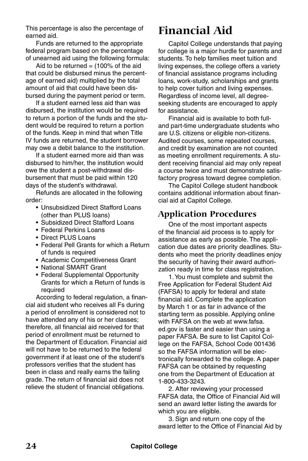This percentage is also the percentage of earned aid.

Funds are returned to the appropriate federal program based on the percentage of unearned aid using the following formula:

Aid to be returned  $=$  (100% of the aid that could be disbursed minus the percentage of earned aid) multiplied by the total amount of aid that could have been disbursed during the payment period or term.

If a student earned less aid than was disbursed, the institution would be required to return a portion of the funds and the student would be required to return a portion of the funds. Keep in mind that when Title IV funds are returned, the student borrower may owe a debit balance to the institution.

If a student earned more aid than was disbursed to him/her, the institution would owe the student a post-withdrawal disbursement that must be paid within 120 days of the student's withdrawal.

Refunds are allocated in the following order:

- Unsubsidized Direct Stafford Loans (other than PLUS loans)
- Subsidized Direct Stafford Loans
- Federal Perkins Loans
- Direct PLUS Loans
- Federal Pell Grants for which a Return of funds is required
- Academic Competitiveness Grant
- National SMART Grant
- Federal Supplemental Opportunity Grants for which a Return of funds is required

According to federal regulation, a financial aid student who receives all Fs during a period of enrollment is considered not to have attended any of his or her classes; therefore, all financial aid received for that period of enrollment must be returned to the Department of Education. Financial aid will not have to be returned to the federal government if at least one of the student's professors verifies that the student has been in class and really earns the failing grade. The return of financial aid does not relieve the student of financial obligations.

## **Financial Aid**

Capitol College understands that paying for college is a major hurdle for parents and students. To help families meet tuition and living expenses, the college offers a variety of financial assistance programs including loans, work-study, scholarships and grants to help cover tuition and living expenses. Regardless of income level, all degreeseeking students are encouraged to apply for assistance.

Financial aid is available to both fulland part-time undergraduate students who are U.S. citizens or eligible non-citizens. Audited courses, some repeated courses, and credit by examination are not counted as meeting enrollment requirements. A student receiving financial aid may only repeat a course twice and must demonstrate satisfactory progress toward degree completion.

The Capitol College student handbook contains additional information about financial aid at Capitol College.

## **Application Procedures**

One of the most important aspects of the financial aid process is to apply for assistance as early as possible. The application due dates are priority deadlines. Students who meet the priority deadlines enjoy the security of having their award authorization ready in time for class registration.

1. You must complete and submit the Free Application for Federal Student Aid (FAFSA) to apply for federal and state financial aid. Complete the application by March 1 or as far in advance of the starting term as possible. Applying online with FAFSA on the web at www.fafsa. ed.gov is faster and easier than using a paper FAFSA. Be sure to list Capitol College on the FAFSA, School Code 001436 so the FAFSA information will be electronically forwarded to the college. A paper FAFSA can be obtained by requesting one from the Department of Education at 1-800-433-3243.

2. After reviewing your processed FAFSA data, the Office of Financial Aid will send an award letter listing the awards for which you are eligible.

3. Sign and return one copy of the award letter to the Office of Financial Aid by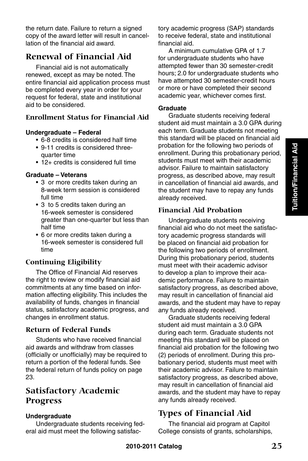the return date. Failure to return a signed copy of the award letter will result in cancellation of the financial aid award.

## **Renewal of Financial Aid**

Financial aid is not automatically renewed, except as may be noted. The entire financial aid application process must be completed every year in order for your request for federal, state and institutional aid to be considered.

#### **Enrollment Status for Financial Aid**

#### **Undergraduate – Federal**

- 6-8 credits is considered half time
- 9-11 credits is considered threequarter time
- 12+ credits is considered full time

#### **Graduate – Veterans**

- 3 or more credits taken during an 8-week term session is considered full time
- 3 to 5 credits taken during an 16-week semester is considered greater than one-quarter but less than half time
- 6 or more credits taken during a 16-week semester is considered full time

#### **Continuing Eligibility**

The Office of Financial Aid reserves the right to review or modify financial aid commitments at any time based on information affecting eligibility. This includes the availability of funds, changes in financial status, satisfactory academic progress, and changes in enrollment status.

#### **Return of Federal Funds**

Students who have received financial aid awards and withdraw from classes (officially or unofficially) may be required to return a portion of the federal funds. See the federal return of funds policy on page 23.

## **Satisfactory Academic Progress**

#### **Undergraduate**

Undergraduate students receiving federal aid must meet the following satisfactory academic progress (SAP) standards to receive federal, state and institutional financial aid.

A minimum cumulative GPA of 1.7 for undergraduate students who have attempted fewer than 30 semester-credit hours; 2.0 for undergraduate students who have attempted 30 semester-credit hours or more or have completed their second academic year, whichever comes first.

#### **Graduate**

Graduate students receiving federal student aid must maintain a 3.0 GPA during each term. Graduate students not meeting this standard will be placed on financial aid probation for the following two periods of enrollment. During this probationary period, students must meet with their academic advisor. Failure to maintain satisfactory progress, as described above, may result in cancellation of financial aid awards, and the student may have to repay any funds already received.

#### **Financial Aid Probation**

Undergraduate students receiving financial aid who do not meet the satisfactory academic progress standards will be placed on financial aid probation for the following two periods of enrollment. During this probationary period, students must meet with their academic advisor to develop a plan to improve their academic performance. Failure to maintain satisfactory progress, as described above, may result in cancellation of financial aid awards, and the student may have to repay any funds already received.

Graduate students receiving federal student aid must maintain a 3.0 GPA during each term. Graduate students not meeting this standard will be placed on financial aid probation for the following two (2) periods of enrollment. During this probationary period, students must meet with their academic advisor. Failure to maintain satisfactory progress, as described above, may result in cancellation of financial aid awards, and the student may have to repay any funds already received.

## **Types of Financial Aid**

The financial aid program at Capitol College consists of grants, scholarships,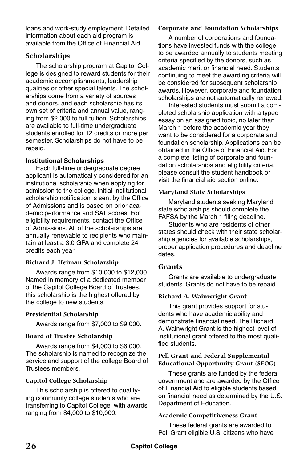loans and work-study employment. Detailed information about each aid program is available from the Office of Financial Aid.

#### **Scholarships**

The scholarship program at Capitol College is designed to reward students for their academic accomplishments, leadership qualities or other special talents. The scholarships come from a variety of sources and donors, and each scholarship has its own set of criteria and annual value, ranging from \$2,000 to full tuition. Scholarships are available to full-time undergraduate students enrolled for 12 credits or more per semester. Scholarships do not have to be repaid.

#### **Institutional Scholarships**

Each full-time undergraduate degree applicant is automatically considered for an institutional scholarship when applying for admission to the college. Initial institutional scholarship notification is sent by the Office of Admissions and is based on prior academic performance and SAT scores. For eligibility requirements, contact the Office of Admissions. All of the scholarships are annually renewable to recipients who maintain at least a 3.0 GPA and complete 24 credits each year.

#### **Richard J. Heiman Scholarship**

Awards range from \$10,000 to \$12,000. Named in memory of a dedicated member of the Capitol College Board of Trustees, this scholarship is the highest offered by the college to new students.

#### **Presidential Scholarship**

Awards range from \$7,000 to \$9,000.

#### **Board of Trustee Scholarship**

Awards range from \$4,000 to \$6,000. The scholarship is named to recognize the service and support of the college Board of Trustees members.

#### **Capitol College Scholarship**

This scholarship is offered to qualifying community college students who are transferring to Capitol College, with awards ranging from \$4,000 to \$10,000.

#### **Corporate and Foundation Scholarships**

A number of corporations and foundations have invested funds with the college to be awarded annually to students meeting criteria specified by the donors, such as academic merit or financial need. Students continuing to meet the awarding criteria will be considered for subsequent scholarship awards. However, corporate and foundation scholarships are not automatically renewed.

Interested students must submit a completed scholarship application with a typed essay on an assigned topic, no later than March 1 before the academic year they want to be considered for a corporate and foundation scholarship. Applications can be obtained in the Office of Financial Aid. For a complete listing of corporate and foundation scholarships and eligibility criteria, please consult the student handbook or visit the financial aid section online.

#### **Maryland State Scholarships**

Maryland students seeking Maryland state scholarships should complete the FAFSA by the March 1 filing deadline.

Students who are residents of other states should check with their state scholarship agencies for available scholarships, proper application procedures and deadline dates.

#### **Grants**

Grants are available to undergraduate students. Grants do not have to be repaid.

#### **Richard A. Wainwright Grant**

This grant provides support for students who have academic ability and demonstrate financial need. The Richard A. Wainwright Grant is the highest level of institutional grant offered to the most qualified students.

#### **Pell Grant and Federal Supplemental Educational Opportunity Grant (SEOG)**

These grants are funded by the federal government and are awarded by the Office of Financial Aid to eligible students based on financial need as determined by the U.S. Department of Education.

#### **Academic Competitiveness Grant**

These federal grants are awarded to Pell Grant eligible U.S. citizens who have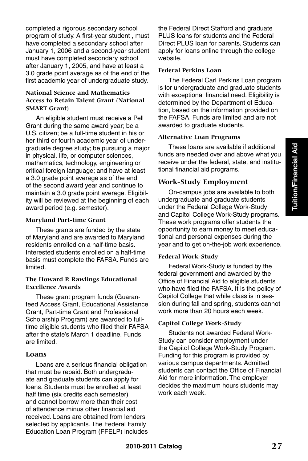completed a rigorous secondary school program of study. A first-year student , must have completed a secondary school after January 1, 2006 and a second-year student must have completed secondary school after January 1, 2005, and have at least a 3.0 grade point average as of the end of the first academic year of undergraduate study.

#### **National Science and Mathematics Access to Retain Talent Grant (National SMART Grant)**

An eligible student must receive a Pell Grant during the same award year; be a U.S. citizen; be a full-time student in his or her third or fourth academic year of undergraduate degree study; be pursuing a major in physical, life, or computer sciences, mathematics, technology, engineering or critical foreign language; and have at least a 3.0 grade point average as of the end of the second award year and continue to maintain a 3.0 grade point average. Eligibility will be reviewed at the beginning of each award period (e.g. semester).

#### **Maryland Part-time Grant**

These grants are funded by the state of Maryland and are awarded to Maryland residents enrolled on a half-time basis. Interested students enrolled on a half-time basis must complete the FAFSA. Funds are limited.

#### **The Howard P. Rawlings Educational Excellence Awards**

These grant program funds (Guaranteed Access Grant, Educational Assistance Grant, Part-time Grant and Professional Scholarship Program) are awarded to fulltime eligible students who filed their FAFSA after the state's March 1 deadline. Funds are limited.

#### **Loans**

Loans are a serious financial obligation that must be repaid. Both undergraduate and graduate students can apply for loans. Students must be enrolled at least half time (six credits each semester) and cannot borrow more than their cost of attendance minus other financial aid received. Loans are obtained from lenders selected by applicants. The Federal Family Education Loan Program (FFELP) includes the Federal Direct Stafford and graduate PLUS loans for students and the Federal Direct PLUS loan for parents. Students can apply for loans online through the college website.

#### **Federal Perkins Loan**

The Federal Carl Perkins Loan program is for undergraduate and graduate students with exceptional financial need. Eligibility is determined by the Department of Education, based on the information provided on the FAFSA. Funds are limited and are not awarded to graduate students.

#### **Alternative Loan Programs**

These loans are available if additional funds are needed over and above what you receive under the federal, state, and institutional financial aid programs.

#### **Work-Study Employment**

On-campus jobs are available to both undergraduate and graduate students under the Federal College Work-Study and Capitol College Work-Study programs. These work programs offer students the opportunity to earn money to meet educational and personal expenses during the year and to get on-the-job work experience.

#### **Federal Work-Study**

Federal Work-Study is funded by the federal government and awarded by the Office of Financial Aid to eligible students who have filed the FAFSA. It is the policy of Capitol College that while class is in session during fall and spring, students cannot work more than 20 hours each week.

#### **Capitol College Work-Study**

Students not awarded Federal Work-Study can consider employment under the Capitol College Work-Study Program. Funding for this program is provided by various campus departments. Admitted students can contact the Office of Financial Aid for more information. The employer decides the maximum hours students may work each week.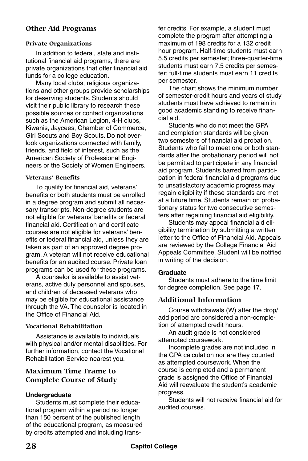#### **Other Aid Programs**

#### **Private Organizations**

In addition to federal, state and institutional financial aid programs, there are private organizations that offer financial aid funds for a college education.

Many local clubs, religious organizations and other groups provide scholarships for deserving students. Students should visit their public library to research these possible sources or contact organizations such as the American Legion, 4-H clubs, Kiwanis, Jaycees, Chamber of Commerce, Girl Scouts and Boy Scouts. Do not overlook organizations connected with family, friends, and field of interest, such as the American Society of Professional Engineers or the Society of Women Engineers.

#### **Veterans' Benefits**

To qualify for financial aid, veterans' benefits or both students must be enrolled in a degree program and submit all necessary transcripts. Non-degree students are not eligible for veterans' benefits or federal financial aid. Certification and certificate courses are not eligible for veterans' benefits or federal financial aid, unless they are taken as part of an approved degree program. A veteran will not receive educational benefits for an audited course. Private loan programs can be used for these programs.

A counselor is available to assist veterans, active duty personnel and spouses, and children of deceased veterans who may be eligible for educational assistance through the VA. The counselor is located in the Office of Financial Aid.

#### **Vocational Rehabilitation**

Assistance is available to individuals with physical and/or mental disabilities. For further information, contact the Vocational Rehabilitation Service nearest you.

#### **Maximum Time Frame to Complete Course of Study**

#### **Undergraduate**

Students must complete their educational program within a period no longer than 150 percent of the published length of the educational program, as measured by credits attempted and including transfer credits. For example, a student must complete the program after attempting a maximum of 198 credits for a 132 credit hour program. Half-time students must earn 5.5 credits per semester; three-quarter-time students must earn 7.5 credits per semester; full-time students must earn 11 credits per semester.

The chart shows the minimum number of semester-credit hours and years of study students must have achieved to remain in good academic standing to receive financial aid.

Students who do not meet the GPA and completion standards will be given two semesters of financial aid probation. Students who fail to meet one or both standards after the probationary period will not be permitted to participate in any financial aid program. Students barred from participation in federal financial aid programs due to unsatisfactory academic progress may regain eligibility if these standards are met at a future time. Students remain on probationary status for two consecutive semesters after regaining financial aid eligibility.

Students may appeal financial aid eligibility termination by submitting a written letter to the Office of Financial Aid. Appeals are reviewed by the College Financial Aid Appeals Committee. Student will be notified in writing of the decision.

#### **Graduate**

Students must adhere to the time limit for degree completion. See page 17.

#### **Additional Information**

Course withdrawals (W) after the drop/ add period are considered a non-completion of attempted credit hours.

An audit grade is not considered attempted coursework.

Incomplete grades are not included in the GPA calculation nor are they counted as attempted coursework. When the course is completed and a permanent grade is assigned the Office of Financial Aid will reevaluate the student's academic progress.

Students will not receive financial aid for audited courses.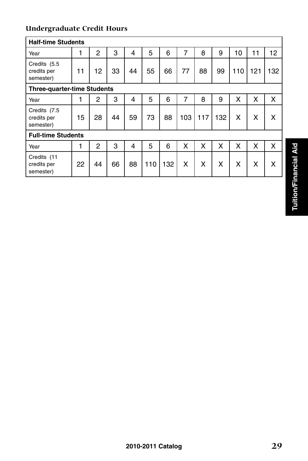## **Undergraduate Credit Hours**

| <b>Half-time Students</b>                |    |              |    |    |     |     |     |     |     |     |     |     |
|------------------------------------------|----|--------------|----|----|-----|-----|-----|-----|-----|-----|-----|-----|
| Year                                     | 1  | $\mathbf{P}$ | 3  | 4  | 5   | 6   | 7   | 8   | 9   | 10  | 11  | 12  |
| Credits (5.5<br>credits per<br>semester) | 11 | 12           | 33 | 44 | 55  | 66  | 77  | 88  | 99  | 110 | 121 | 132 |
| <b>Three-quarter-time Students</b>       |    |              |    |    |     |     |     |     |     |     |     |     |
| Year                                     |    | 2            | 3  | 4  | 5   | 6   | 7   | 8   | 9   | x   | x   | x   |
| Credits (7.5<br>credits per<br>semester) | 15 | 28           | 44 | 59 | 73  | 88  | 103 | 117 | 132 | X   | X   | x   |
| <b>Full-time Students</b>                |    |              |    |    |     |     |     |     |     |     |     |     |
| Year                                     | 1  | $\mathbf{c}$ | 3  | 4  | 5   | 6   | x   | x   | X   | X   | X   | X   |
| Credits (11<br>credits per<br>semester)  | 22 | 44           | 66 | 88 | 110 | 132 | X   | x   | X   | x   | x   | x   |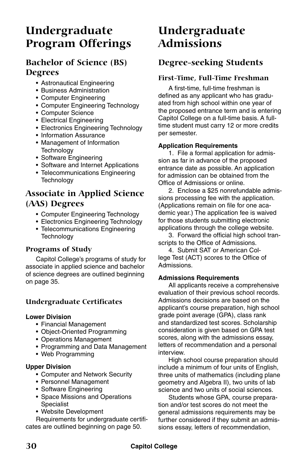## **Undergraduate Program Offerings**

## **Bachelor of Science (BS) Degrees**

- Astronautical Engineering
- Business Administration
- Computer Engineering
- Computer Engineering Technology
- Computer Science
- Electrical Engineering
- Electronics Engineering Technology
- Information Assurance
- Management of Information **Technology**
- Software Engineering
- Software and Internet Applications
- Telecommunications Engineering **Technology**

## **Associate in Applied Science (AAS) Degrees**

- Computer Engineering Technology
- Electronics Engineering Technology
- Telecommunications Engineering **Technology**

### **Programs of Study**

Capitol College's programs of study for associate in applied science and bachelor of science degrees are outlined beginning on page 35.

## **Undergraduate Certificates**

#### **Lower Division**

- Financial Management
- Object-Oriented Programming
- Operations Management
- Programming and Data Management
- Web Programming

#### **Upper Division**

- Computer and Network Security
- Personnel Management
- Software Engineering
- Space Missions and Operations Specialist
- Website Development

Requirements for undergraduate certificates are outlined beginning on page 50.

## **Undergraduate Admissions**

## **Degree-seeking Students**

#### **First-Time, Full-Time Freshman**

A first-time, full-time freshman is defined as any applicant who has graduated from high school within one year of the proposed entrance term and is entering Capitol College on a full-time basis. A fulltime student must carry 12 or more credits per semester.

#### **Application Requirements**

1. File a formal application for admission as far in advance of the proposed entrance date as possible. An application for admission can be obtained from the Office of Admissions or online.

2. Enclose a \$25 nonrefundable admissions processing fee with the application. (Applications remain on file for one academic year.) The application fee is waived for those students submitting electronic applications through the college website.

3. Forward the official high school transcripts to the Office of Admissions.

4. Submit SAT or American College Test (ACT) scores to the Office of Admissions.

#### **Admissions Requirements**

All applicants receive a comprehensive evaluation of their previous school records. Admissions decisions are based on the applicant's course preparation, high school grade point average (GPA), class rank and standardized test scores. Scholarship consideration is given based on GPA test scores, along with the admissions essay, letters of recommendation and a personal interview.

High school course preparation should include a minimum of four units of English, three units of mathematics (including plane geometry and Algebra II), two units of lab science and two units of social sciences.

Students whose GPA, course preparation and/or test scores do not meet the general admissions requirements may be further considered if they submit an admissions essay, letters of recommendation,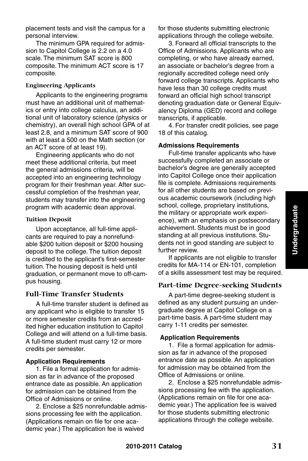placement tests and visit the campus for a personal interview.

The minimum GPA required for admission to Capitol College is 2.2 on a 4.0 scale. The minimum SAT score is 800 composite. The minimum ACT score is 17 composite.

#### **Engineering Applicants**

Applicants to the engineering programs must have an additional unit of mathematics or entry into college calculus, an additional unit of laboratory science (physics or chemistry), an overall high school GPA of at least 2.8, and a minimum SAT score of 900 with at least a 500 on the Math section (or an ACT score of at least 19).

Engineering applicants who do not meet these additional criteria, but meet the general admissions criteria, will be accepted into an engineering technology program for their freshman year. After successful completion of the freshman year, students may transfer into the engineering program with academic dean approval.

#### **Tuition Deposit**

Upon acceptance, all full-time applicants are required to pay a nonrefundable \$200 tuition deposit or \$200 housing deposit to the college. The tuition deposit is credited to the applicant's first-semester tuition. The housing deposit is held until graduation, or permanent move to off-campus housing.

#### **Full-Time Transfer Students**

A full-time transfer student is defined as any applicant who is eligible to transfer 15 or more semester credits from an accredited higher education institution to Capitol College and will attend on a full-time basis. A full-time student must carry 12 or more credits per semester.

#### **Application Requirements**

1. File a formal application for admission as far in advance of the proposed entrance date as possible. An application for admission can be obtained from the Office of Admissions or online.

2. Enclose a \$25 nonrefundable admissions processing fee with the application. (Applications remain on file for one academic year.) The application fee is waived

for those students submitting electronic applications through the college website.

3. Forward all official transcripts to the Office of Admissions. Applicants who are completing, or who have already earned, an associate or bachelor's degree from a regionally accredited college need only forward college transcripts. Applicants who have less than 30 college credits must forward an official high school transcript denoting graduation date or General Equivalency Diploma (GED) record and college transcripts, if applicable.

4. For transfer credit policies, see page 18 of this catalog.

#### **Admissions Requirements**

Full-time transfer applicants who have successfully completed an associate or bachelor's degree are generally accepted into Capitol College once their application file is complete. Admissions requirements for all other students are based on previous academic coursework (including high school, college, proprietary institutions, the military or appropriate work experience), with an emphasis on postsecondary achievement. Students must be in good standing at all previous institutions. Students not in good standing are subject to further review.

If applicants are not eligible to transfer credits for MA-114 or EN-101, completion of a skills assessment test may be required.

#### **Part-time Degree-seeking Students**

A part-time degree-seeking student is defined as any student pursuing an undergraduate degree at Capitol College on a part-time basis. A part-time student may carry 1-11 credits per semester.

#### **Application Requirements**

1. File a formal application for admission as far in advance of the proposed entrance date as possible. An application for admission may be obtained from the Office of Admissions or online.

2. Enclose a \$25 nonrefundable admissions processing fee with the application. (Applications remain on file for one academic year.) The application fee is waived for those students submitting electronic applications through the college website.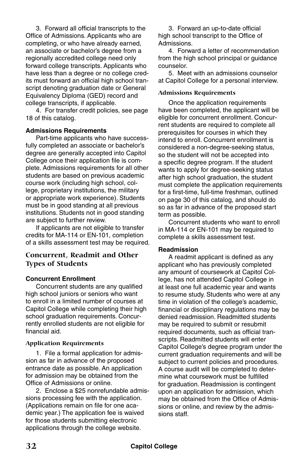3. Forward all official transcripts to the Office of Admissions. Applicants who are completing, or who have already earned, an associate or bachelor's degree from a regionally accredited college need only forward college transcripts. Applicants who have less than a degree or no college credits must forward an official high school transcript denoting graduation date or General Equivalency Diploma (GED) record and college transcripts, if applicable.

4. For transfer credit policies, see page 18 of this catalog.

#### **Admissions Requirements**

Part-time applicants who have successfully completed an associate or bachelor's degree are generally accepted into Capitol College once their application file is complete. Admissions requirements for all other students are based on previous academic course work (including high school, college, proprietary institutions, the military or appropriate work experience). Students must be in good standing at all previous institutions. Students not in good standing are subject to further review.

If applicants are not eligible to transfer credits for MA-114 or EN-101, completion of a skills assessment test may be required.

#### **Concurrent, Readmit and Other Types of Students**

#### **Concurrent Enrollment**

Concurrent students are any qualified high school juniors or seniors who want to enroll in a limited number of courses at Capitol College while completing their high school graduation requirements. Concurrently enrolled students are not eligible for financial aid.

#### **Application Requirements**

1. File a formal application for admission as far in advance of the proposed entrance date as possible. An application for admission may be obtained from the Office of Admissions or online.

2. Enclose a \$25 nonrefundable admissions processing fee with the application. (Applications remain on file for one academic year.) The application fee is waived for those students submitting electronic applications through the college website.

3. Forward an up-to-date official high school transcript to the Office of Admissions.

4. Forward a letter of recommendation from the high school principal or guidance counselor.

5. Meet with an admissions counselor at Capitol College for a personal interview.

#### **Admissions Requirements**

Once the application requirements have been completed, the applicant will be eligible for concurrent enrollment. Concurrent students are required to complete all prerequisites for courses in which they intend to enroll. Concurrent enrollment is considered a non-degree-seeking status, so the student will not be accepted into a specific degree program. If the student wants to apply for degree-seeking status after high school graduation, the student must complete the application requirements for a first-time, full-time freshman, outlined on page 30 of this catalog, and should do so as far in advance of the proposed start term as possible.

Concurrent students who want to enroll in MA-114 or EN-101 may be required to complete a skills assessment test.

#### **Readmission**

A readmit applicant is defined as any applicant who has previously completed any amount of coursework at Capitol College, has not attended Capitol College in at least one full academic year and wants to resume study. Students who were at any time in violation of the college's academic, financial or disciplinary regulations may be denied readmission. Readmitted students may be required to submit or resubmit required documents, such as official transcripts. Readmitted students will enter Capitol College's degree program under the current graduation requirements and will be subject to current policies and procedures. A course audit will be completed to determine what coursework must be fulfilled for graduation. Readmission is contingent upon an application for admission, which may be obtained from the Office of Admissions or online, and review by the admissions staff.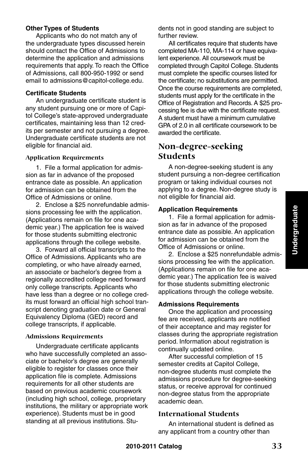### **Other Types of Students**

Applicants who do not match any of the undergraduate types discussed herein should contact the Office of Admissions to determine the application and admissions requirements that apply. To reach the Office of Admissions, call 800-950-1992 or send email to admissions@capitol-college.edu.

#### **Certificate Students**

An undergraduate certificate student is any student pursuing one or more of Capitol College's state-approved undergraduate certificates, maintaining less than 12 credits per semester and not pursuing a degree. Undergraduate certificate students are not eligible for financial aid.

#### **Application Requirements**

1. File a formal application for admission as far in advance of the proposed entrance date as possible. An application for admission can be obtained from the Office of Admissions or online.

2. Enclose a \$25 nonrefundable admissions processing fee with the application. (Applications remain on file for one academic year.) The application fee is waived for those students submitting electronic applications through the college website.

3. Forward all official transcripts to the Office of Admissions. Applicants who are completing, or who have already earned, an associate or bachelor's degree from a regionally accredited college need forward only college transcripts. Applicants who have less than a degree or no college credits must forward an official high school transcript denoting graduation date or General Equivalency Diploma (GED) record and college transcripts, if applicable.

#### **Admissions Requirements**

Undergraduate certificate applicants who have successfully completed an associate or bachelor's degree are generally eligible to register for classes once their application file is complete. Admissions requirements for all other students are based on previous academic coursework (including high school, college, proprietary institutions, the military or appropriate work experience). Students must be in good standing at all previous institutions. Students not in good standing are subject to further review

All certificates require that students have completed MA-110, MA-114 or have equivalent experience. All coursework must be completed through Capitol College. Students must complete the specific courses listed for the certificate; no substitutions are permitted. Once the course requirements are completed, students must apply for the certificate in the Office of Registration and Records. A \$25 processing fee is due with the certificate request. A student must have a minimum cumulative GPA of 2.0 in all certificate coursework to be awarded the certificate.

### **Non-degree-seeking Students**

A non-degree-seeking student is any student pursuing a non-degree certification program or taking individual courses not applying to a degree. Non-degree study is not eligible for financial aid.

#### **Application Requirements**

1. File a formal application for admission as far in advance of the proposed entrance date as possible. An application for admission can be obtained from the Office of Admissions or online.

2. Enclose a \$25 nonrefundable admissions processing fee with the application. (Applications remain on file for one academic year.) The application fee is waived for those students submitting electronic applications through the college website.

#### **Admissions Requirements**

Once the application and processing fee are received, applicants are notified of their acceptance and may register for classes during the appropriate registration period. Information about registration is continually updated online.

After successful completion of 15 semester credits at Capitol College, non-degree students must complete the admissions procedure for degree-seeking status, or receive approval for continued non-degree status from the appropriate academic dean.

#### **International Students**

An international student is defined as any applicant from a country other than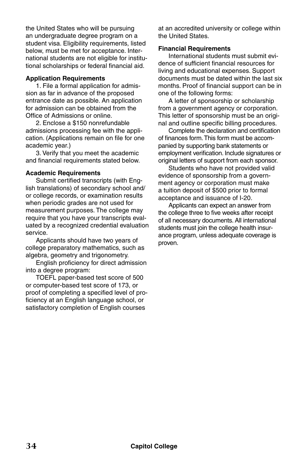the United States who will be pursuing an undergraduate degree program on a student visa. Eligibility requirements, listed below, must be met for acceptance. International students are not eligible for institutional scholarships or federal financial aid.

### **Application Requirements**

1. File a formal application for admission as far in advance of the proposed entrance date as possible. An application for admission can be obtained from the Office of Admissions or online.

2. Enclose a \$150 nonrefundable admissions processing fee with the application. (Applications remain on file for one academic year.)

3. Verify that you meet the academic and financial requirements stated below.

### **Academic Requirements**

Submit certified transcripts (with English translations) of secondary school and/ or college records, or examination results when periodic grades are not used for measurement purposes. The college may require that you have your transcripts evaluated by a recognized credential evaluation service.

Applicants should have two years of college preparatory mathematics, such as algebra, geometry and trigonometry.

English proficiency for direct admission into a degree program:

TOEFL paper-based test score of 500 or computer-based test score of 173, or proof of completing a specified level of proficiency at an English language school, or satisfactory completion of English courses

at an accredited university or college within the United States.

### **Financial Requirements**

International students must submit evidence of sufficient financial resources for living and educational expenses. Support documents must be dated within the last six months. Proof of financial support can be in one of the following forms:

A letter of sponsorship or scholarship from a government agency or corporation. This letter of sponsorship must be an original and outline specific billing procedures.

Complete the declaration and certification of finances form. This form must be accompanied by supporting bank statements or employment verification. Include signatures or original letters of support from each sponsor.

Students who have not provided valid evidence of sponsorship from a government agency or corporation must make a tuition deposit of \$500 prior to formal acceptance and issuance of I-20.

Applicants can expect an answer from the college three to five weeks after receipt of all necessary documents. All international students must join the college health insurance program, unless adequate coverage is proven.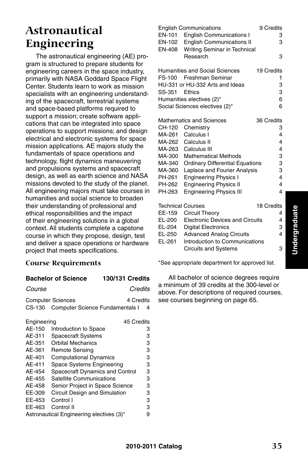## **Astronautical Engineering**

The astronautical engineering (AE) program is structured to prepare students for engineering careers in the space industry, primarily with NASA Goddard Space Flight Center. Students learn to work as mission specialists with an engineering understanding of the spacecraft, terrestrial systems and space-based platforms required to support a mission; create software applications that can be integrated into space operations to support missions; and design electrical and electronic systems for space mission applications. AE majors study the fundamentals of space operations and technology, flight dynamics maneuvering and propulsions systems and spacecraft design, as well as earth science and NASA missions devoted to the study of the planet. All engineering majors must take courses in humanities and social science to broaden their understanding of professional and ethical responsibilities and the impact of their engineering solutions in a global context. All students complete a capstone course in which they propose, design, test and deliver a space operations or hardware project that meets specifications.

### **Course Requirements**

|               | <b>Bachelor of Science</b>                                         | <b>130/131 Credits</b> |   |
|---------------|--------------------------------------------------------------------|------------------------|---|
| <i>Course</i> |                                                                    | Credits                |   |
| CS-130        | <b>Computer Sciences</b><br><b>Computer Science Fundamentals I</b> | 4 Credits              | 4 |
| Engineering   |                                                                    | 45 Credits             |   |
| AE-150        | Introduction to Space                                              |                        | 3 |
| AE-311        | <b>Spacecraft Systems</b>                                          |                        | 3 |
| AE-351        | <b>Orbital Mechanics</b>                                           |                        | 3 |
| AE-361        | Remote Sensing                                                     |                        | 3 |
| AE-401        | <b>Computational Dynamics</b>                                      |                        | 3 |
| AE-411        | Space Systems Engineering                                          |                        | 3 |
| AE-454        | Spacecraft Dynamics and Control                                    |                        | 3 |
| AE-455        | Satellite Communications                                           |                        | 3 |
| AE-458        | Senior Project in Space Science                                    |                        | 3 |
| EE-309        | Circuit Design and Simulation                                      |                        | 3 |
| EE-453        | Control I                                                          |                        | 3 |
| EE-463        | Control II                                                         |                        | 3 |
|               | Astronautical Engineering electives (3)*                           |                        | 9 |

|                          | <b>English Communications</b>          | 9 Credits  |
|--------------------------|----------------------------------------|------------|
| EN-101                   | <b>English Communications I</b>        | 3          |
| EN-102                   | <b>English Communications II</b>       | 3          |
| EN-408                   | Writing Seminar in Technical           |            |
|                          | Research                               | 3          |
|                          |                                        |            |
|                          | Humanities and Social Sciences         | 19 Credits |
|                          | FS-100 Freshman Seminar                | 1          |
|                          | HU-331 or HU-332 Arts and Ideas        | 3          |
| SS-351 Ethics            |                                        | 3          |
|                          | Humanities electives (2)*              | 6          |
|                          | Social Sciences electives (2)*         | 6          |
|                          |                                        |            |
|                          | <b>Mathematics and Sciences</b>        | 36 Credits |
| CH-120                   | Chemistry                              | 3          |
| MA-261                   | Calculus I                             | 4          |
| MA-262                   | Calculus II                            | 4          |
| MA-263                   | Calculus III                           | 4          |
| MA-300                   | <b>Mathematical Methods</b>            | 3          |
| MA-340                   | <b>Ordinary Differential Equations</b> | 3          |
| MA-360                   | Laplace and Fourier Analysis           | 3          |
| PH-261                   | <b>Engineering Physics I</b>           | 4          |
| PH-262                   | <b>Engineering Physics II</b>          | 4          |
| PH-263                   | <b>Engineering Physics III</b>         | 4          |
|                          |                                        |            |
| <b>Technical Courses</b> |                                        | 18 Credits |
| EE-159                   | <b>Circuit Theory</b>                  | 4          |
| EL-200                   | <b>Electronic Devices and Circuits</b> | 4          |
| EL-204                   | <b>Digital Electronics</b>             | 3          |
| EL-250                   | <b>Advanced Analog Circuits</b>        | 4          |
| EL-261                   | Introduction to Communications         |            |
|                          | <b>Circuits and Systems</b>            | 3          |
|                          |                                        |            |

\*See appropriate department for approved list.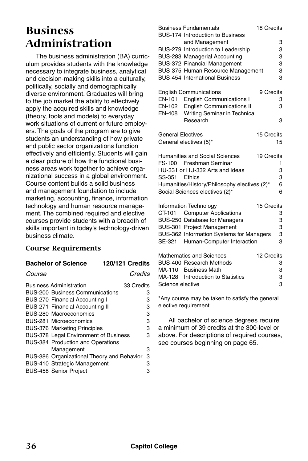## **Business Administration**

The business administration (BA) curriculum provides students with the knowledge necessary to integrate business, analytical and decision-making skills into a culturally, politically, socially and demographically diverse environment. Graduates will bring to the job market the ability to effectively apply the acquired skills and knowledge (theory, tools and models) to everyday work situations of current or future employers. The goals of the program are to give students an understanding of how private and public sector organizations function effectively and efficiently. Students will gain a clear picture of how the functional business areas work together to achieve organizational success in a global environment. Course content builds a solid business and management foundation to include marketing, accounting, finance, information technology and human resource management. The combined required and elective courses provide students with a breadth of skills important in today's technology-driven business climate.

### **Course Requirements**

#### **Bachelor of Science 120/121 Credits**

*Course Credits*

| <b>Business Administration</b>             | 33 Credits |
|--------------------------------------------|------------|
| <b>BUS-200 Business Communications</b>     | 3          |
| <b>BUS-270 Financial Accounting I</b>      | з          |
| <b>BUS-271 Financial Accounting II</b>     | з          |
| BUS-280 Macroeconomics                     | з          |
| BUS-281 Microeconomics                     | з          |
| <b>BUS-376 Marketing Principles</b>        | з          |
| BUS-378 Legal Environment of Business      | з          |
| BUS-384 Production and Operations          |            |
| Management                                 | з          |
| BUS-386 Organizational Theory and Behavior | 3          |
| <b>BUS-410 Strategic Management</b>        | з          |
| <b>BUS-458 Senior Project</b>              |            |
|                                            |            |

|                          | <b>Business Fundamentals</b><br>BUS-174 Introduction to Business | 18 Credits |
|--------------------------|------------------------------------------------------------------|------------|
|                          | and Management                                                   | 3          |
|                          | BUS-279 Introduction to Leadership                               | 3          |
|                          | BUS-283 Managerial Accounting                                    | 3          |
|                          | BUS-372 Financial Management                                     | 3          |
|                          | BUS-375 Human Resource Management                                | 3          |
|                          | <b>BUS-454 International Business</b>                            | 3          |
|                          | <b>English Communications</b>                                    | 9 Credits  |
| EN-101                   | <b>English Communications I</b>                                  | 3          |
| EN-102                   | <b>English Communications II</b>                                 | 3          |
| EN-408                   | <b>Writing Seminar in Technical</b><br>Research                  | 3          |
| <b>General Electives</b> |                                                                  | 15 Credits |
|                          | General electives (5)*                                           | 15         |
|                          |                                                                  |            |
|                          | <b>Humanities and Social Sciences</b>                            | 19 Credits |
|                          | FS-100 Freshman Seminar                                          | 1          |
|                          | HU-331 or HU-332 Arts and Ideas                                  | 3          |
| SS-351                   | Ethics                                                           | 3          |
|                          | Humanities/History/Philosophy electives (2)*                     | 6<br>6     |
|                          | Social Sciences electives (2)*                                   |            |
|                          | Information Technology                                           | 15 Credits |
| CT-101                   | <b>Computer Applications</b>                                     | 3          |
|                          | <b>BUS-250 Database for Managers</b>                             | 3          |
|                          | BUS-301 Project Management                                       | 3          |
|                          | BUS-362 Information Systems for Managers                         | 3<br>3     |
| SE-321                   | Human-Computer Interaction                                       |            |
|                          | <b>Mathematics and Sciences</b>                                  | 12 Credits |
|                          | <b>BUS-400 Research Methods</b>                                  | 3          |
|                          | MA-110 Business Math                                             | 3          |
| MA-128                   |                                                                  |            |
|                          | Introduction to Statistics                                       | 3          |
| Science elective         |                                                                  | 3          |

\*Any course may be taken to satisfy the general elective requirement.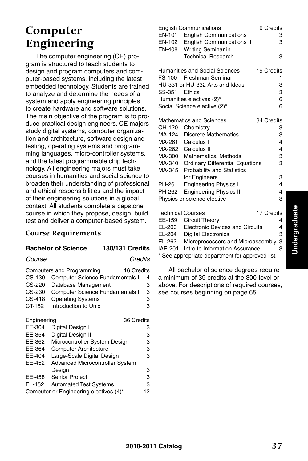## **Computer Engineering**

The computer engineering (CE) program is structured to teach students to design and program computers and computer-based systems, including the latest embedded technology. Students are trained to analyze and determine the needs of a system and apply engineering principles to create hardware and software solutions. The main objective of the program is to produce practical design engineers. CE majors study digital systems, computer organization and architecture, software design and testing, operating systems and programming languages, micro-controller systems, and the latest programmable chip technology. All engineering majors must take courses in humanities and social science to broaden their understanding of professional and ethical responsibilities and the impact of their engineering solutions in a global context. All students complete a capstone course in which they propose, design, build, test and deliver a computer-based system.

### **Course Requirements**

### **Bachelor of Science 130/131 Credits**

#### *Course Credits*

| 16 Credits<br>Computers and Programming |   |
|-----------------------------------------|---|
| CS-130 Computer Science Fundamentals I  | 4 |
| CS-220 Database Management              | з |
| CS-230 Computer Science Fundamentals II | 3 |
| CS-418 Operating Systems                | З |
| CT-152 Introduction to Unix             | З |
|                                         |   |

| Engineering |                                        | 36 Credits |
|-------------|----------------------------------------|------------|
| EE-304      | Digital Design I                       | 3          |
| EE-354      | Digital Design II                      | 3          |
| EE-362      | Microcontroller System Design          | 3          |
| EE-364      | <b>Computer Architecture</b>           | 3          |
| EE-404      | Large-Scale Digital Design             | 3          |
| EE-452      | <b>Advanced Microcontroller System</b> |            |
|             | Design                                 | 3          |
| EE-458      | <b>Senior Project</b>                  | 3          |
| EL-452      | <b>Automated Test Systems</b>          | 3          |
|             | Computer or Engineering electives (4)* | 12         |
|             |                                        |            |

|                                                 | <b>English Communications</b>          | 9 Credits  |  |
|-------------------------------------------------|----------------------------------------|------------|--|
| EN-101                                          | <b>English Communications I</b>        | 3          |  |
| EN-102                                          | <b>English Communications II</b>       | 3          |  |
| <b>EN-408</b>                                   | Writing Seminar in                     |            |  |
|                                                 | <b>Technical Research</b>              | 3          |  |
|                                                 | <b>Humanities and Social Sciences</b>  |            |  |
|                                                 | FS-100 Freshman Seminar                | 19 Credits |  |
|                                                 | HU-331 or HU-332 Arts and Ideas        | 1<br>3     |  |
| SS-351 Ethics                                   |                                        | 3          |  |
|                                                 |                                        | 6          |  |
|                                                 | Humanities electives (2)*              | 6          |  |
|                                                 | Social Science elective (2)*           |            |  |
|                                                 | <b>Mathematics and Sciences</b>        | 34 Credits |  |
| CH-120                                          | Chemistry                              | 3          |  |
| MA-124                                          | <b>Discrete Mathematics</b>            | 3          |  |
| MA-261                                          | Calculus I                             | 4          |  |
| MA-262                                          | Calculus II                            | 4          |  |
| MA-300                                          | <b>Mathematical Methods</b>            | 3          |  |
| MA-340                                          | <b>Ordinary Differential Equations</b> | 3          |  |
| MA-345                                          | <b>Probability and Statistics</b>      |            |  |
|                                                 | for Engineers                          | 3          |  |
| PH-261                                          | <b>Engineering Physics I</b>           | 4          |  |
| PH-262                                          | <b>Engineering Physics II</b>          | 4          |  |
|                                                 | Physics or science elective            | 3          |  |
|                                                 | <b>Technical Courses</b>               | 17 Credits |  |
| EE-159                                          | <b>Circuit Theory</b>                  | 4          |  |
| EL-200                                          | <b>Electronic Devices and Circuits</b> | 4          |  |
| EL-204                                          | <b>Digital Electronics</b>             | 3          |  |
| EL-262                                          | Microprocessors and Microassembly      | 3          |  |
| IAE-201                                         | Intro to Information Assurance         | 3          |  |
|                                                 |                                        |            |  |
| * See appropriate department for approved list. |                                        |            |  |

All bachelor of science degrees require a minimum of 39 credits at the 300-level or above. For descriptions of required courses,

see courses beginning on page 65.

**Undergraduate Undergraduate**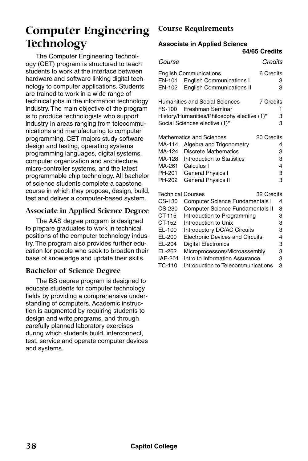## **Computer Engineering Technology**

The Computer Engineering Technology (CET) program is structured to teach students to work at the interface between hardware and software linking digital technology to computer applications. Students are trained to work in a wide range of technical jobs in the information technology industry. The main objective of the program is to produce technologists who support industry in areas ranging from telecommunications and manufacturing to computer programming. CET majors study software design and testing, operating systems programming languages, digital systems, computer organization and architecture, micro-controller systems, and the latest programmable chip technology. All bachelor of science students complete a capstone course in which they propose, design, build, test and deliver a computer-based system.

### **Associate in Applied Science Degree**

The AAS degree program is designed to prepare graduates to work in technical positions of the computer technology industry. The program also provides further education for people who seek to broaden their base of knowledge and update their skills.

### **Bachelor of Science Degree**

The BS degree program is designed to educate students for computer technology fields by providing a comprehensive understanding of computers. Academic instruction is augmented by requiring students to design and write programs, and through carefully planned laboratory exercises during which students build, interconnect, test, service and operate computer devices and systems.

### **Course Requirements**

### **Associate in Applied Science**

|                                                          |                                                                                                                                                                                          | 64/65 Credits                            |
|----------------------------------------------------------|------------------------------------------------------------------------------------------------------------------------------------------------------------------------------------------|------------------------------------------|
| <i>Course</i>                                            |                                                                                                                                                                                          | Credits                                  |
| EN-101<br>EN-102                                         | <b>English Communications</b><br><b>English Communications I</b><br><b>English Communications II</b>                                                                                     | 6 Credits<br>3<br>3                      |
| FS-100                                                   | <b>Humanities and Social Sciences</b><br>Freshman Seminar<br>History/Humanities/Philosophy elective (1)*<br>Social Sciences elective (1)*                                                | 7 Credits<br>1<br>3<br>3                 |
| MA-114<br>MA-124<br>MA-128<br>MA-261<br>PH-201<br>PH-202 | <b>Mathematics and Sciences</b><br>Algebra and Trigonometry<br><b>Discrete Mathematics</b><br>Introduction to Statistics<br>Calculus I<br>General Physics I<br><b>General Physics II</b> | 20 Credits<br>4<br>3<br>3<br>4<br>3<br>3 |
|                                                          | <b>Technical Courses</b>                                                                                                                                                                 | 32 Credits                               |
| CS-130                                                   | <b>Computer Science Fundamentals I</b>                                                                                                                                                   | 4                                        |
| CS-230                                                   | Computer Science Fundamentals II                                                                                                                                                         | 3                                        |
| CT-115                                                   | Introduction to Programming                                                                                                                                                              | 3                                        |
| CT-152                                                   | Introduction to Unix                                                                                                                                                                     | 3                                        |
| EL-100                                                   | <b>Introductory DC/AC Circuits</b>                                                                                                                                                       | 3                                        |
| EL-200                                                   | <b>Electronic Devices and Circuits</b>                                                                                                                                                   | 4                                        |
| EL-204<br>EL-262                                         | <b>Digital Electronics</b><br>Microprocessors/Microassembly                                                                                                                              | 3<br>3                                   |
| <b>IAE-201</b>                                           | Intro to Information Assurance                                                                                                                                                           | 3                                        |
| TC-110                                                   | Introduction to Telecommunications                                                                                                                                                       | 3                                        |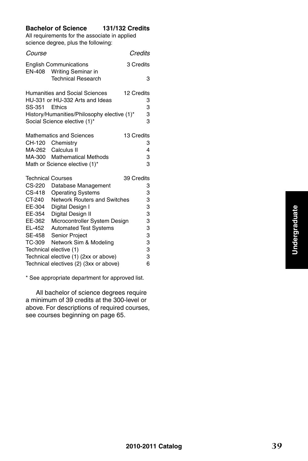### **Bachelor of Science 131/132 Credits**

All requirements for the associate in applied science degree, plus the following:

| Course                   |                                                            | Credits    |        |
|--------------------------|------------------------------------------------------------|------------|--------|
|                          | <b>English Communications</b><br>EN-408 Writing Seminar in | 3 Credits  |        |
|                          | <b>Technical Research</b>                                  |            | 3      |
|                          | <b>Humanities and Social Sciences</b>                      | 12 Credits |        |
|                          | HU-331 or HU-332 Arts and Ideas                            |            | 3      |
| SS-351                   | <b>Fthics</b>                                              |            | 3      |
|                          | History/Humanities/Philosophy elective (1)*                |            | 3      |
|                          | Social Science elective (1)*                               |            | 3      |
|                          | <b>Mathematics and Sciences</b>                            | 13 Credits |        |
|                          | CH-120 Chemistry                                           |            | 3      |
|                          | MA-262 Calculus II                                         |            | 4      |
|                          | MA-300 Mathematical Methods                                |            | 3      |
|                          | Math or Science elective (1)*                              |            | 3      |
| <b>Technical Courses</b> |                                                            | 39 Credits |        |
| CS-220                   | Database Management                                        |            | 3      |
| CS-418                   | <b>Operating Systems</b>                                   |            | 3      |
| CT-240                   | <b>Network Routers and Switches</b>                        |            | 3      |
| EE-304                   | Digital Design I                                           |            | 3      |
| EE-354                   | Digital Design II                                          |            | 3      |
| EE-362                   | Microcontroller System Design                              |            | 3      |
| EL-452                   | <b>Automated Test Systems</b>                              |            | 3<br>З |
| SE-458                   | Senior Project                                             |            |        |
| TC-309                   | Network Sim & Modeling                                     |            | 3      |
|                          | Technical elective (1)                                     |            | 3      |
|                          | Technical elective (1) (2xx or above)                      |            | 3      |
|                          | Technical electives (2) (3xx or above)                     |            | 6      |

\* See appropriate department for approved list.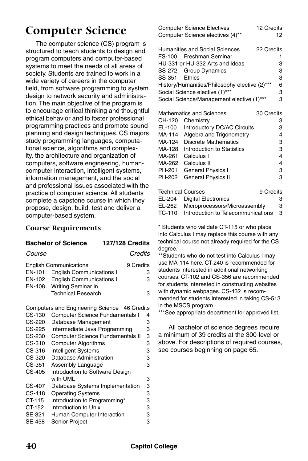## **Computer Science**

The computer science (CS) program is structured to teach students to design and program computers and computer-based systems to meet the needs of all areas of society. Students are trained to work in a wide variety of careers in the computer field, from software programming to system design to network security and administration. The main objective of the program is to encourage critical thinking and thoughtful ethical behavior and to foster professional programming practices and promote sound planning and design techniques. CS majors study programming languages, computational science, algorithms and complexity, the architecture and organization of computers, software engineering, humancomputer interaction, intelligent systems, information management, and the social and professional issues associated with the practice of computer science. All students complete a capstone course in which they propose, design, build, test and deliver a computer-based system.

### **Course Requirements**

### **Bachelor of Science 127/128 Credits**

| <b>English Communications</b>           | 9 Credits |
|-----------------------------------------|-----------|
| EN-101 English Communications I         | з         |
| <b>EN-102</b> English Communications II | з         |
| EN-408 Writing Seminar in               |           |
| <b>Technical Research</b>               | з         |
|                                         |           |

*Course Credits*

Computers and Engineering Science 46 Credits

| $CS-130$      | <b>Computer Science Fundamentals I</b>  | 4 |
|---------------|-----------------------------------------|---|
| $CS-220$      | Database Management                     | з |
| CS-225        | Intermediate Java Programming           | з |
| CS-230        | <b>Computer Science Fundamentals II</b> | 3 |
| CS-310        | <b>Computer Algorithms</b>              | 3 |
| CS-316        | <b>Intelligent Systems</b>              | 3 |
| CS-320        | Database Administration                 | 3 |
| $CS-351$      | Assembly Language                       | 3 |
| CS-405        | Introduction to Software Design         |   |
|               | with UML                                | 3 |
| CS-407        | Database Systems Implementation         | 3 |
| $CS-418$      | <b>Operating Systems</b>                | З |
| CT-115        | Introduction to Programming*            | 3 |
| CT-152        | Introduction to Unix                    | 3 |
| SE-321        | Human Computer Interaction              | З |
| <b>SE-458</b> | <b>Senior Project</b>                   | 3 |
|               |                                         |   |

|        | <b>Computer Science Electives</b>             | 12 Credits |
|--------|-----------------------------------------------|------------|
|        | Computer Science electives (4)**              | 12         |
|        | Humanities and Social Sciences                | 22 Credits |
| FS-100 | Freshman Seminar                              |            |
|        | HU-331 or HU-332 Arts and Ideas               | 3          |
|        | SS-272 Group Dynamics                         | 3          |
| SS-351 | Ethics                                        | 3          |
|        | History/Humanities/Philosophy elective (2)*** | 6          |
|        | Social Science elective (1)***                | 3          |
|        | Social Science/Management elective (1)***     | 3          |
|        |                                               |            |
|        | Mathematics and Sciences                      | 30 Credits |
| CH-120 | Chemistry                                     | З          |
| EL-100 | <b>Introductory DC/AC Circuits</b>            | 3          |
| MA-114 | Algebra and Trigonometry                      | 4          |
| MA-124 | <b>Discrete Mathematics</b>                   | 3          |
| MA-128 | Introduction to Statistics                    | 3          |
| MA-261 | Calculus I                                    | 4          |
| MA-262 | Calculus II                                   | 4          |

|        | 9 Credits<br><b>Technical Courses</b> |   |
|--------|---------------------------------------|---|
|        | EL-204 Digital Electronics            | з |
| EL-262 | Microprocessors/Microassembly         | з |
| TC-110 | Introduction to Telecommunications    | 3 |

PH-201 General Physics I 3 PH-202 General Physics II 3

\* Students who validate CT-115 or who place into Calculus I may replace this course with any technical course not already required for the CS degree.

\*\*Students who do not test into Calculus I may use MA-114 here. CT-240 is recommended for students interested in additional networking courses. CT-102 and CS-356 are recommended for students interested in constructing websites with dynamic webpages. CS-432 is recommended for students interested in taking CS-513 in the MSCS program.

\*\*\*See appropriate department for approved list.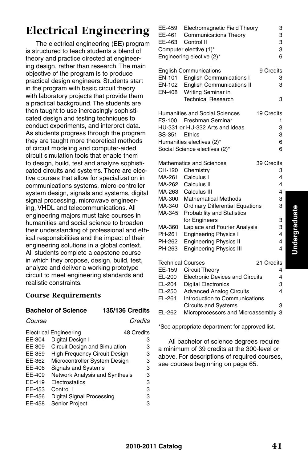### **2010-2011 Catalog 41**

## **Electrical Engineering**

The electrical engineering (EE) program is structured to teach students a blend of theory and practice directed at engineering design, rather than research. The main objective of the program is to produce practical design engineers. Students start in the program with basic circuit theory with laboratory projects that provide them a practical background. The students are then taught to use increasingly sophisticated design and testing techniques to conduct experiments, and interpret data. As students progress through the program they are taught more theoretical methods of circuit modeling and computer-aided circuit simulation tools that enable them to design, build, test and analyze sophisticated circuits and systems. There are elective courses that allow for specialization in communications systems, micro-controller system design, signals and systems, digital signal processing, microwave engineering, VHDL and telecommunications. All engineering majors must take courses in humanities and social science to broaden their understanding of professional and ethical responsibilities and the impact of their engineering solutions in a global context. All students complete a capstone course in which they propose, design, build, test, analyze and deliver a working prototype circuit to meet engineering standards and realistic constraints.

### **Course Requirements**

### **Bachelor of Science 135/136 Credits**

*Course Credits*

|        | <b>Electrical Engineering</b>        | 48 Credits |
|--------|--------------------------------------|------------|
| EE-304 | Digital Design I                     | 3          |
| EE-309 | Circuit Design and Simulation        | 3          |
| EE-359 | <b>High Frequency Circuit Design</b> | 3          |
| EE-362 | Microcontroller System Design        | 3          |
| EE-406 | <b>Signals and Systems</b>           | 3          |
| EE-409 | Network Analysis and Synthesis       | 3          |
| EE-419 | Electrostatics                       | 3          |
| EE-453 | Control I                            | 3          |
| EE-456 | <b>Digital Signal Processing</b>     | 3          |
| EE-458 | <b>Senior Project</b>                | 3          |
|        |                                      |            |

| EE-459<br>EE-461<br>EE-463                                                                                 | Electromagnetic Field Theory<br><b>Communications Theory</b><br>Control II<br>Computer elective (1)*<br>Engineering elective (2)*                                                                                                                                                                                                                           | 3<br>3<br>3<br>3<br>6                                             |
|------------------------------------------------------------------------------------------------------------|-------------------------------------------------------------------------------------------------------------------------------------------------------------------------------------------------------------------------------------------------------------------------------------------------------------------------------------------------------------|-------------------------------------------------------------------|
| EN-101<br>EN-102<br><b>EN-408</b>                                                                          | <b>English Communications</b><br><b>English Communications I</b><br><b>English Communications II</b><br>Writing Seminar in<br><b>Technical Research</b>                                                                                                                                                                                                     | 9 Credits<br>3<br>3<br>3                                          |
| FS-100<br>SS-351                                                                                           | Humanities and Social Sciences<br>Freshman Seminar<br>HU-331 or HU-332 Arts and Ideas<br>Ethics<br>Humanities electives (2)*<br>Social Science electives (2)*                                                                                                                                                                                               | 19 Credits<br>1<br>3<br>3<br>6<br>6                               |
| CH-120<br>MA-261<br>MA-262<br>MA-263<br>MA-300<br>MA-340<br>MA-345<br>MA-360<br>PH-261<br>PH-262<br>PH-263 | <b>Mathematics and Sciences</b><br>Chemistry<br>Calculus I<br>Calculus II<br>Calculus III<br><b>Mathematical Methods</b><br><b>Ordinary Differential Equations</b><br><b>Probability and Statistics</b><br>for Engineers<br>Laplace and Fourier Analysis<br><b>Engineering Physics I</b><br><b>Engineering Physics II</b><br><b>Engineering Physics III</b> | 39 Credits<br>3<br>4<br>4<br>4<br>3<br>3<br>3<br>3<br>4<br>4<br>4 |
| EE-159<br>EL-200<br>EL-204<br>EL-250<br>EL-261                                                             | <b>Technical Courses</b><br>Circuit Theory<br><b>Electronic Devices and Circuits</b><br><b>Digital Electronics</b><br><b>Advanced Analog Circuits</b><br>Introduction to Communications<br><b>Circuits and Systems</b>                                                                                                                                      | 21 Credits<br>4<br>4<br>3<br>4<br>3                               |
|                                                                                                            |                                                                                                                                                                                                                                                                                                                                                             |                                                                   |

EL-262 Microprocessors and Microassembly 3

\*See appropriate department for approved list.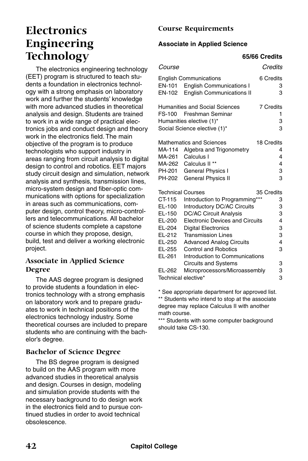## **Electronics Engineering Technology**

The electronics engineering technology (EET) program is structured to teach students a foundation in electronics technology with a strong emphasis on laboratory work and further the students' knowledge with more advanced studies in theoretical analysis and design. Students are trained to work in a wide range of practical electronics jobs and conduct design and theory work in the electronics field. The main objective of the program is to produce technologists who support industry in areas ranging from circuit analysis to digital design to control and robotics. EET majors study circuit design and simulation, network analysis and synthesis, transmission lines, micro-system design and fiber-optic communications with options for specialization in areas such as communications, computer design, control theory, micro-controllers and telecommunications. All bachelor of science students complete a capstone course in which they propose, design, build, test and deliver a working electronic project.

### **Associate in Applied Science Degree**

The AAS degree program is designed to provide students a foundation in electronics technology with a strong emphasis on laboratory work and to prepare graduates to work in technical positions of the electronics technology industry. Some theoretical courses are included to prepare students who are continuing with the bachelor's degree.

### **Bachelor of Science Degree**

The BS degree program is designed to build on the AAS program with more advanced studies in theoretical analysis and design. Courses in design, modeling and simulation provide students with the necessary background to do design work in the electronics field and to pursue continued studies in order to avoid technical obsolescence.

### **Course Requirements**

### **Associate in Applied Science**

|                                                                                                                    |                                                                                                                                                                                                                                                                                                                                               | 65/66 Credits                                           |
|--------------------------------------------------------------------------------------------------------------------|-----------------------------------------------------------------------------------------------------------------------------------------------------------------------------------------------------------------------------------------------------------------------------------------------------------------------------------------------|---------------------------------------------------------|
| <i>Course</i>                                                                                                      |                                                                                                                                                                                                                                                                                                                                               | Credits                                                 |
| <b>EN-101</b><br>EN-102                                                                                            | <b>English Communications</b><br><b>English Communications I</b><br><b>English Communications II</b>                                                                                                                                                                                                                                          | 6 Credits<br>3<br>3                                     |
| FS-100                                                                                                             | Humanities and Social Sciences<br>Freshman Seminar<br>Humanities elective (1)*<br>Social Science elective (1)*                                                                                                                                                                                                                                | 7 Credits<br>1<br>3<br>3                                |
| MA-114<br>MA-261<br>MA-262<br>PH-201<br>PH-202                                                                     | <b>Mathematics and Sciences</b><br>Algebra and Trigonometry<br>Calculus I<br>Calculus II <sup>**</sup><br><b>General Physics I</b><br><b>General Physics II</b>                                                                                                                                                                               | 18 Credits<br>4<br>4<br>4<br>3<br>3                     |
| <b>Technical Courses</b><br>CT-115<br>EL-100<br>EL-150<br>EL-200<br>EL-204<br>EL-212<br>EL-250<br>EL-255<br>EL-261 | Introduction to Programming***<br><b>Introductory DC/AC Circuits</b><br><b>DC/AC Circuit Analysis</b><br><b>Electronic Devices and Circuits</b><br><b>Digital Electronics</b><br><b>Transmission Lines</b><br><b>Advanced Analog Circuits</b><br><b>Control and Robotics</b><br>Introduction to Communications<br><b>Circuits and Systems</b> | 35 Credits<br>3<br>3<br>3<br>4<br>3<br>3<br>4<br>3<br>3 |
| EL-262<br>Technical elective*                                                                                      | Microprocessors/Microassembly                                                                                                                                                                                                                                                                                                                 | 3<br>3                                                  |

\* See appropriate department for approved list. \*\* Students who intend to stop at the associate degree may replace Calculus II with another math course.

\*\*\* Students with some computer background should take CS-130.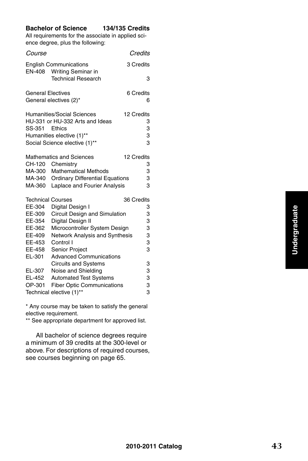### **Bachelor of Science 134/135 Credits**

All requirements for the associate in applied science degree, plus the following:

| Course                   |                                                     |            | Credits     |
|--------------------------|-----------------------------------------------------|------------|-------------|
| EN-408                   | <b>English Communications</b><br>Writing Seminar in | 3 Credits  |             |
|                          | <b>Technical Research</b>                           |            | 3           |
| <b>General Electives</b> |                                                     | 6 Credits  |             |
|                          | General electives (2)*                              |            | 6           |
|                          | <b>Humanities/Social Sciences</b>                   | 12 Credits |             |
|                          | HU-331 or HU-332 Arts and Ideas                     |            | 3           |
| SS-351                   | Ethics                                              |            | 3           |
|                          | Humanities elective (1)**                           |            | 3           |
|                          | Social Science elective (1)**                       |            | 3           |
|                          | <b>Mathematics and Sciences</b>                     | 12 Credits |             |
| CH-120                   | Chemistry                                           |            | 3           |
| MA-300                   | <b>Mathematical Methods</b>                         |            | 3           |
| MA-340                   | <b>Ordinary Differential Equations</b>              |            | 3           |
| MA-360                   | Laplace and Fourier Analysis                        |            | 3           |
| <b>Technical Courses</b> |                                                     | 36 Credits |             |
| EE-304                   | Digital Design I                                    |            | 3           |
| EE-309                   | Circuit Design and Simulation                       |            | 3           |
| EE-354                   | Digital Design II                                   |            | 3           |
| EE-362                   | Microcontroller System Design                       |            | 3           |
| EE-409                   | Network Analysis and Synthesis                      |            | 3           |
| EE-453                   | Control I                                           |            | 3           |
| EE-458                   | Senior Project                                      |            | 3           |
| EL-301                   | <b>Advanced Communications</b>                      |            |             |
|                          | <b>Circuits and Systems</b>                         |            | 3           |
| EL-307                   | Noise and Shielding                                 |            |             |
| EL-452                   | <b>Automated Test Systems</b>                       |            | 3<br>3<br>3 |
| OP-301                   | <b>Fiber Optic Communications</b>                   |            |             |
|                          | Technical elective (1)**                            |            | 3           |

\* Any course may be taken to satisfy the general elective requirement.

\*\* See appropriate department for approved list.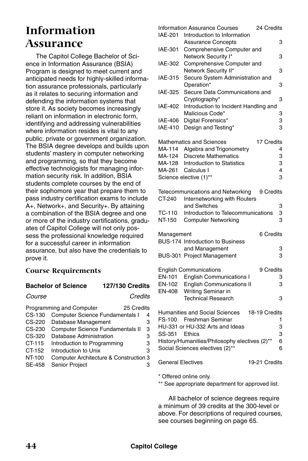## **Information Assurance**

The Capitol College Bachelor of Science in Information Assurance (BSIA) Program is designed to meet current and anticipated needs for highly-skilled information assurance professionals, particularly as it relates to securing information and defending the information systems that store it. As society becomes increasingly reliant on information in electronic form, identifying and addressing vulnerabilities where information resides is vital to any public, private or government organization. The BSIA degree develops and builds upon students' mastery in computer networking and programming, so that they become effective technologists for managing information security risk. In addition, BSIA students complete courses by the end of their sophomore year that prepare them to pass industry certification exams to include A+, Network+, and Security+. By attaining a combination of the BSIA degree and one or more of the industry certifications, graduates of Capitol College will not only possess the professional knowledge required for a successful career in information assurance, but also have the credentials to prove it.

### **Course Requirements**

### **Bachelor of Science 127/130 Credits**

#### *Course Credits*

| Programming and Computer<br>25 Credits |                                        |   |
|----------------------------------------|----------------------------------------|---|
| CS-130                                 | <b>Computer Science Fundamentals I</b> | 4 |
| CS-220                                 | Database Management                    | 3 |
| CS-230                                 | Computer Science Fundamentals II       | 3 |
| CS-320                                 | Database Administration                | 3 |
| CT-115                                 | Introduction to Programming            | з |
| CT-152                                 | Introduction to Unix                   | з |
| NT-100                                 | Computer Architecture & Construction 3 |   |
| <b>SE-458</b>                          | <b>Senior Project</b>                  |   |

|                          | <b>Information Assurance Courses</b><br>24 Credits       |   |
|--------------------------|----------------------------------------------------------|---|
| <b>IAE-201</b>           | Introduction to Information<br><b>Assurance Concepts</b> | 3 |
| IAE-301                  | Comprehensive Computer and                               |   |
| <b>IAE-302</b>           | Network Security I*<br>Comprehensive Computer and        | 3 |
|                          | Network Security II*                                     | 3 |
| IAE-315                  | Secure System Administration and                         |   |
| IAE-325                  | Operation*<br>Secure Data Communications and             | 3 |
|                          | Cryptography*                                            | 3 |
| IAE-402                  | Introduction to Incident Handling and<br>Malicious Code* | 3 |
| <b>IAE-406</b>           | Digital Forensics*                                       | 3 |
| <b>IAE-410</b>           | Design and Testing*                                      | 3 |
|                          | <b>Mathematics and Sciences</b><br>17 Credits            |   |
| MA-114                   | Algebra and Trigonometry                                 | 4 |
| MA-124                   | <b>Discrete Mathematics</b>                              | 3 |
| MA-128                   | <b>Introduction to Statistics</b>                        | 3 |
| MA-261                   | Calculus I                                               | 4 |
|                          | Science elective (1)**                                   | 3 |
|                          | 9 Credits                                                |   |
| CT-240                   | Telecommunications and Networking                        |   |
|                          | Internetworking with Routers<br>and Switches             |   |
|                          |                                                          |   |
|                          |                                                          | 3 |
| TC-110                   | Introduction to Telecommunications                       | 3 |
| NT-150                   | <b>Computer Networking</b>                               | 3 |
| Management               | 6 Credits                                                |   |
|                          | BUS-174 Introduction to Business                         |   |
|                          | and Management                                           | 3 |
|                          | BUS-301 Project Management                               | 3 |
|                          | 9 Credits                                                |   |
|                          | <b>English Communications</b>                            | 3 |
| EN-101                   | <b>English Communications I</b>                          |   |
| EN-102                   | <b>English Communications II</b>                         | 3 |
| EN-408                   | Writing Seminar in<br><b>Technical Research</b>          | 3 |
|                          |                                                          |   |
|                          | <b>Humanities and Social Sciences</b><br>18-19 Credits   |   |
| FS-100                   | <b>Freshman Seminar</b>                                  | 1 |
|                          | HU-331 or HU-332 Arts and Ideas                          | 3 |
| SS-351                   | Ethics                                                   | 3 |
|                          | History/Humanities/Philosophy electives (2)**            | 6 |
|                          | Social Sciences electives (2)**                          | 6 |
| <b>General Electives</b> | 19-21 Credits                                            |   |

\* Offered online only.

\*\* See appropriate department for approved list.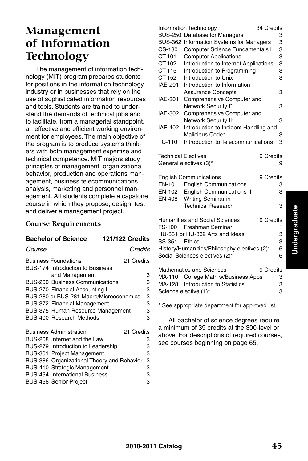## **Management of Information Technology**

The management of information technology (MIT) program prepares students for positions in the information technology industry or in businesses that rely on the use of sophisticated information resources and tools. Students are trained to understand the demands of technical jobs and to facilitate, from a managerial standpoint, an effective and efficient working environment for employees. The main objective of the program is to produce systems thinkers with both management expertise and technical competence. MIT majors study principles of management, organizational behavior, production and operations management, business telecommunications analysis, marketing and personnel management. All students complete a capstone course in which they propose, design, test and deliver a management project.

### **Course Requirements**

### **Bachelor of Science 121/122 Credits** *Course Credits*

| 21 Credits<br><b>Business Foundations</b>    |   |
|----------------------------------------------|---|
| BUS-174 Introduction to Business             |   |
| and Management                               | 3 |
| <b>BUS-200 Business Communications</b>       | 3 |
| <b>BUS-270 Financial Accounting I</b>        | 3 |
| BUS-280 or BUS-281 Macro/Microeconomics      | 3 |
| <b>BUS-372 Financial Management</b>          | З |
| BUS-375 Human Resource Management            | З |
| <b>BUS-400 Research Methods</b>              | з |
|                                              |   |
| <b>Business Administration</b><br>21 Credits |   |
| BUS-208 Internet and the Law                 | з |
| BUS-279 Introduction to Leadership           | 3 |
| <b>BUS-301 Project Management</b>            | 3 |
| BUS-386 Organizational Theory and Behavior   | 3 |
| <b>BUS-410 Strategic Management</b>          | 3 |
| <b>BUS-454 International Business</b>        | 3 |
| <b>BUS-458 Senior Project</b>                | 3 |
|                                              |   |

|                            | Information Technology                       | 34 Credits |   |
|----------------------------|----------------------------------------------|------------|---|
|                            | BUS-250 Database for Managers                |            | 3 |
|                            | BUS-362 Information Systems for Managers     |            | 3 |
| CS-130                     | Computer Science Fundamentals I              |            | 3 |
| CT-101                     | <b>Computer Applications</b>                 |            | 3 |
| CT-102                     | Introduction to Internet Applications        |            | 3 |
| CT-115                     | Introduction to Programming                  |            | 3 |
| CT-152                     | Introduction to Unix                         |            | 3 |
| <b>IAE-201</b>             | Introduction to Information                  |            |   |
|                            | <b>Assurance Concepts</b>                    |            | 3 |
| <b>IAE-301</b>             | Comprehensive Computer and                   |            |   |
|                            | Network Security I*                          |            | 3 |
| <b>IAE-302</b>             | Comprehensive Computer and                   |            |   |
|                            | Network Security II*                         |            | 3 |
| <b>IAE-402</b>             | Introduction to Incident Handling and        |            |   |
|                            | Malicious Code*                              |            | 3 |
| TC-110                     | Introduction to Telecommunications           |            | 3 |
| <b>Technical Electives</b> |                                              | 9 Credits  |   |
|                            | General electives (3)*                       |            | 9 |
|                            | <b>English Communications</b>                | 9 Credits  |   |
| EN-101                     | <b>English Communications I</b>              |            | 3 |
| EN-102                     | <b>English Communications II</b>             |            | 3 |
| <b>EN-408</b>              | Writing Seminar in                           |            |   |
|                            | <b>Technical Research</b>                    |            | 3 |
|                            | Humanities and Social Sciences               | 19 Credits |   |
|                            | FS-100 Freshman Seminar                      |            | 1 |
|                            | HU-331 or HU-332 Arts and Ideas              |            | 3 |
| SS-351                     | Ethics                                       |            | 3 |
|                            | History/Humanities/Philosophy electives (2)* |            | 6 |
|                            | Social Sciences electives (2)*               |            | 6 |
|                            | <b>Mathematics and Sciences</b>              | 9 Credits  |   |
| MA-110                     | College Math w/Business Apps                 |            | 3 |
| MA-128                     | <b>Introduction to Statistics</b>            |            | 3 |

\* See appropriate department for approved list.

Science elective  $(1)^*$  3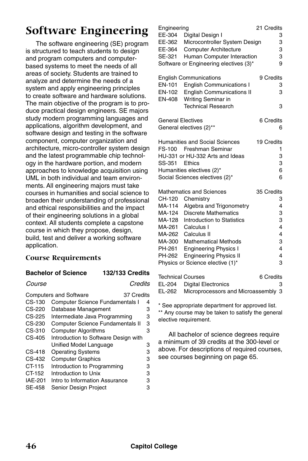# **Software Engineering**

The software engineering (SE) program is structured to teach students to design and program computers and computerbased systems to meet the needs of all areas of society. Students are trained to analyze and determine the needs of a system and apply engineering principles to create software and hardware solutions. The main objective of the program is to produce practical design engineers. SE majors study modern programming languages and applications, algorithm development, and software design and testing in the software component, computer organization and architecture, micro-controller system design and the latest programmable chip technology in the hardware portion, and modern approaches to knowledge acquisition using UML in both individual and team environments. All engineering majors must take courses in humanities and social science to broaden their understanding of professional and ethical responsibilities and the impact of their engineering solutions in a global context. All students complete a capstone course in which they propose, design, build, test and deliver a working software application.

### **Course Requirements**

### **Bachelor of Science 132/133 Credits**

*Course Credits*

|               | <b>Computers and Software</b><br>37 Credits |   |
|---------------|---------------------------------------------|---|
| CS-130        | <b>Computer Science Fundamentals I</b>      | 4 |
| $CS-220$      | Database Management                         | з |
| CS-225        | Intermediate Java Programming               | 3 |
| CS-230        | <b>Computer Science Fundamentals II</b>     | 3 |
| CS-310        | <b>Computer Algorithms</b>                  | З |
| CS-405        | Introduction to Software Design with        |   |
|               | Unified Model Language                      | 3 |
| $CS-418$      | <b>Operating Systems</b>                    | з |
| CS-432        | <b>Computer Graphics</b>                    | 3 |
| CT-115        | Introduction to Programming                 | з |
| CT-152        | Introduction to Unix                        | 3 |
| IAE-201       | Intro to Information Assurance              | 3 |
| <b>SE-458</b> | Senior Design Project                       | з |
|               |                                             |   |

| Engineering                   |                                                   | 21 Credits |
|-------------------------------|---------------------------------------------------|------------|
| EE-304<br>EE-362              | Digital Design I<br>Microcontroller System Design | 3<br>3     |
| EE-364                        | <b>Computer Architecture</b>                      | 3          |
| SE-321                        | Human Computer Interaction                        | 3          |
|                               | Software or Engineering electives (3)*            | 9          |
|                               |                                                   |            |
| <b>English Communications</b> |                                                   | 9 Credits  |
| EN-101                        | <b>English Communications I</b>                   | 3          |
| EN-102                        | <b>English Communications II</b>                  | 3          |
| <b>EN-408</b>                 | Writing Seminar in<br><b>Technical Research</b>   | 3          |
|                               |                                                   |            |
| <b>General Electives</b>      |                                                   | 6 Credits  |
| General electives (2)**       |                                                   | 6          |
|                               |                                                   |            |
|                               | Humanities and Social Sciences                    | 19 Credits |
| FS-100                        | Freshman Seminar                                  | 1          |
|                               | HU-331 or HU-332 Arts and Ideas                   | 3          |
| SS-351<br>Ethics              |                                                   | 3          |
| Humanities electives (2)*     |                                                   | 6          |
|                               | Social Sciences electives (2)*                    | 6          |
| Mathematics and Sciences      |                                                   | 35 Credits |
| CH-120                        | Chemistry                                         | 3          |
| MA-114                        | Algebra and Trigonometry                          | 4          |
| MA-124                        | <b>Discrete Mathematics</b>                       | 3          |
| MA-128                        | Introduction to Statistics                        | 3          |
| MA-261                        | Calculus I                                        | 4          |
| MA-262 Calculus II            |                                                   | 4          |
| MA-300                        | <b>Mathematical Methods</b>                       | 3          |
| PH-261                        | <b>Engineering Physics I</b>                      | 4          |
| PH-262                        | <b>Engineering Physics II</b>                     | 4          |
|                               | Physics or Science elective (1)*                  | 3          |
|                               |                                                   |            |

| <b>Technical Courses</b> |                                            | 6 Credits |   |
|--------------------------|--------------------------------------------|-----------|---|
|                          | EL-204 Digital Electronics                 |           | 3 |
|                          | EL-262 Microprocessors and Microassembly 3 |           |   |

\* See appropriate department for approved list. \*\* Any course may be taken to satisfy the general elective requirement.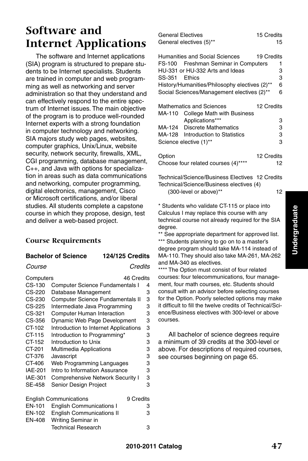## **Software and Internet Applications**

The software and Internet applications (SIA) program is structured to prepare students to be Internet specialists. Students are trained in computer and web programming as well as networking and server administration so that they understand and can effectively respond to the entire spectrum of Internet issues. The main objective of the program is to produce well-rounded Internet experts with a strong foundation in computer technology and networking. SIA majors study web pages, websites, computer graphics, Unix/Linux, website security, network security, firewalls, XML, CGI programming, database management, C++, and Java with options for specialization in areas such as data communications and networking, computer programming, digital electronics, management, Cisco or Microsoft certifications, and/or liberal studies. All students complete a capstone course in which they propose, design, test and deliver a web-based project.

### **Course Requirements**

### **Bachelor of Science 124/125 Credits**

*Course Credits*

| Computers     | 46 Credits                                 |   |
|---------------|--------------------------------------------|---|
| CS-130        | Computer Science Fundamentals I            | 4 |
| CS-220        | Database Management                        | 3 |
| CS-230        | <b>Computer Science Fundamentals II</b>    | 3 |
| CS-225        | Intermediate Java Programming              | 3 |
| CS-321        | <b>Computer Human Interaction</b>          | 3 |
| CS-356        | Dynamic Web Page Development               | 3 |
| CT-102        | Introduction to Internet Applications      | 3 |
| CT-115        | Introduction to Programming*               | 3 |
| CT-152        | Introduction to Unix                       | 3 |
| CT-201        | Multimedia Applications                    | 3 |
| CT-376        | Javascript                                 | 3 |
| CT-406        | Web Programming Languages                  | 3 |
| IAE-201       | Intro to Information Assurance             | 3 |
| IAE-301       | <b>Comprehensive Network Security I</b>    | 3 |
| <b>SE-458</b> | Senior Design Project                      | 3 |
|               |                                            |   |
|               | 9 Credits<br><b>English Communications</b> |   |
| EN-101        | <b>English Communications I</b>            | 3 |
| EN-102        | <b>English Communications II</b>           | 3 |
| <b>EN-408</b> | Writing Seminar in                         |   |

Technical Research 3

| <b>General Electives</b>                        | 15 Credits |
|-------------------------------------------------|------------|
| General electives (5)**                         | 15         |
| Humanities and Social Sciences                  | 19 Credits |
| FS-100 Freshman Seminar in Computers            | 1          |
| HU-331 or HU-332 Arts and Ideas                 | 3          |
| SS-351<br><b>Fthics</b>                         | 3          |
| History/Humanities/Philosophy electives (2)**   | 6          |
| Social Sciences/Management electives (2)**      | 6          |
| <b>Mathematics and Sciences</b>                 | 12 Credits |
| MA-110 College Math with Business               |            |
| Applications***                                 | 3          |
| MA-124 Discrete Mathematics                     | 3          |
| MA-128 Introduction to Statistics               | 3          |
| Science elective (1)**                          | з          |
| Option                                          | 12 Credits |
| Choose four related courses (4)****             | 12         |
| Technical/Science/Business Electives 12 Credits |            |

Technical/Science/Business electives (4) (300-level or above)\*\* 12

\* Students who validate CT-115 or place into Calculus I may replace this course with any technical course not already required for the SIA degree.

\*\* See appropriate department for approved list. \*\*\* Students planning to go on to a master's degree program should take MA-114 instead of MA-110. They should also take MA-261, MA-262 and MA-340 as electives.

\*\*\*\* The Option must consist of four related courses: four telecommunications, four management, four math courses, etc. Students should consult with an advisor before selecting courses for the Option. Poorly selected options may make it difficult to fill the twelve credits of Technical/Science/Business electives with 300-level or above courses.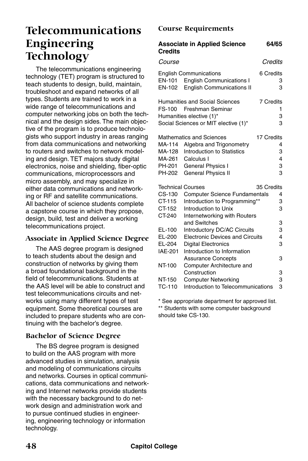## **Telecommunications Engineering Technology**

The telecommunications engineering technology (TET) program is structured to teach students to design, build, maintain, troubleshoot and expand networks of all types. Students are trained to work in a wide range of telecommunications and computer networking jobs on both the technical and the design sides. The main objective of the program is to produce technologists who support industry in areas ranging from data communications and networking to routers and switches to network modeling and design. TET majors study digital electronics, noise and shielding, fiber-optic communications, microprocessors and micro assembly, and may specialize in either data communications and networking or RF and satellite communications. All bachelor of science students complete a capstone course in which they propose, design, build, test and deliver a working telecommunications project.

### **Associate in Applied Science Degree**

The AAS degree program is designed to teach students about the design and construction of networks by giving them a broad foundational background in the field of telecommunications. Students at the AAS level will be able to construct and test telecommunications circuits and networks using many different types of test equipment. Some theoretical courses are included to prepare students who are continuing with the bachelor's degree.

### **Bachelor of Science Degree**

The BS degree program is designed to build on the AAS program with more advanced studies in simulation, analysis and modeling of communications circuits and networks. Courses in optical communications, data communications and networking and Internet networks provide students with the necessary background to do network design and administration work and to pursue continued studies in engineering, engineering technology or information technology.

### **Course Requirements**

| <b>Credits</b>                                 | <b>Associate in Applied Science</b>                                                                                                                | 64/65                               |
|------------------------------------------------|----------------------------------------------------------------------------------------------------------------------------------------------------|-------------------------------------|
| <i>Course</i>                                  |                                                                                                                                                    | Credits                             |
| EN-101<br>EN-102                               | <b>English Communications</b><br><b>English Communications I</b><br><b>English Communications II</b>                                               | 6 Credits<br>3<br>3                 |
|                                                | Humanities and Social Sciences<br>FS-100 Freshman Seminar<br>Humanities elective (1)*<br>Social Sciences or MIT elective (1)*                      | <b>7 Credits</b><br>1<br>3<br>3     |
| MA-114<br>MA-128<br>MA-261<br>PH-201<br>PH-202 | Mathematics and Sciences<br>Algebra and Trigonometry<br>Introduction to Statistics<br>Calculus I<br>General Physics I<br><b>General Physics II</b> | 17 Credits<br>4<br>3<br>4<br>3<br>3 |
| <b>Technical Courses</b><br>CS-130<br>CT-115   | <b>Computer Science Fundamentals</b><br>Introduction to Programming**                                                                              | 35 Credits<br>4<br>3                |
| CT-152<br>CT-240                               | Introduction to Unix<br>Internetworking with Routers<br>and Switches                                                                               | 3<br>3                              |
| EL-100<br>EL-200<br>EL-204                     | Introductory DC/AC Circuits<br><b>Electronic Devices and Circuits</b><br><b>Digital Electronics</b>                                                | 3<br>4<br>3                         |
| <b>IAE-201</b><br>NT-100                       | Introduction to Information<br><b>Assurance Concepts</b><br>Computer Architecture and                                                              | 3                                   |
| NT-150<br><b>TC-110</b>                        | Construction<br><b>Computer Networking</b><br>Introduction to Telecommunications                                                                   | 3<br>3<br>3                         |

\* See appropriate department for approved list. \*\* Students with some computer background should take CS-130.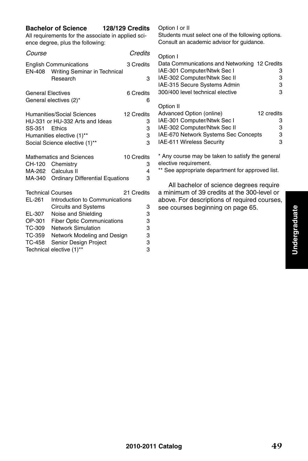### **Bachelor of Science 128/129 Credits**

All requirements for the associate in applied science degree, plus the following:

| Course                   |                                                                      | Credits    |
|--------------------------|----------------------------------------------------------------------|------------|
|                          | <b>English Communications</b><br>EN-408 Writing Seminar in Technical | 3 Credits  |
|                          | Research                                                             | 3          |
| <b>General Electives</b> |                                                                      | 6 Credits  |
|                          | General electives (2)*                                               | 6          |
|                          | Humanities/Social Sciences                                           | 12 Credits |
|                          | HU-331 or HU-332 Arts and Ideas                                      | 3          |
| SS-351                   | Ethics                                                               | 3          |
|                          | Humanities elective (1)**                                            | 3          |
|                          | Social Science elective (1)**                                        | 3          |
|                          | <b>Mathematics and Sciences</b>                                      | 10 Credits |
|                          | CH-120 Chemistry                                                     | 3          |
|                          | MA-262 Calculus II                                                   | 4          |
|                          | MA-340 Ordinary Differential Equations                               | 3          |
|                          | <b>Technical Courses</b>                                             | 21 Credits |
| EL-261                   | Introduction to Communications                                       |            |
|                          | <b>Circuits and Systems</b>                                          | 3          |
| EL-307                   | Noise and Shielding                                                  | 3          |
| OP-301                   | <b>Fiber Optic Communications</b>                                    | 3          |
| TC-309                   | <b>Network Simulation</b>                                            | 3          |
| TC-359                   | Network Modeling and Design                                          | 3          |
| TC-458                   | Senior Design Project                                                | 3          |

Technical elective  $(1)$ <sup>\*\*</sup> 3

#### Option I or II

Students must select one of the following options. Consult an academic advisor for guidance.

#### Option I

| Data Communications and Networking 12 Credits |            |
|-----------------------------------------------|------------|
| IAE-301 Computer/Ntwk Sec I                   | 3          |
| IAE-302 Computer/Ntwk Sec II                  | 3          |
| IAE-315 Secure Systems Admin                  | 3          |
| 300/400 level technical elective              | 3          |
| Option II                                     |            |
| Advanced Option (online)                      | 12 credits |

| Advanced Option (online)             | 12 credits |
|--------------------------------------|------------|
| IAE-301 Computer/Ntwk Sec I          | з          |
| IAE-302 Computer/Ntwk Sec II         | З          |
| IAE-670 Network Systems Sec Concepts | з          |
| IAE-611 Wireless Security            | з          |

\* Any course may be taken to satisfy the general elective requirement.

\*\* See appropriate department for approved list.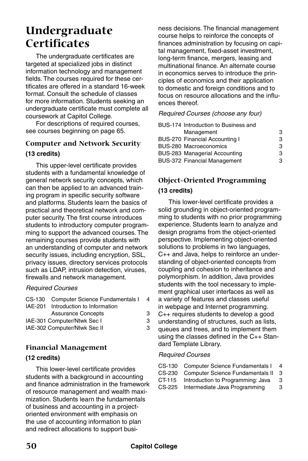## **Undergraduate Certificates**

The undergraduate certificates are targeted at specialized jobs in distinct information technology and management fields. The courses required for these certificates are offered in a standard 16-week format. Consult the schedule of classes for more information. Students seeking an undergraduate certificate must complete all coursework at Capitol College.

For descriptions of required courses, see courses beginning on page 65.

### **Computer and Network Security (13 credits)**

This upper-level certificate provides students with a fundamental knowledge of general network security concepts, which can then be applied to an advanced training program in specific security software and platforms. Students learn the basics of practical and theoretical network and computer security. The first course introduces students to introductory computer programming to support the advanced courses. The remaining courses provide students with an understanding of computer and network security issues, including encryption, SSL, privacy issues, directory services protocols such as LDAP, intrusion detection, viruses, firewalls and network management.

#### *Required Courses*

| CS-130 Computer Science Fundamentals I | 4 |
|----------------------------------------|---|
| IAE-201 Introduction to Information    |   |
| <b>Assurance Concepts</b>              | з |
| IAE-301 Computer/Ntwk Sec I            | з |
| IAE-302 Computer/Ntwk Sec II           | з |
|                                        |   |

### **Financial Management**

### **(12 credits)**

This lower-level certificate provides students with a background in accounting and finance administration in the framework of resource management and wealth maximization. Students learn the fundamentals of business and accounting in a projectoriented environment with emphasis on the use of accounting information to plan and redirect allocations to support business decisions. The financial management course helps to reinforce the concepts of finances administration by focusing on capital management, fixed-asset investment, long-term finance, mergers, leasing and multinational finance. An alternate course in economics serves to introduce the principles of economics and their application to domestic and foreign conditions and to focus on resource allocations and the influences thereof.

### *Required Courses (choose any four)*

| З |
|---|
| З |
| З |
| З |
| З |
|   |

### **Object-Oriented Programming (13 credits)**

This lower-level certificate provides a solid grounding in object-oriented programming to students with no prior programming experience. Students learn to analyze and design programs from the object-oriented perspective. Implementing object-oriented solutions to problems in two languages, C++ and Java, helps to reinforce an understanding of object-oriented concepts from coupling and cohesion to inheritance and polymorphism. In addition, Java provides students with the tool necessary to implement graphical user interfaces as well as a variety of features and classes useful in webpage and Internet programming. C++ requires students to develop a good understanding of structures, such as lists, queues and trees, and to implement them using the classes defined in the C++ Standard Template Library.

### *Required Courses*

| -3 |
|----|
| 3  |
| 3  |
|    |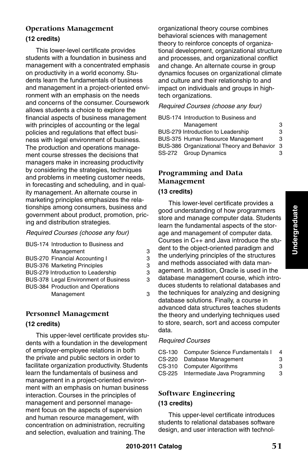### **Operations Management (12 credits)**

This lower-level certificate provides students with a foundation in business and management with a concentrated emphasis on productivity in a world economy. Students learn the fundamentals of business and management in a project-oriented environment with an emphasis on the needs and concerns of the consumer. Coursework allows students a choice to explore the financial aspects of business management with principles of accounting or the legal policies and regulations that effect business with legal environment of business. The production and operations management course stresses the decisions that managers make in increasing productivity by considering the strategies, techniques and problems in meeting customer needs, in forecasting and scheduling, and in quality management. An alternate course in marketing principles emphasizes the relationships among consumers, business and government about product, promotion, pricing and distribution strategies.

### *Required Courses (choose any four)*

| BUS-174 Introduction to Business and  |   |
|---------------------------------------|---|
| Management                            | з |
| BUS-270 Financial Accounting I        | з |
| <b>BUS-376 Marketing Principles</b>   | 3 |
| BUS-279 Introduction to Leadership    | з |
| BUS-378 Legal Environment of Business | з |
| BUS-384 Production and Operations     |   |
| Management                            |   |
|                                       |   |

### **Personnel Management**

### **(12 credits)**

This upper-level certificate provides students with a foundation in the development of employer-employee relations in both the private and public sectors in order to facilitate organization productivity. Students learn the fundamentals of business and management in a project-oriented environment with an emphasis on human business interaction. Courses in the principles of management and personnel management focus on the aspects of supervision and human resource management, with concentration on administration, recruiting and selection, evaluation and training. The

organizational theory course combines behavioral sciences with management theory to reinforce concepts of organizational development, organizational structure and processes, and organizational conflict and change. An alternate course in group dynamics focuses on organizational climate and culture and their relationship to and impact on individuals and groups in hightech organizations.

### *Required Courses (choose any four)*

| BUS-174 Introduction to Business and       |    |
|--------------------------------------------|----|
| Management                                 | 3  |
| BUS-279 Introduction to Leadership         | З  |
| BUS-375 Human Resource Management          | З  |
| BUS-386 Organizational Theory and Behavior | -3 |
| SS-272 Group Dynamics                      | з  |
|                                            |    |

### **Programming and Data Management**

### **(13 credits)**

This lower-level certificate provides a good understanding of how programmers store and manage computer data. Students learn the fundamental aspects of the storage and management of computer data. Courses in C++ and Java introduce the student to the object-oriented paradigm and the underlying principles of the structures and methods associated with data management. In addition, Oracle is used in the database management course, which introduces students to relational databases and the techniques for analyzing and designing database solutions. Finally, a course in advanced data structures teaches students the theory and underlying techniques used to store, search, sort and access computer data.

### *Required Courses*

|        | CS-130 Computer Science Fundamentals I | 4 |
|--------|----------------------------------------|---|
|        | CS-220 Database Management             | З |
|        | CS-310 Computer Algorithms             | 3 |
| CS-225 | Intermediate Java Programming          | 3 |
|        |                                        |   |

### **Software Engineering (13 credits)**

This upper-level certificate introduces students to relational databases software design, and user interaction with technol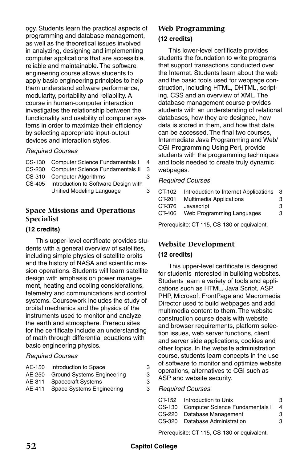ogy. Students learn the practical aspects of programming and database management, as well as the theoretical issues involved in analyzing, designing and implementing computer applications that are accessible, reliable and maintainable. The software engineering course allows students to apply basic engineering principles to help them understand software performance, modularity, portability and reliability. A course in human-computer interaction investigates the relationship between the functionality and usability of computer systems in order to maximize their efficiency by selecting appropriate input-output devices and interaction styles.

### *Required Courses*

| CS-130 Computer Science Fundamentals I      | $\overline{4}$ |
|---------------------------------------------|----------------|
| CS-230 Computer Science Fundamentals II     | 3              |
| CS-310 Computer Algorithms                  | з              |
| CS-405 Introduction to Software Design with |                |
| Unified Modeling Language                   | з              |

### **Space Missions and Operations Specialist**

### **(12 credits)**

This upper-level certificate provides students with a general overview of satellites, including simple physics of satellite orbits and the history of NASA and scientific mission operations. Students will learn satellite design with emphasis on power management, heating and cooling considerations, telemetry and communications and control systems. Coursework includes the study of orbital mechanics and the physics of the instruments used to monitor and analyze the earth and atmosphere. Prerequisites for the certificate include an understanding of math through differential equations with basic engineering physics.

### *Required Courses*

|  | AE-250 Ground Systems Engineering |  |
|--|-----------------------------------|--|
|  |                                   |  |

- AE-311 Spacecraft Systems 3<br>AE-411 Space Systems Engineering 3
- AE-411 Space Systems Engineering

### **Web Programming (12 credits)**

This lower-level certificate provides students the foundation to write programs that support transactions conducted over the Internet. Students learn about the web and the basic tools used for webpage construction, including HTML, DHTML, scripting, CSS and an overview of XML. The database management course provides students with an understanding of relational databases, how they are designed, how data is stored in them, and how that data can be accessed. The final two courses, Intermediate Java Programming and Web/ CGI Programming Using Perl, provide students with the programming techniques and tools needed to create truly dynamic webpages.

### *Required Courses*

| Introduction to Internet Applications<br>-3 |
|---------------------------------------------|
| з                                           |
| 3                                           |
| 3                                           |
|                                             |

Prerequisite: CT-115, CS-130 or equivalent.

### **Website Development**

### **(12 credits)**

This upper-level certificate is designed for students interested in building websites. Students learn a variety of tools and applications such as HTML, Java Script, ASP, PHP, Microsoft FrontPage and Macromedia Director used to build webpages and add multimedia content to them. The website construction course deals with website and browser requirements, platform selection issues, web server functions, client and server side applications, cookies and other topics. In the website administration course, students learn concepts in the use of software to monitor and optimize website operations, alternatives to CGI such as ASP and website security.

*Required Courses*

| CT-152 Introduction to Unix            | з |
|----------------------------------------|---|
| CS-130 Computer Science Fundamentals I | 4 |
| CS-220 Database Management             | з |
| CS-320 Database Administration         | з |
|                                        |   |

Prerequisite: CT-115, CS-130 or equivalent.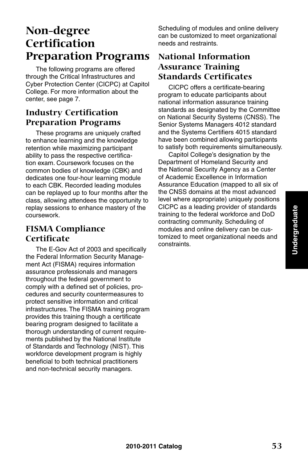## **Non-degree Certification Preparation Programs**

The following programs are offered through the Critical Infrastructures and Cyber Protection Center (CICPC) at Capitol College. For more information about the center, see page 7.

## **Industry Certification Preparation Programs**

These programs are uniquely crafted to enhance learning and the knowledge retention while maximizing participant ability to pass the respective certification exam. Coursework focuses on the common bodies of knowledge (CBK) and dedicates one four-hour learning module to each CBK. Recorded leading modules can be replayed up to four months after the class, allowing attendees the opportunity to replay sessions to enhance mastery of the coursework.

### **FISMA Compliance Certificate**

The E-Gov Act of 2003 and specifically the Federal Information Security Management Act (FISMA) requires information assurance professionals and managers throughout the federal government to comply with a defined set of policies, procedures and security countermeasures to protect sensitive information and critical infrastructures. The FISMA training program provides this training though a certificate bearing program designed to facilitate a thorough understanding of current requirements published by the National Institute of Standards and Technology (NIST). This workforce development program is highly beneficial to both technical practitioners and non-technical security managers.

Scheduling of modules and online delivery can be customized to meet organizational needs and restraints.

### **National Information Assurance Training Standards Certificates**

CICPC offers a certificate-bearing program to educate participants about national information assurance training standards as designated by the Committee on National Security Systems (CNSS). The Senior Systems Managers 4012 standard and the Systems Certifiers 4015 standard have been combined allowing participants to satisfy both requirements simultaneously.

Capitol College's designation by the Department of Homeland Security and the National Security Agency as a Center of Academic Excellence in Information Assurance Education (mapped to all six of the CNSS domains at the most advanced level where appropriate) uniquely positions CICPC as a leading provider of standards training to the federal workforce and DoD contracting community. Scheduling of modules and online delivery can be customized to meet organizational needs and constraints.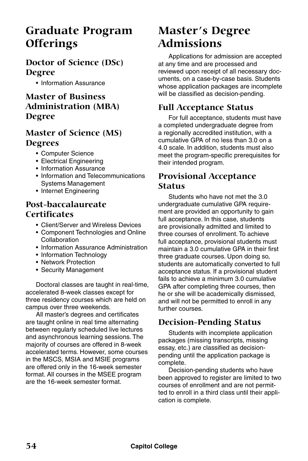## **Graduate Program Offerings**

### **Doctor of Science (DSc) Degree**

• Information Assurance

### **Master of Business Administration (MBA) Degree**

### **Master of Science (MS) Degrees**

- Computer Science
- Electrical Engineering
- Information Assurance
- Information and Telecommunications Systems Management
- Internet Engineering

### **Post-baccalaureate Certificates**

- Client/Server and Wireless Devices
- Component Technologies and Online **Collaboration**
- Information Assurance Administration
- Information Technology
- Network Protection
- Security Management

Doctoral classes are taught in real-time, accelerated 8-week classes except for three residency courses which are held on campus over three weekends.

All master's degrees and certificates are taught online in real time alternating between regularly scheduled live lectures and asynchronous learning sessions. The majority of courses are offered in 8-week accelerated terms. However, some courses in the MSCS, MSIA and MSIE programs are offered only in the 16-week semester format. All courses in the MSEE program are the 16-week semester format.

## **Master's Degree Admissions**

Applications for admission are accepted at any time and are processed and reviewed upon receipt of all necessary documents, on a case-by-case basis. Students whose application packages are incomplete will be classified as decision-pending.

### **Full Acceptance Status**

For full acceptance, students must have a completed undergraduate degree from a regionally accredited institution, with a cumulative GPA of no less than 3.0 on a 4.0 scale. In addition, students must also meet the program-specific prerequisites for their intended program.

### **Provisional Acceptance Status**

Students who have not met the 3.0 undergraduate cumulative GPA requirement are provided an opportunity to gain full acceptance. In this case, students are provisionally admitted and limited to three courses of enrollment. To achieve full acceptance, provisional students must maintain a 3.0 cumulative GPA in their first three graduate courses. Upon doing so, students are automatically converted to full acceptance status. If a provisional student fails to achieve a minimum 3.0 cumulative GPA after completing three courses, then he or she will be academically dismissed, and will not be permitted to enroll in any further courses.

### **Decision-Pending Status**

Students with incomplete application packages (missing transcripts, missing essay, etc.) are classified as decisionpending until the application package is complete.

Decision-pending students who have been approved to register are limited to two courses of enrollment and are not permitted to enroll in a third class until their application is complete.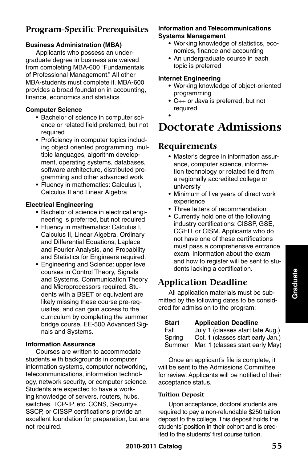### **Program-Specific Prerequisites**

### **Business Administration (MBA)**

Applicants who possess an undergraduate degree in business are waived from completing MBA-600 "Fundamentals of Professional Management." All other MBA-students must complete it. MBA-600 provides a broad foundation in accounting, finance, economics and statistics.

### **Computer Science**

- Bachelor of science in computer science or related field preferred, but not required
- Proficiency in computer topics including object oriented programming, multiple languages, algorithm development, operating systems, databases, software architecture, distributed programming and other advanced work
- Fluency in mathematics: Calculus I, Calculus II and Linear Algebra

### **Electrical Engineering**

- Bachelor of science in electrical engineering is preferred, but not required
- Fluency in mathematics: Calculus I, Calculus II, Linear Algebra, Ordinary and Differential Equations, Laplace and Fourier Analysis, and Probability and Statistics for Engineers required.
- Engineering and Science: upper level courses in Control Theory, Signals and Systems, Communication Theory and Microprocessors required. Students with a BSET or equivalent are likely missing these course pre-requisites, and can gain access to the curriculum by completing the summer bridge course, EE-500 Advanced Signals and Systems.

### **Information Assurance**

Courses are written to accommodate students with backgrounds in computer information systems, computer networking, telecommunications, information technology, network security, or computer science. Students are expected to have a working knowledge of servers, routers, hubs, switches, TCP-IP, etc. CCNS, Security+, SSCP, or CISSP certifications provide an excellent foundation for preparation, but are not required.

### **Information and Telecommunications Systems Management**

- Working knowledge of statistics, economics, finance and accounting
- An undergraduate course in each topic is preferred

### **Internet Engineering**

- Working knowledge of object-oriented programming
- C++ or Java is preferred, but not required
- •

## **Doctorate Admissions**

### **Requirements**

- Master's degree in information assurance, computer science, information technology or related field from a regionally accredited college or university
- Minimum of five years of direct work experience
- Three letters of recommendation
- Currently hold one of the following industry certifications: CISSP, GSE, CGEIT or CISM. Applicants who do not have one of these certifications must pass a comprehensive entrance exam. Information about the exam and how to register will be sent to students lacking a certification.

## **Application Deadline**

All application materials must be submitted by the following dates to be considered for admission to the program:

| Start | <b>Application Deadline</b> |  |
|-------|-----------------------------|--|
|-------|-----------------------------|--|

| Fall   | July 1 (classes start late Aug.)  |
|--------|-----------------------------------|
| Spring | Oct. 1 (classes start early Jan.) |
| Summer | Mar. 1 (classes start early May)  |

Once an applicant's file is complete, it will be sent to the Admissions Committee for review. Applicants will be notified of their acceptance status.

### **Tuition Deposit**

Upon acceptance, doctoral students are required to pay a non-refundable \$250 tuition deposit to the college. This deposit holds the students' position in their cohort and is credited to the students' first course tuition.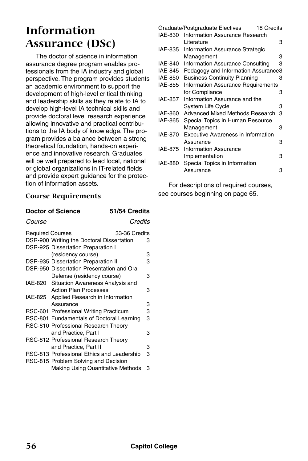## **Information Assurance (DSc)**

The doctor of science in information assurance degree program enables professionals from the IA industry and global perspective. The program provides students an academic environment to support the development of high-level critical thinking and leadership skills as they relate to IA to develop high-level IA technical skills and provide doctoral level research experience allowing innovative and practical contributions to the IA body of knowledge. The program provides a balance between a strong theoretical foundation, hands-on experience and innovative research. Graduates will be well prepared to lead local, national or global organizations in IT-related fields and provide expert guidance for the protection of information assets.

### **Course Requirements**

|                         | <b>Doctor of Science</b>                   | 51/54 Credits |   |
|-------------------------|--------------------------------------------|---------------|---|
| <i>Course</i>           |                                            | Credits       |   |
| <b>Required Courses</b> |                                            | 33-36 Credits |   |
|                         | DSR-900 Writing the Doctoral Dissertation  |               | 3 |
|                         | <b>DSR-925 Dissertation Preparation I</b>  |               |   |
|                         | (residency course)                         |               | 3 |
|                         | <b>DSR-935 Dissertation Preparation II</b> |               | 3 |
|                         | DSR-950 Dissertation Presentation and Oral |               |   |
|                         | Defense (residency course)                 |               | з |
|                         | IAE-820 Situation Awareness Analysis and   |               |   |
|                         | <b>Action Plan Processes</b>               |               | 3 |
|                         | IAE-825 Applied Research in Information    |               |   |
|                         | Assurance                                  |               | 3 |
|                         | RSC-601 Professional Writing Practicum     |               | 3 |
|                         | RSC-801 Fundamentals of Doctoral Learning  |               | 3 |
|                         | RSC-810 Professional Research Theory       |               |   |
|                         | and Practice, Part I                       |               | 3 |
|                         | RSC-812 Professional Research Theory       |               |   |
|                         | and Practice, Part II                      |               | 3 |
|                         | RSC-813 Professional Ethics and Leadership |               | 3 |
|                         | RSC-815 Problem Solving and Decision       |               |   |
|                         | <b>Making Using Quantitative Methods</b>   |               | з |

|         | Graduate/Postgraduate Electives<br>18 Credits |   |
|---------|-----------------------------------------------|---|
| IAE-830 | <b>Information Assurance Research</b>         |   |
|         | Literature                                    | з |
| IAE-835 | Information Assurance Strategic               |   |
|         | Management                                    | 3 |
| IAE-840 | Information Assurance Consulting              | 3 |
| IAE-845 | Pedagogy and Information Assurance3           |   |
| IAE-850 | <b>Business Continuity Planning</b>           | 3 |
| IAE-855 | <b>Information Assurance Requirements</b>     |   |
|         | for Compliance                                | 3 |
| IAE-857 | Information Assurance and the                 |   |
|         | <b>System Life Cycle</b>                      | 3 |
| IAE-860 | <b>Advanced Mixed Methods Research</b>        | 3 |
| IAE-865 | Special Topics in Human Resource              |   |
|         | Management                                    | З |
| IAE-870 | Executive Awareness in Information            |   |
|         | Assurance                                     | 3 |
| IAE-875 | <b>Information Assurance</b>                  |   |
|         | Implementation                                | 3 |
| IAE-880 | Special Topics in Information                 |   |
|         | Assurance                                     | З |

For descriptions of required courses, see courses beginning on page 65.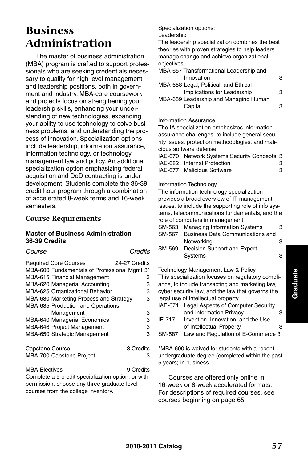## **Business Administration**

The master of business administration (MBA) program is crafted to support professionals who are seeking credentials necessary to qualify for high level management and leadership positions, both in government and industry. MBA-core coursework and projects focus on strengthening your leadership skills, enhancing your understanding of new technologies, expanding your ability to use technology to solve business problems, and understanding the process of innovation. Specialization options include leadership, information assurance, information technology, or technology management law and policy. An additional specialization option emphasizing federal acquisition and DoD contracting is under development. Students complete the 36-39 credit hour program through a combination of accelerated 8-week terms and 16-week semesters.

### **Course Requirements**

### **Master of Business Administration 36-39 Credits**

#### *Course Credits*

| <b>Required Core Courses</b> |                                              | 24-27 Credits |
|------------------------------|----------------------------------------------|---------------|
|                              | MBA-600 Fundamentals of Professional Mgmt 3* |               |
|                              | <b>MBA-615 Financial Management</b>          | 3             |
|                              | MBA-620 Managerial Accounting                | 3             |
|                              | MBA-625 Organizational Behavior              | З             |
|                              | MBA-630 Marketing Process and Strategy       | з             |
|                              | MBA-635 Production and Operations            |               |
|                              | Management                                   | 3             |
|                              | MBA-640 Managerial Economics                 | 3             |
|                              | MBA-646 Project Management                   | з             |
|                              | <b>MBA-650 Strategic Management</b>          | З             |
|                              |                                              |               |
| Capstone Course              |                                              | 3 Credits     |
| MBA-700 Capstone Project     |                                              | з             |
|                              |                                              |               |

MBA-Electives 9 Credits Complete a 9-credit specialization option, or with permission, choose any three graduate-level courses from the college inventory.

Specialization options:

Leadership

The leadership specialization combines the best theories with proven strategies to help leaders manage change and achieve organizational objectives.

| MBA-657 Transformational Leadership and |   |
|-----------------------------------------|---|
| Innovation                              | 3 |
| MBA-658 Legal, Political, and Ethical   |   |
| Implications for Leadership             | з |
| MBA-659 Leadership and Managing Human   |   |
| Capital                                 | з |

#### Information Assurance

The IA specialization emphasizes information assurance challenges, to include general security issues, protection methodologies, and malicious software defense.

| IAE-670 Network Systems Security Concepts 3 |   |
|---------------------------------------------|---|
| IAE-682 Internal Protection                 | 3 |
| IAE-677 Malicious Software                  | 3 |

#### Information Technology

The information technology specialization provides a broad overview of IT management issues, to include the supporting role of info systems, telecommunications fundamentals, and the role of computers in management. SM-563 Managing Information Systems 3

|        | SIVI-503 Managing Information Systems   | ۰ħ |
|--------|-----------------------------------------|----|
| SM-567 | <b>Business Data Communications and</b> |    |
|        | Networking                              | з  |
|        | SM-569 Decision Support and Expert      |    |
|        | Systems                                 | з  |

Technology Management Law & Policy This specialization focuses on regulatory compliance, to include transacting and marketing law, cyber security law, and the law that governs the legal use of intellectual property. IAE-671 Legal Aspects of Computer Security and Information Privacy

|        | and morniquon invacy               | . . |
|--------|------------------------------------|-----|
| IE-717 | Invention, Innovation, and the Use |     |
|        | of Intellectual Property           | З   |
| SM-587 | Law and Regulation of E-Commerce 3 |     |

\*MBA-600 is waived for students with a recent undergraduate degree (completed within the past 5 years) in business.

Courses are offered only online in 16-week or 8-week accelerated formats. For descriptions of required courses, see courses beginning on page 65.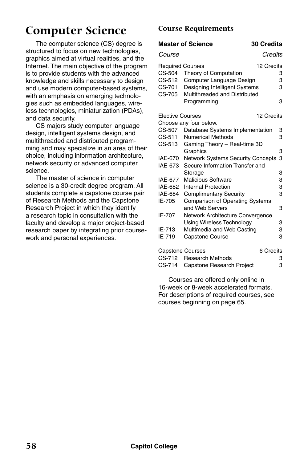## **Computer Science**

The computer science (CS) degree is structured to focus on new technologies, graphics aimed at virtual realities, and the Internet. The main objective of the program is to provide students with the advanced knowledge and skills necessary to design and use modern computer-based systems, with an emphasis on emerging technologies such as embedded languages, wireless technologies, miniaturization (PDAs), and data security.

CS majors study computer language design, intelligent systems design, and multithreaded and distributed programming and may specialize in an area of their choice, including information architecture, network security or advanced computer science.

The master of science in computer science is a 30-credit degree program. All students complete a capstone course pair of Research Methods and the Capstone Research Project in which they identify a research topic in consultation with the faculty and develop a major project-based research paper by integrating prior coursework and personal experiences.

### **Course Requirements**

|                         | <b>Master of Science</b>                 | <b>30 Credits</b> |  |
|-------------------------|------------------------------------------|-------------------|--|
| <i>Course</i>           |                                          | Credits           |  |
| <b>Required Courses</b> |                                          | 12 Credits        |  |
| CS-504                  | Theory of Computation                    | 3                 |  |
| CS-512                  | Computer Language Design                 | 3                 |  |
| CS-701                  | Designing Intelligent Systems            | 3                 |  |
| CS-705                  | Multithreaded and Distributed            |                   |  |
|                         | Programming                              | 3                 |  |
| <b>Elective Courses</b> |                                          | 12 Credits        |  |
|                         | Choose any four below.                   |                   |  |
| CS-507                  | Database Systems Implementation          | 3                 |  |
| $CS-511$                | <b>Numerical Methods</b>                 | 3                 |  |
| CS-513                  | Gaming Theory - Real-time 3D             |                   |  |
|                         | Graphics                                 | 3                 |  |
| <b>IAE-670</b>          | <b>Network Systems Security Concepts</b> | 3                 |  |
| IAE-673                 | Secure Information Transfer and          |                   |  |
|                         | Storage                                  | 3                 |  |
| <b>IAE-677</b>          | <b>Malicious Software</b>                | 3                 |  |
| IAE-682                 | Internal Protection                      | 3                 |  |
| <b>IAE-684</b>          | <b>Complimentary Security</b>            | 3                 |  |
| IE-705                  | <b>Comparison of Operating Systems</b>   |                   |  |
|                         | and Web Servers                          | 3                 |  |
| IE-707                  | Network Architecture Convergence         |                   |  |
|                         | Using Wireless Technology                | 3                 |  |
| IE-713                  | Multimedia and Web Casting               | 3                 |  |
| IE-719                  | Capstone Course                          | 3                 |  |
| <b>Capstone Courses</b> |                                          | 6 Credits         |  |
| CS-712                  | <b>Research Methods</b>                  | 3                 |  |

| CS-712 Research Methods          |  |  |
|----------------------------------|--|--|
| CS-714 Capstone Research Project |  |  |

Courses are offered only online in 16-week or 8-week accelerated formats. For descriptions of required courses, see courses beginning on page 65.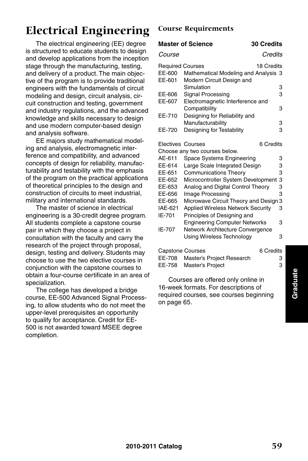# **Electrical Engineering**

The electrical engineering (EE) degree is structured to educate students to design and develop applications from the inception stage through the manufacturing, testing, and delivery of a product. The main objective of the program is to provide traditional engineers with the fundamentals of circuit modeling and design, circuit analysis, circuit construction and testing, government and industry regulations, and the advanced knowledge and skills necessary to design and use modern computer-based design and analysis software.

EE majors study mathematical modeling and analysis, electromagnetic interference and compatibility, and advanced concepts of design for reliability, manufacturability and testability with the emphasis of the program on the practical applications of theoretical principles to the design and construction of circuits to meet industrial, military and international standards.

The master of science in electrical engineering is a 30-credit degree program. All students complete a capstone course pair in which they choose a project in consultation with the faculty and carry the research of the project through proposal, design, testing and delivery. Students may choose to use the two elective courses in conjunction with the capstone courses to obtain a four-course certificate in an area of specialization.

The college has developed a bridge course, EE-500 Advanced Signal Processing, to allow students who do not meet the upper-level prerequisites an opportunity to qualify for acceptance. Credit for EE-500 is not awarded toward MSEE degree completion.

### **Course Requirements**

### **Master of Science 30 Credits**

| Course                            | Credits                                            |   |
|-----------------------------------|----------------------------------------------------|---|
| <b>Required Courses</b><br>EE-600 | 18 Credits<br>Mathematical Modeling and Analysis 3 |   |
| EE-601                            | Modern Circuit Design and                          |   |
|                                   | Simulation                                         | 3 |
| EE-606                            | Signal Processing                                  | 3 |
| EE-607                            | Electromagnetic Interference and                   |   |
|                                   | Compatibility                                      | 3 |
| EE-710                            | Designing for Reliability and                      |   |
|                                   | Manufacturability                                  | 3 |
| EE-720                            | Designing for Testability                          | 3 |
| Electives Courses                 | 6 Credits                                          |   |
|                                   | Choose any two courses below.                      |   |
| AE-611                            | Space Systems Engineering                          | 3 |
| EE-614                            | Large Scale Integrated Design                      | 3 |
| EE-651                            | <b>Communications Theory</b>                       | 3 |
| EE-652                            | Microcontroller System Development                 | 3 |
| EE-653                            | Analog and Digital Control Theory                  | 3 |
| EE-656                            | Image Processing                                   | 3 |
| EE-665                            | Microwave Circuit Theory and Design                | 3 |
| IAE-621                           | <b>Applied Wireless Network Security</b>           | 3 |
| IE-701                            | Principles of Designing and                        |   |
|                                   | <b>Engineering Computer Networks</b>               | 3 |
| IE-707                            | Network Architecture Convergence                   |   |
|                                   | <b>Using Wireless Technology</b>                   | 3 |
| <b>Capstone Courses</b>           | 6 Credits                                          |   |
| FF-708                            | Master's Project Research                          | з |

| Capstone Courses |                           | <b>b</b> Crealts |
|------------------|---------------------------|------------------|
| EE-708           | Master's Project Research | 3                |
| EE-758           | Master's Project          | 3                |

Courses are offered only online in 16-week formats. For descriptions of required courses, see courses beginning on page 65.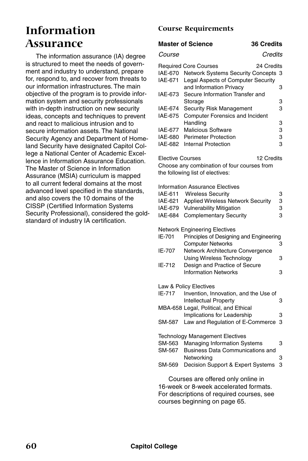## **Information Assurance**

The information assurance (IA) degree is structured to meet the needs of government and industry to understand, prepare for, respond to, and recover from threats to our information infrastructures. The main objective of the program is to provide information system and security professionals with in-depth instruction on new security ideas, concepts and techniques to prevent and react to malicious intrusion and to secure information assets. The National Security Agency and Department of Homeland Security have designated Capitol College a National Center of Academic Excellence in Information Assurance Education. The Master of Science in Information Assurance (MSIA) curriculum is mapped to all current federal domains at the most advanced level specified in the standards, and also covers the 10 domains of the CISSP (Certified Information Systems Security Professional), considered the goldstandard of industry IA certification.

### **Course Requirements**

### **Master of Science 36 Credits**

*Course Credits*

|         | <b>Required Core Courses</b><br>24 Credits  |   |
|---------|---------------------------------------------|---|
|         | IAE-670 Network Systems Security Concepts 3 |   |
| IAE-671 | Legal Aspects of Computer Security          |   |
|         | and Information Privacy                     | з |
| IAE-673 | Secure Information Transfer and             |   |
|         | Storage                                     | з |
|         | IAE-674 Security Risk Management            | з |
| IAE-675 | <b>Computer Forensics and Incident</b>      |   |
|         | Handling                                    | з |
| IAE-677 | <b>Malicious Software</b>                   | з |
|         | IAE-680 Perimeter Protection                | з |
| IAE-682 | Internal Protection                         | з |

Elective Courses **12 Credits** Choose any combination of four courses from the following list of electives:

Information Assurance Electives

| IAE-611<br>IAE-621 | <b>Wireless Security</b><br><b>Applied Wireless Network Security</b> | 3<br>3 |
|--------------------|----------------------------------------------------------------------|--------|
| IAE-679            | <b>Vulnerability Mitigation</b>                                      | 3      |
| IAE-684            | <b>Complementary Security</b>                                        | 3      |
|                    | <b>Network Engineering Electives</b>                                 |        |
| IE-701             | Principles of Designing and Engineering<br><b>Computer Networks</b>  | 3      |
| IE-707             | Network Architecture Convergence<br><b>Using Wireless Technology</b> | 3      |
| IE-712             | Design and Practice of Secure                                        |        |
|                    | <b>Information Networks</b>                                          | 3      |
|                    | Law & Policy Electives                                               |        |
| IE-717             | Invention, Innovation, and the Use of                                |        |
|                    | <b>Intellectual Property</b>                                         | 3      |
|                    | MBA-658 Legal, Political, and Ethical                                |        |
|                    | Implications for Leadership                                          | 3      |
| SM-587             | Law and Regulation of E-Commerce                                     | 3      |
|                    | <b>Technology Management Electives</b>                               |        |
| SM-563             | <b>Managing Information Systems</b>                                  | з      |
| SM-567             | Business Data Communications and                                     |        |
|                    | Networking                                                           | 3      |
| SM-569             | Decision Support & Expert Systems                                    | 3      |
|                    | Courses are offered only online in                                   |        |

16-week or 8-week accelerated formats. For descriptions of required courses, see courses beginning on page 65.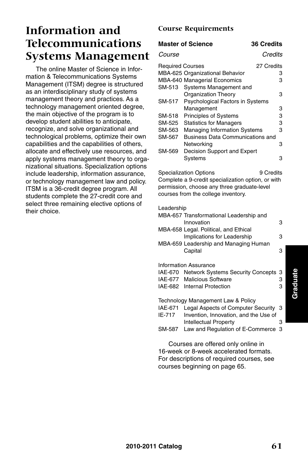## **Information and Telecommunications Systems Management**

The online Master of Science in Information & Telecommunications Systems Management (ITSM) degree is structured as an interdisciplinary study of systems management theory and practices. As a technology management oriented degree, the main objective of the program is to develop student abilities to anticipate, recognize, and solve organizational and technological problems, optimize their own capabilities and the capabilities of others, allocate and effectively use resources, and apply systems management theory to organizational situations. Specialization options include leadership, information assurance, or technology management law and policy. ITSM is a 36-credit degree program. All students complete the 27-credit core and select three remaining elective options of their choice.

### **Course Requirements**

| <b>Master of Science</b> | <b>36 Credits</b>                        |
|--------------------------|------------------------------------------|
| <i>Course</i>            | Credits                                  |
| <b>Required Courses</b>  | 27 Credits                               |
|                          | MBA-625 Organizational Behavior<br>3     |
|                          | <b>MBA-640 Managerial Economics</b><br>З |
| SM-513                   | Systems Management and                   |
|                          | Organization Theory<br>з                 |
| SM-517                   | Psychological Factors in Systems         |
|                          | Management<br>3                          |
| SM-518                   | <b>Principles of Systems</b><br>3        |
| SM-525                   | <b>Statistics for Managers</b><br>3      |
| SM-563                   | <b>Managing Information Systems</b><br>з |
| SM-567                   | <b>Business Data Communications and</b>  |
|                          | Networking<br>3                          |
| SM-569                   | Decision Support and Expert              |
| Svstems                  | з                                        |

Specialization Options 9 Credits Complete a 9-credit specialization option, or with permission, choose any three graduate-level courses from the college inventory.

#### Leadership

|         | MBA-657 Transformational Leadership and<br>Innovation                | 3 |
|---------|----------------------------------------------------------------------|---|
|         | MBA-658 Legal. Political, and Ethical<br>Implications for Leadership | 3 |
|         | MBA-659 Leadership and Managing Human<br>Capital                     | 3 |
|         | Information Assurance                                                |   |
|         | IAE-670 Network Systems Security Concepts 3                          |   |
|         | IAE-677 Malicious Software                                           | 3 |
|         | IAE-682 Internal Protection                                          | з |
|         | Technology Management Law & Policy                                   |   |
| IAE-671 | Legal Aspects of Computer Security 3                                 |   |
| IE-717  | Invention, Innovation, and the Use of                                |   |
|         | Intellectual Property                                                | з |
| SM-587  | Law and Regulation of E-Commerce                                     | 3 |
|         |                                                                      |   |

Courses are offered only online in 16-week or 8-week accelerated formats. For descriptions of required courses, see courses beginning on page 65.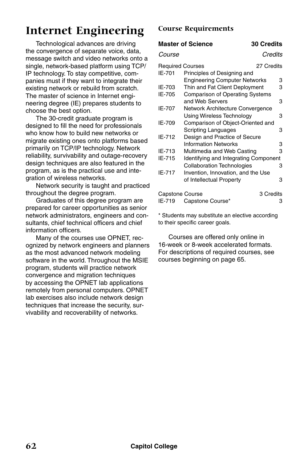# **Internet Engineering**

Technological advances are driving the convergence of separate voice, data, message switch and video networks onto a single, network-based platform using TCP/ IP technology. To stay competitive, companies must if they want to integrate their existing network or rebuild from scratch. The master of science in Internet engineering degree (IE) prepares students to choose the best option.

The 30-credit graduate program is designed to fill the need for professionals who know how to build new networks or migrate existing ones onto platforms based primarily on TCP/IP technology. Network reliability, survivability and outage-recovery design techniques are also featured in the program, as is the practical use and integration of wireless networks.

Network security is taught and practiced throughout the degree program.

Graduates of this degree program are prepared for career opportunities as senior network administrators, engineers and consultants, chief technical officers and chief information officers.

Many of the courses use OPNET, recognized by network engineers and planners as the most advanced network modeling software in the world. Throughout the MSIE program, students will practice network convergence and migration techniques by accessing the OPNET lab applications remotely from personal computers. OPNET lab exercises also include network design techniques that increase the security, survivability and recoverability of networks.

### **Course Requirements**

### **Master of Science 30 Credits**

*Course Credits*

| Reguired Courses |                                        | 27 Credits |   |
|------------------|----------------------------------------|------------|---|
| IE-701           | Principles of Designing and            |            |   |
|                  | <b>Engineering Computer Networks</b>   |            | з |
| IE-703           | Thin and Fat Client Deployment         |            | 3 |
| IE-705           | <b>Comparison of Operating Systems</b> |            |   |
|                  | and Web Servers                        |            | з |
| IE-707           | Network Architecture Convergence       |            |   |
|                  | Using Wireless Technology              |            | з |
| IE-709           | Comparison of Object-Oriented and      |            |   |
|                  | Scripting Languages                    |            | 3 |
| IE-712           | Design and Practice of Secure          |            |   |
|                  | <b>Information Networks</b>            |            | з |
| IE-713           | Multimedia and Web Casting             |            | 3 |
| IE-715           | Identifying and Integrating Component  |            |   |
|                  | <b>Collaboration Technologies</b>      |            | з |
| IE-717           | Invention, Innovation, and the Use     |            |   |
|                  | of Intellectual Property               |            | з |
| Capstone Course  |                                        | 3 Credits  |   |
| IE-719           | Capstone Course*                       |            | з |

\* Students may substitute an elective according to their specific career goals.

Courses are offered only online in 16-week or 8-week accelerated formats. For descriptions of required courses, see courses beginning on page 65.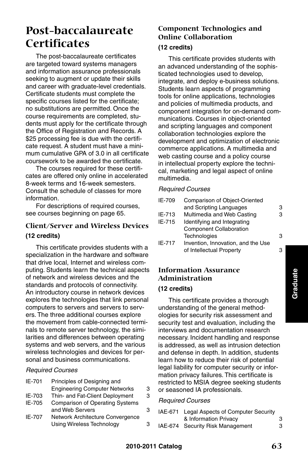## **Post-baccalaureate Certificates**

The post-baccalaureate certificates are targeted toward systems managers and information assurance professionals seeking to augment or update their skills and career with graduate-level credentials. Certificate students must complete the specific courses listed for the certificate; no substitutions are permitted. Once the course requirements are completed, students must apply for the certificate through the Office of Registration and Records. A \$25 processing fee is due with the certificate request. A student must have a minimum cumulative GPA of 3.0 in all certificate coursework to be awarded the certificate.

The courses required for these certificates are offered only online in accelerated 8-week terms and 16-week semesters. Consult the schedule of classes for more information.

For descriptions of required courses, see courses beginning on page 65.

### **Client/Server and Wireless Devices (12 credits)**

This certificate provides students with a specialization in the hardware and software that drive local, Internet and wireless computing. Students learn the technical aspects of network and wireless devices and the standards and protocols of connectivity. An introductory course in network devices explores the technologies that link personal computers to servers and servers to servers. The three additional courses explore the movement from cable-connected terminals to remote server technology, the similarities and differences between operating systems and web servers, and the various wireless technologies and devices for personal and business communications.

#### *Required Courses*

| IE-701 | Principles of Designing and            |   |
|--------|----------------------------------------|---|
|        | <b>Engineering Computer Networks</b>   | 3 |
| IE-703 | Thin- and Fat-Client Deployment        | 3 |
| IE-705 | <b>Comparison of Operating Systems</b> |   |
|        | and Web Servers                        | з |
| IE-707 | Network Architecture Convergence       |   |
|        | <b>Using Wireless Technology</b>       | з |

### **Component Technologies and Online Collaboration (12 credits)**

This certificate provides students with an advanced understanding of the sophisticated technologies used to develop, integrate, and deploy e-business solutions. Students learn aspects of programming tools for online applications, technologies and policies of multimedia products, and component integration for on-demand communications. Courses in object-oriented and scripting languages and component collaboration technologies explore the development and optimization of electronic commerce applications. A multimedia and web casting course and a policy course in intellectual property explore the technical, marketing and legal aspect of online multimedia.

### *Required Courses*

| IE-709 | Comparison of Object-Oriented      |   |
|--------|------------------------------------|---|
|        | and Scripting Languages            | 3 |
| IE-713 | Multimedia and Web Casting         | 3 |
| IE-715 | Identifying and Integrating        |   |
|        | <b>Component Collaboration</b>     |   |
|        | Technologies                       | 3 |
| IE-717 | Invention, Innovation, and the Use |   |
|        | of Intellectual Property           | з |

## **Information Assurance Administration**

### **(12 credits)**

This certificate provides a thorough understanding of the general methodologies for security risk assessment and security test and evaluation, including the interviews and documentation research necessary. Incident handling and response is addressed, as well as intrusion detection and defense in depth. In addition, students learn how to reduce their risk of potential legal liability for computer security or information privacy failures. This certificate is restricted to MSIA degree seeking students or seasoned IA professionals.

### *Required Courses*

| IAE-671 Legal Aspects of Computer Security |   |
|--------------------------------------------|---|
| & Information Privacy                      | 3 |
| IAE-674 Security Risk Management           | З |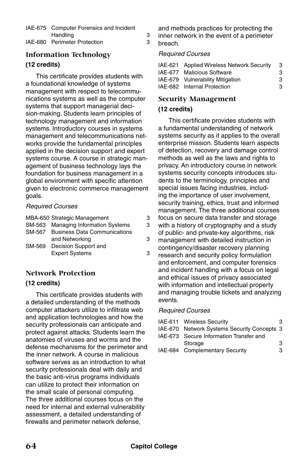| IAE-675 Computer Forensics and Incident |  |
|-----------------------------------------|--|
| Handling                                |  |
| IAE-680 Perimeter Protection            |  |

### **Information Technology (12 credits)**

This certificate provides students with a foundational knowledge of systems management with respect to telecommunications systems as well as the computer systems that support managerial decision-making. Students learn principles of technology management and information systems. Introductory courses in systems management and telecommunications networks provide the fundamental principles applied in the decision support and expert systems course. A course in strategic management of business technology lays the foundation for business management in a global environment with specific attention given to electronic commerce management goals.

### *Required Courses*

|        | MBA-650 Strategic Management        | З |
|--------|-------------------------------------|---|
| SM-563 | <b>Managing Information Systems</b> | 3 |
| SM-567 | <b>Business Data Communications</b> |   |
|        | and Networking                      | З |
| SM-569 | Decision Support and                |   |
|        | <b>Expert Systems</b>               | 3 |
|        |                                     |   |

### **Network Protection**

### **(12 credits)**

This certificate provides students with a detailed understanding of the methods computer attackers utilize to infiltrate web and application technologies and how the security professionals can anticipate and protect against attacks. Students learn the anatomies of viruses and worms and the defense mechanisms for the perimeter and the inner network. A course in malicious software serves as an introduction to what security professionals deal with daily and the basic anti-virus programs individuals can utilize to protect their information on the small scale of personal computing. The three additional courses focus on the need for internal and external vulnerability assessment, a detailed understanding of firewalls and perimeter network defense,

and methods practices for protecting the inner network in the event of a perimeter breach.

### *Required Courses*

| IAE-621 Applied Wireless Network Security | 3 |
|-------------------------------------------|---|
| IAE-677 Malicious Software                | 3 |
| IAE-679 Vulnerability Mitigation          | 3 |
| IAE-682 Internal Protection               | 3 |

### **Security Management**

### **(12 credits)**

This certificate provides students with a fundamental understanding of network systems security as it applies to the overall enterprise mission. Students learn aspects of detection, recovery and damage control methods as well as the laws and rights to privacy. An introductory course in network systems security concepts introduces students to the terminology, principles and special issues facing industries, including the importance of user involvement, security training, ethics, trust and informed management. The three additional courses focus on secure data transfer and storage with a history of cryptography and a study of public- and private-key algorithms, risk management with detailed instruction in contingency/disaster recovery planning research and security policy formulation and enforcement, and computer forensics and incident handling with a focus on legal and ethical issues of privacy associated with information and intellectual property and managing trouble tickets and analyzing events.

### *Required Courses*

| IAE-611 Wireless Security                   | з |
|---------------------------------------------|---|
| IAE-670 Network Systems Security Concepts 3 |   |
| IAE-673 Secure Information Transfer and     |   |
| Storage                                     | з |
| IAE-684 Complementary Security              | 3 |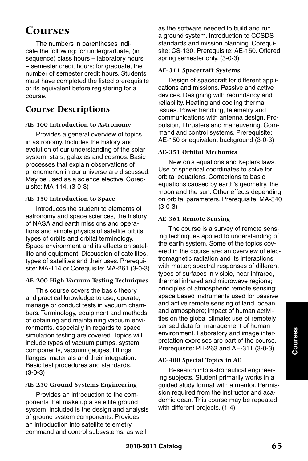## **Courses**

The numbers in parentheses indicate the following: for undergraduate, (in sequence) class hours – laboratory hours – semester credit hours; for graduate, the number of semester credit hours. Students must have completed the listed prerequisite or its equivalent before registering for a course.

### **Course Descriptions**

### **AE-100 Introduction to Astronomy**

Provides a general overview of topics in astronomy. Includes the history and evolution of our understanding of the solar system, stars, galaxies and cosmos. Basic processes that explain observations of phenomenon in our universe are discussed. May be used as a science elective. Corequisite: MA-114. (3-0-3)

### **AE-150 Introduction to Space**

Introduces the student to elements of astronomy and space sciences, the history of NASA and earth missions and operations and simple physics of satellite orbits, types of orbits and orbital terminology. Space environment and its effects on satellite and equipment. Discussion of satellites, types of satellites and their uses. Prerequisite: MA-114 or Corequisite: MA-261 (3-0-3)

### **AE-200 High Vacuum Testing Techniques**

This course covers the basic theory and practical knowledge to use, operate, manage or conduct tests in vacuum chambers. Terminology, equipment and methods of obtaining and maintaining vacuum environments, especially in regards to space simulation testing are covered. Topics will include types of vacuum pumps, system components, vacuum gauges, fittings, flanges, materials and their integration. Basic test procedures and standards. (3-0-3)

### **AE-250 Ground Systems Engineering**

Provides an introduction to the components that make up a satellite ground system. Included is the design and analysis of ground system components. Provides an introduction into satellite telemetry, command and control subsystems, as well

as the software needed to build and run a ground system. Introduction to CCSDS standards and mission planning. Corequisite: CS-130, Prerequisite: AE-150. Offered spring semester only. (3-0-3)

### **AE-311 Spacecraft Systems**

Design of spacecraft for different applications and missions. Passive and active devices. Designing with redundancy and reliability. Heating and cooling thermal issues. Power handling, telemetry and communications with antenna design. Propulsion, Thrusters and maneuvering. Command and control systems. Prerequisite: AE-150 or equivalent background (3-0-3)

### **AE-351 Orbital Mechanics**

Newton's equations and Keplers laws. Use of spherical coordinates to solve for orbital equations. Corrections to basic equations caused by earth's geometry, the moon and the sun. Other effects depending on orbital parameters. Prerequisite: MA-340 (3-0-3)

### **AE-361 Remote Sensing**

The course is a survey of remote sensing techniques applied to understanding of the earth system. Some of the topics covered in the course are: an overview of electromagnetic radiation and its interactions with matter; spectral responses of different types of surfaces in visible, near infrared, thermal infrared and microwave regions; principles of atmospheric remote sensing; space based instruments used for passive and active remote sensing of land, ocean and atmosphere; impact of human activities on the global climate; use of remotely sensed data for management of human environment. Laboratory and image interpretation exercises are part of the course. Prerequisite: PH-263 and AE-311 (3-0-3)

### **AE-400 Special Topics in AE**

Research into astronautical engineering subjects. Student primarily works in a guided study format with a mentor. Permission required from the instructor and academic dean. This course may be repeated with different projects. (1-4)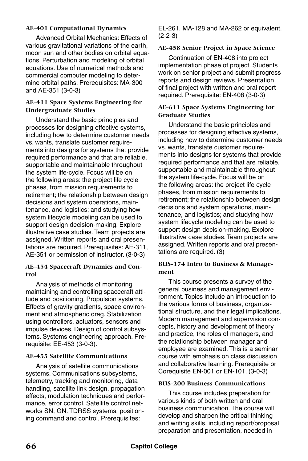### **AE-401 Computational Dynamics**

Advanced Orbital Mechanics: Effects of various gravitational variations of the earth, moon sun and other bodies on orbital equations. Perturbation and modeling of orbital equations. Use of numerical methods and commercial computer modeling to determine orbital paths. Prerequisites: MA-300 and AE-351 (3-0-3)

### **AE-411 Space Systems Engineering for Undergraduate Studies**

Understand the basic principles and processes for designing effective systems, including how to determine customer needs vs. wants, translate customer requirements into designs for systems that provide required performance and that are reliable, supportable and maintainable throughout the system life-cycle. Focus will be on the following areas: the project life cycle phases, from mission requirements to retirement; the relationship between design decisions and system operations, maintenance, and logistics; and studying how system lifecycle modeling can be used to support design decision-making. Explore illustrative case studies. Team projects are assigned. Written reports and oral presentations are required. Prerequisites: AE-311, AE-351 or permission of instructor. (3-0-3)

#### **AE-454 Spacecraft Dynamics and Control**

Analysis of methods of monitoring maintaining and controlling spacecraft attitude and positioning. Propulsion systems. Effects of gravity gradients, space environment and atmospheric drag. Stabilization using controllers, actuators, sensors and impulse devices. Design of control subsystems. Systems engineering approach. Prerequisite: EE-453 (3-0-3).

### **AE-455 Satellite Communications**

Analysis of satellite communications systems. Communications subsystems, telemetry, tracking and monitoring, data handling, satellite link design, propagation effects, modulation techniques and performance, error control. Satellite control networks SN, GN. TDRSS systems, positioning command and control. Prerequisites:

EL-261, MA-128 and MA-262 or equivalent. (2-2-3)

### **AE-458 Senior Project in Space Science**

Continuation of EN-408 into project implementation phase of project. Students work on senior project and submit progress reports and design reviews. Presentation of final project with written and oral report required. Prerequisite: EN-408 (3-0-3)

### **AE-611 Space Systems Engineering for Graduate Studies**

Understand the basic principles and processes for designing effective systems, including how to determine customer needs vs. wants, translate customer requirements into designs for systems that provide required performance and that are reliable, supportable and maintainable throughout the system life-cycle. Focus will be on the following areas: the project life cycle phases, from mission requirements to retirement; the relationship between design decisions and system operations, maintenance, and logistics; and studying how system lifecycle modeling can be used to support design decision-making. Explore illustrative case studies. Team projects are assigned. Written reports and oral presentations are required. (3)

### **BUS-174 Intro to Business & Management**

This course presents a survey of the general business and management environment. Topics include an introduction to the various forms of business, organizational structure, and their legal implications. Modern management and supervision concepts, history and development of theory and practice, the roles of managers, and the relationship between manager and employee are examined. This is a seminar course with emphasis on class discussion and collaborative learning. Prerequisite or Corequisite EN-001 or EN-101. (3-0-3)

#### **BUS-200 Business Communications**

This course includes preparation for various kinds of both written and oral business communication. The course will develop and sharpen the critical thinking and writing skills, including report/proposal preparation and presentation, needed in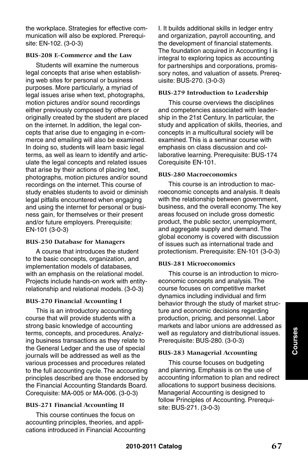the workplace. Strategies for effective communication will also be explored. Prerequisite: EN-102. (3-0-3)

### **BUS-208 E-Commerce and the Law**

Students will examine the numerous legal concepts that arise when establishing web sites for personal or business purposes. More particularly, a myriad of legal issues arise when text, photographs, motion pictures and/or sound recordings either previously composed by others or originally created by the student are placed on the internet. In addition, the legal concepts that arise due to engaging in e-commerce and emailing will also be examined. In doing so, students will learn basic legal terms, as well as learn to identify and articulate the legal concepts and related issues that arise by their actions of placing text, photographs, motion pictures and/or sound recordings on the internet. This course of study enables students to avoid or diminish legal pitfalls encountered when engaging and using the internet for personal or business gain, for themselves or their present and/or future employers. Prerequisite: EN-101 (3-0-3)

### **BUS-250 Database for Managers**

A course that introduces the student to the basic concepts, organization, and implementation models of databases, with an emphasis on the relational model. Projects include hands-on work with entityrelationship and relational models. (3-0-3)

#### **BUS-270 Financial Accounting I**

This is an introductory accounting course that will provide students with a strong basic knowledge of accounting terms, concepts, and procedures. Analyzing business transactions as they relate to the General Ledger and the use of special journals will be addressed as well as the various processes and procedures related to the full accounting cycle. The accounting principles described are those endorsed by the Financial Accounting Standards Board. Corequisite: MA-005 or MA-006. (3-0-3)

### **BUS-271 Financial Accounting II**

This course continues the focus on accounting principles, theories, and applications introduced in Financial Accounting I. It builds additional skills in ledger entry and organization, payroll accounting, and the development of financial statements. The foundation acquired in Accounting I is integral to exploring topics as accounting for partnerships and corporations, promissory notes, and valuation of assets. Prerequisite: BUS-270. (3-0-3)

#### **BUS-279 Introduction to Leadership**

This course overviews the disciplines and competencies associated with leadership in the 21st Century. In particular, the study and application of skills, theories, and concepts in a multicultural society will be examined. This is a seminar course with emphasis on class discussion and collaborative learning. Prerequisite: BUS-174 Corequisite EN-101.

#### **BUS-280 Macroeconomics**

This course is an introduction to macroeconomic concepts and analysis. It deals with the relationship between government, business, and the overall economy. The key areas focused on include gross domestic product, the public sector, unemployment, and aggregate supply and demand. The global economy is covered with discussion of issues such as international trade and protectionism. Prerequisite: EN-101 (3-0-3)

### **BUS-281 Microeconomics**

This course is an introduction to microeconomic concepts and analysis. The course focuses on competitive market dynamics including individual and firm behavior through the study of market structure and economic decisions regarding production, pricing, and personnel. Labor markets and labor unions are addressed as well as regulatory and distributional issues. Prerequisite: BUS-280. (3-0-3)

### **BUS-283 Managerial Accounting**

This course focuses on budgeting and planning. Emphasis is on the use of accounting information to plan and redirect allocations to support business decisions. Managerial Accounting is designed to follow Principles of Accounting. Prerequisite: BUS-271. (3-0-3)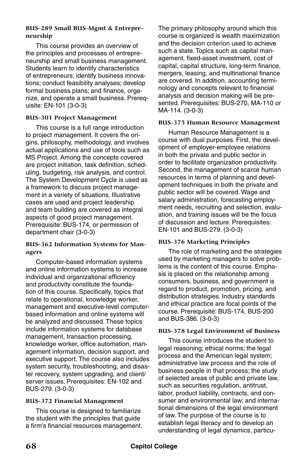### **BUS-289 Small BUS-Mgmt & Entrepreneurship**

This course provides an overview of the principles and processes of entrepreneurship and small business management. Students learn to identify characteristics of entrepreneurs; identify business innovations; conduct feasibility analyses; develop formal business plans; and finance, organize, and operate a small business. Prerequisite: EN-101 (3-0-3)

### **BUS-301 Project Management**

This course is a full range introduction to project management. It covers the origins, philosophy, methodology, and involves actual applications and use of tools such as MS Project. Among the concepts covered are project initiation, task definition, scheduling, budgeting, risk analysis, and control. The System Development Cycle is used as a framework to discuss project management in a variety of situations. Illustrative cases are used and project leadership and team building are covered as integral aspects of good project management. Prerequisite: BUS-174, or permission of department chair (3-0-3)

### **BUS-362 Information Systems for Managers**

Computer-based information systems and online information systems to increase individual and organizational efficiency and productivity constitute the foundation of this course. Specifically, topics that relate to operational, knowledge worker, management and executive-level computerbased information and online systems will be analyzed and discussed. These topics include information systems for database management, transaction processing, knowledge worker, office automation, management information, decision support, and executive support. The course also includes system security, troubleshooting, and disaster recovery, system upgrading, and client/ server issues. Prerequisites: EN-102 and BUS-279. (3-0-3)

### **BUS-372 Financial Management**

This course is designed to familiarize the student with the principles that guide a firm's financial resources management. The primary philosophy around which this course is organized is wealth maximization and the decision criterion used to achieve such a state. Topics such as capital management, fixed-asset investment, cost of capital, capital structure, long-term finance, mergers, leasing, and multinational finance are covered. In addition, accounting terminology and concepts relevant to financial analysis and decision making will be presented. Prerequisites: BUS-270, MA-110 or MA-114. (3-0-3)

### **BUS-375 Human Resource Management**

Human Resource Management is a course with dual purposes. First, the development of employer-employee relations in both the private and public sector in order to facilitate organization productivity. Second, the management of scarce human resources in terms of planning and development techniques in both the private and public sector will be covered. Wage and salary administration, forecasting employment needs, recruiting and selection, evaluation, and training issues will be the focus of discussion and lecture. Prerequisites: EN-101 and BUS-279. (3-0-3)

### **BUS-376 Marketing Principles**

The role of marketing and the strategies used by marketing managers to solve problems is the content of this course. Emphasis is placed on the relationship among consumers, business, and government is regard to product, promotion, pricing, and distribution strategies. Industry standards and ethical practice are focal points of the course. Prerequisite: BUS-174, BUS-200 and BUS-386. (3-0-3)

### **BUS-378 Legal Environment of Business**

This course introduces the student to legal reasoning; ethical norms; the legal process and the American legal system; administrative law process and the role of business people in that process; the study of selected areas of public and private law, such as securities regulation, antitrust, labor, product liability, contracts, and consumer and environmental law; and international dimensions of the legal environment of law. The purpose of the course is to establish legal literacy and to develop an understanding of legal dynamics, particu-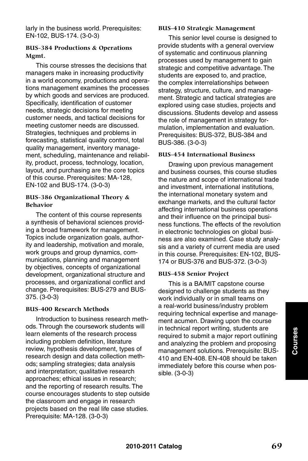larly in the business world. Prerequisites: EN-102, BUS-174. (3-0-3)

#### **BUS-384 Productions & Operations Mgmt.**

This course stresses the decisions that managers make in increasing productivity in a world economy, productions and operations management examines the processes by which goods and services are produced. Specifically, identification of customer needs, strategic decisions for meeting customer needs, and tactical decisions for meeting customer needs are discussed. Strategies, techniques and problems in forecasting, statistical quality control, total quality management, inventory management, scheduling, maintenance and reliability, product, process, technology, location, layout, and purchasing are the core topics of this course. Prerequisites: MA-128, EN-102 and BUS-174. (3-0-3)

#### **BUS-386 Organizational Theory & Behavior**

The content of this course represents a synthesis of behavioral sciences providing a broad framework for management. Topics include organization goals, authority and leadership, motivation and morale, work groups and group dynamics, communications, planning and management by objectives, concepts of organizational development, organizational structure and processes, and organizational conflict and change. Prerequisites: BUS-279 and BUS-375. (3-0-3)

#### **BUS-400 Research Methods**

Introduction to business research methods. Through the coursework students will learn elements of the research process including problem definition, literature review, hypothesis development, types of research design and data collection methods; sampling strategies; data analysis and interpretation; qualitative research approaches; ethical issues in research; and the reporting of research results. The course encourages students to step outside the classroom and engage in research projects based on the real life case studies. Prerequisite: MA-128. (3-0-3)

#### **BUS-410 Strategic Management**

This senior level course is designed to provide students with a general overview of systematic and continuous planning processes used by management to gain strategic and competitive advantage. The students are exposed to, and practice, the complex interrelationships between strategy, structure, culture, and management. Strategic and tactical strategies are explored using case studies, projects and discussions. Students develop and assess the role of management in strategy formulation, implementation and evaluation. Prerequisites: BUS-372, BUS-384 and BUS-386. (3-0-3)

#### **BUS-454 International Business**

Drawing upon previous management and business courses, this course studies the nature and scope of international trade and investment, international institutions, the international monetary system and exchange markets, and the cultural factor affecting international business operations and their influence on the principal business functions. The effects of the revolution in electronic technologies on global business are also examined. Case study analysis and a variety of current media are used in this course. Prerequisites: EN-102, BUS-174 or BUS-376 and BUS-372. (3-0-3)

#### **BUS-458 Senior Project**

This is a BA/MIT capstone course designed to challenge students as they work individually or in small teams on a real-world business/industry problem requiring technical expertise and management acumen. Drawing upon the course in technical report writing, students are required to submit a major report outlining and analyzing the problem and proposing management solutions. Prerequisite: BUS-410 and EN-408. EN-408 should be taken immediately before this course when possible. (3-0-3)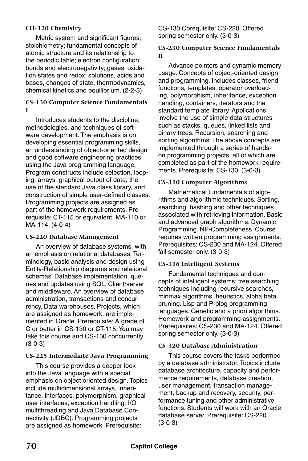#### **CH-120 Chemistry**

Metric system and significant figures; stoichiometry; fundamental concepts of atomic structure and its relationship to the periodic table; electron configuration; bonds and electronegativity; gases; oxidation states and redox; solutions, acids and bases, changes of state, thermodynamics, chemical kinetics and equilibrium. (2-2-3)

#### **CS-130 Computer Science Fundamentals I**

Introduces students to the discipline, methodologies, and techniques of software development. The emphasis is on developing essential programming skills, an understanding of object-oriented design and good software engineering practices using the Java programming language. Program constructs include selection, looping, arrays, graphical output of data, the use of the standard Java class library, and construction of simple user-defined classes. Programming projects are assigned as part of the homework requirements. Prerequisite: CT-115 or equivalent, MA-110 or MA-114. (4-0-4)

#### **CS-220 Database Management**

An overview of database systems, with an emphasis on relational databases. Terminology, basic analysis and design using Entity-Relationship diagrams and relational schemas. Database implementation, queries and updates using SQL. Client/server and middleware. An overview of database administration, transactions and concurrency. Data warehouses. Projects, which are assigned as homework, are implemented in Oracle. Prerequisite: A grade of C or better in CS-130 or CT-115. You may take this course and CS-130 concurrently. (3-0-3)

#### **CS-225 Intermediate Java Programming**

This course provides a deeper look into the Java language with a special emphasis on object oriented design. Topics include multidimensional arrays, inheritance, interfaces, polymorphism, graphical user interfaces, exception handling, I/O, multithreading and Java Database Connectivity (JDBC). Programming projects are assigned as homework. Prerequisite:

CS-130 Corequisite: CS-220. Offered spring semester only. (3-0-3)

#### **CS-230 Computer Science Fundamentals II**

Advance pointers and dynamic memory usage. Concepts of object-oriented design and programming. Includes classes, friend functions, templates, operator overloading, polymorphism, inheritance, exception handling, containers, iterators and the standard template library. Applications involve the use of simple data structures such as stacks, queues, linked lists and binary trees. Recursion, searching and sorting algorithms. The above concepts are implemented through a series of handson programming projects, all of which are completed as part of the homework requirements. Prerequisite: CS-130. (3-0-3)

#### **CS-310 Computer Algorithms**

Mathematical fundamentals of algorithms and algorithmic techniques. Sorting, searching, hashing and other techniques associated with retrieving information. Basic and advanced graph algorithms. Dynamic Programming. NP-Completeness. Course requires written programming assignments. Prerequisites: CS-230 and MA-124. Offered fall semester only. (3-0-3)

#### **CS-316 Intelligent Systems**

Fundamental techniques and concepts of intelligent systems: tree searching techniques including recursive searches, minmax algorithms, heuristics, alpha beta pruning. Lisp and Prolog programming languages. Genetic and a priori algorithms. Homework and programming assignments. Prerequisites: CS-230 and MA-124. Offered spring semester only. (3-0-3)

#### **CS-320 Database Administration**

This course covers the tasks performed by a database administrator. Topics include database architecture, capacity and performance requirements, database creation, user management, transaction management, backup and recovery, security, performance tuning and other administrative functions. Students will work with an Oracle database server. Prerequisite: CS-220 (3-0-3)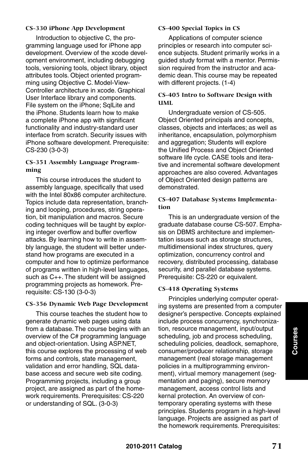#### **CS-330 iPhone App Development**

Introduction to objective C, the programming language used for iPhone app development. Overview of the xcode development environment, including debugging tools, versioning tools, object library, object attributes tools. Object oriented programming using Objective C. Model-View-Controller architecture in xcode. Graphical User Interface library and components. File system on the iPhone; SqlLite and the iPhone. Students learn how to make a complete iPhone app with significant functionality and industry-standard user interface from scratch. Security issues with iPhone software development. Prerequisite: CS-230 (3-0-3)

#### **CS-351 Assembly Language Programming**

This course introduces the student to assembly language, specifically that used with the Intel 80x86 computer architecture. Topics include data representation, branching and looping, procedures, string operation, bit manipulation and macros. Secure coding techniques will be taught by exploring integer overflow and buffer overflow attacks. By learning how to write in assembly language, the student will better understand how programs are executed in a computer and how to optimize performance of programs written in high-level languages, such as C++. The student will be assigned programming projects as homework. Prerequisite: CS-130 (3-0-3)

#### **CS-356 Dynamic Web Page Development**

This course teaches the student how to generate dynamic web pages using data from a database. The course begins with an overview of the C# programming language and object-orientation. Using ASP.NET, this course explores the processing of web forms and controls, state management, validation and error handling, SQL database access and secure web site coding. Programming projects, including a group project, are assigned as part of the homework requirements. Prerequisites: CS-220 or understanding of SQL. (3-0-3)

#### **CS-400 Special Topics in CS**

Applications of computer science principles or research into computer science subjects. Student primarily works in a guided study format with a mentor. Permission required from the instructor and academic dean. This course may be repeated with different projects. (1-4)

#### **CS-405 Intro to Software Design with UML**

Undergraduate version of CS-505. Object Oriented principals and concepts, classes, objects and interfaces; as well as inheritance, encapsulation, polymorphism and aggregation; Students will explore the Unified Process and Object Oriented software life cycle. CASE tools and iterative and incremental software development approaches are also covered. Advantages of Object Oriented design patterns are demonstrated.

#### **CS-407 Database Systems Implementation**

This is an undergraduate version of the graduate database course CS-507. Emphasis on DBMS architecture and implementation issues such as storage structures, multidimensional index structures, query optimization, concurrency control and recovery, distributed processing, database security, and parallel database systems. Prerequisite: CS-220 or equivalent.

#### **CS-418 Operating Systems**

Principles underlying computer operating systems are presented from a computer designer's perspective. Concepts explained include process concurrency, synchronization, resource management, input/output scheduling, job and process scheduling, scheduling policies, deadlock, semaphore, consumer/producer relationship, storage management (real storage management policies in a multiprogramming environment), virtual memory management (segmentation and paging), secure memory management, access control lists and kernal protection. An overview of contemporary operating systems with these principles. Students program in a high-level language. Projects are assigned as part of the homework requirements. Prerequisites: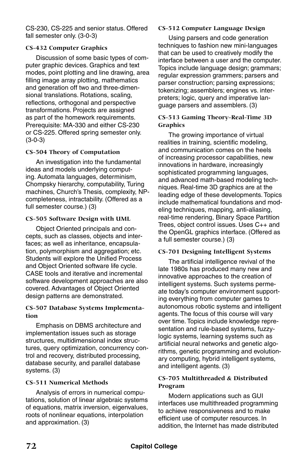CS-230, CS-225 and senior status. Offered fall semester only. (3-0-3)

#### **CS-432 Computer Graphics**

Discussion of some basic types of computer graphic devices. Graphics and text modes, point plotting and line drawing, area filling image array plotting, mathematics and generation off two and three-dimensional translations. Rotations, scaling, reflections, orthogonal and perspective transformations. Projects are assigned as part of the homework requirements. Prerequisite: MA-330 and either CS-230 or CS-225. Offered spring semester only. (3-0-3)

#### **CS-504 Theory of Computation**

An investigation into the fundamental ideas and models underlying computing. Automata languages, determinism, Chompsky hierarchy, computability, Turing machines, Church's Thesis, complexity, NPcompleteness, intractability. (Offered as a full semester course.) (3)

#### **CS-505 Software Design with UML**

Object Oriented principals and concepts, such as classes, objects and interfaces; as well as inheritance, encapsulation, polymorphism and aggregation; etc. Students will explore the Unified Process and Object Oriented software life cycle. CASE tools and iterative and incremental software development approaches are also covered. Advantages of Object Oriented design patterns are demonstrated.

## **CS-507 Database Systems Implementation**

Emphasis on DBMS architecture and implementation issues such as storage structures, multidimensional index structures, query optimization, concurrency control and recovery, distributed processing, database security, and parallel database systems. (3)

# **CS-511 Numerical Methods**

Analysis of errors in numerical computations, solution of linear algebraic systems of equations, matrix inversion, eigenvalues, roots of nonlinear equations, interpolation and approximation. (3)

#### **CS-512 Computer Language Design**

Using parsers and code generation techniques to fashion new mini-languages that can be used to creatively modify the interface between a user and the computer. Topics include language design; grammars; regular expression grammers; parsers and parser construction; parsing expressions; tokenizing; assemblers; engines vs. interpreters; logic, query and imperative language parsers and assemblers. (3)

#### **CS-513 Gaming Theory-Real-Time 3D Graphics**

The growing importance of virtual realities in training, scientific modeling, and communication comes on the heels of increasing processor capabilities, new innovations in hardware, increasingly sophisticated programming languages, and advanced math-based modeling techniques. Real-time 3D graphics are at the leading edge of these developments. Topics include mathematical foundations and modeling techniques, mapping, anti-aliasing, real-time rendering, Binary Space Partition Trees, object control issues. Uses C++ and the OpenGL graphics interface. (Offered as a full semester course.) (3)

#### **CS-701 Designing Intelligent Systems**

The artificial intelligence revival of the late 1980s has produced many new and innovative approaches to the creation of intelligent systems. Such systems permeate today's computer environment supporting everything from computer games to autonomous robotic systems and intelligent agents. The focus of this course will vary over time. Topics include knowledge representation and rule-based systems, fuzzylogic systems, learning systems such as artificial neural networks and genetic algorithms, genetic programming and evolutionary computing, hybrid intelligent systems, and intelligent agents. (3)

## **CS-705 Multithreaded & Distributed Program**

Modern applications such as GUI interfaces use multithreaded programming to achieve responsiveness and to make efficient use of computer resources. In addition, the Internet has made distributed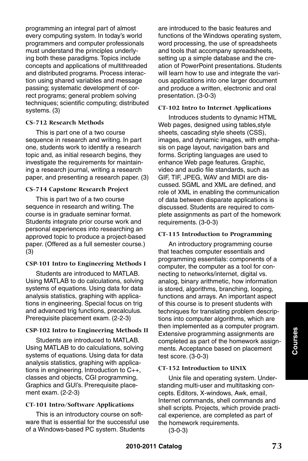programming an integral part of almost every computing system. In today's world programmers and computer professionals must understand the principles underlying both these paradigms. Topics include concepts and applications of multithreaded and distributed programs. Process interaction using shared variables and message passing; systematic development of correct programs; general problem solving techniques; scientific computing; distributed systems. (3)

#### **CS-712 Research Methods**

This is part one of a two course sequence in research and writing. In part one, students work to identify a research topic and, as initial research begins, they investigate the requirements for maintaining a research journal, writing a research paper, and presenting a research paper. (3)

#### **CS-714 Capstone Research Project**

This is part two of a two course sequence in research and writing. The course is in graduate seminar format. Students integrate prior course work and personal experiences into researching an approved topic to produce a project-based paper. (Offered as a full semester course.) (3)

#### **CSP-101 Intro to Engineering Methods I**

Students are introduced to MATLAB. Using MATLAB to do calculations, solving systems of equations. Using data for data analysis statistics, graphing with applications in engineering. Special focus on trig and advanced trig functions, precalculus. Prerequisite placement exam. (2-2-3)

#### **CSP-102 Intro to Engineering Methods II**

Students are introduced to MATLAB. Using MATLAB to do calculations, solving systems of equations. Using data for data analysis statistics, graphing with applications in engineering. Introduction to C++, classes and objects, CGI programming, Graphics and GUI's. Prerequisite placement exam. (2-2-3)

#### **CT-101 Intro/Software Applications**

This is an introductory course on software that is essential for the successful use of a Windows-based PC system. Students

are introduced to the basic features and functions of the Windows operating system, word processing, the use of spreadsheets and tools that accompany spreadsheets, setting up a simple database and the creation of PowerPoint presentations. Students will learn how to use and integrate the various applications into one larger document and produce a written, electronic and oral presentation. (3-0-3)

#### **CT-102 Intro to Internet Applications**

Introduces students to dynamic HTML Web pages, designed using tables,style sheets, cascading style sheets (CSS), images, and dynamic images, with emphasis on page layout, navigation bars and forms. Scripting languages are used to enhance Web page features. Graphic, video and audio file standards, such as GIF, TIF, JPEG, WAV and MIDI are discussed. SGML and XML are defined, and role of XML in enabling the communication of data between disparate applications is discussed. Students are required to complete assignments as part of the homework requirements. (3-0-3)

#### **CT-115 Introduction to Programming**

An introductory programming course that teaches computer essentials and programming essentials: components of a computer, the computer as a tool for connecting to networks/internet, digital vs. analog, binary arithmetic, how information is stored, algorithms, branching, looping, functions and arrays. An important aspect of this course is to present students with techniques for translating problem descriptions into computer algorithms, which are then implemented as a computer program. Extensive programming assignments are completed as part of the homework assignments. Acceptance based on placement test score. (3-0-3)

#### **CT-152 Introduction to UNIX**

Unix file and operating system. Understanding multi-user and multitasking concepts. Editors, X-windows, Awk, email, Internet commands, shell commands and shell scripts. Projects, which provide practical experience, are completed as part of the homework requirements.

(3-0-3)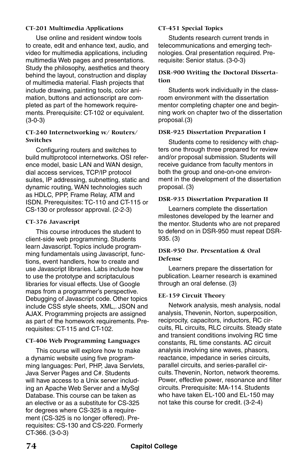#### **CT-201 Multimedia Applications**

Use online and resident window tools to create, edit and enhance text, audio, and video for multimedia applications, including multimedia Web pages and presentations. Study the philosophy, aesthetics and theory behind the layout, construction and display of multimedia material. Flash projects that include drawing, painting tools, color animation, buttons and actionscript are completed as part of the homework requirements. Prerequisite: CT-102 or equivalent. (3-0-3)

#### **CT-240 Internetworking w/ Routers/ Switches**

Configuring routers and switches to build multiprotocol internetworks. OSI reference model, basic LAN and WAN design, dial access services, TCP/IP protocol suites, IP addressing, subnetting, static and dynamic routing, WAN technologies such as HDLC, PPP, Frame Relay, ATM and ISDN. Prerequisites: TC-110 and CT-115 or CS-130 or professor approval. (2-2-3)

#### **CT-376 Javascript**

This course introduces the student to client-side web programming. Students learn Javascript. Topics include programming fundamentals using Javascript, functions, event handlers, how to create and use Javascript libraries. Labs include how to use the prototype and scriptaculous libraries for visual effects. Use of Google maps from a programmer's perspective. Debugging of Javascript code. Other topics include CSS style sheets, XML,. JSON and AJAX. Programming projects are assigned as part of the homework requirements. Prerequisites: CT-115 and CT-102.

## **CT-406 Web Programming Languages**

This course will explore how to make a dynamic website using five programming languages: Perl, PHP, Java Servlets, Java Server Pages and C#. Students will have access to a Unix server including an Apache Web Server and a MySql Database. This course can be taken as an elective or as a substitute for CS-325 for degrees where CS-325 is a requirement (CS-325 is no longer offered). Prerequisites: CS-130 and CS-220. Formerly CT-366. (3-0-3)

#### **CT-451 Special Topics**

Students research current trends in telecommunications and emerging technologies. Oral presentation required. Prerequisite: Senior status. (3-0-3)

#### **DSR-900 Writing the Doctoral Dissertation**

Students work individually in the classroom environment with the dissertation mentor completing chapter one and beginning work on chapter two of the dissertation proposal.(3)

#### **DSR-925 Dissertation Preparation I**

Students come to residency with chapters one through three prepared for review and/or proposal submission. Students will receive guidance from faculty mentors in both the group and one-on-one environment in the development of the dissertation proposal. (3)

#### **DSR-935 Dissertation Preparation II**

Learners complete the dissertation milestones developed by the learner and the mentor. Students who are not prepared to defend on in DSR-950 must repeat DSR-935. (3)

#### **DSR-950 Dsr. Presentation & Oral Defense**

Learners prepare the dissertation for publication. Learner research is examined through an oral defense. (3)

#### **EE-159 Circuit Theory**

Network analysis, mesh analysis, nodal analysis, Thevenin, Norton, superposition, reciprocity, capacitors, inductors, RC circuits, RL circuits, RLC circuits. Steady state and transient conditions involving RC time constants, RL time constants. AC circuit analysis involving sine waves, phasors, reactance, impedance in series circuits, parallel circuits, and series-parallel circuits. Thevenin, Norton, network theorems. Power, effective power, resonance and filter circuits. Prerequisite: MA-114. Students who have taken EL-100 and EL-150 may not take this course for credit. (3-2-4)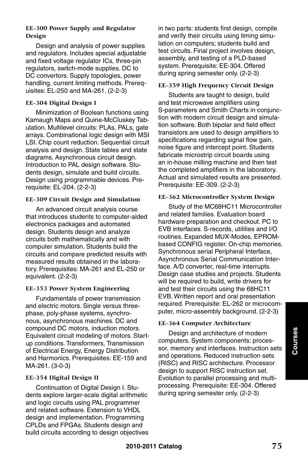#### **EE-300 Power Supply and Regulator Design**

Design and analysis of power supplies and regulators. Includes special adjustable and fixed voltage regulator ICs, three-pin regulators, switch-mode supplies. DC to DC convertors. Supply topologies, power handling, current limiting methods. Prerequisites: EL-250 and MA-261. (2-2-3)

#### **EE-304 Digital Design I**

Minimization of Boolean functions using Kamaugh Maps and Quine-McCluskey Tabulation. Multilevel circuits: PLAs, PALs, gate arrays. Combinational logic design with MSI LSI. Chip count reduction. Sequential circuit analysis and design. State tables and state diagrams. Asynchronous circuit design. Introduction to PAL design software. Students design, simulate and build circuits. Design using programmable devices. Prerequisite: EL-204. (2-2-3)

#### **EE-309 Circuit Design and Simulation**

An advanced circuit analysis course that introduces students to computer-aided electronics packages and automated design. Students design and analyze circuits both mathematically and with computer simulation. Students build the circuits and compare predicted results with measured results obtained in the laboratory. Prerequisites: MA-261 and EL-250 or equivalent. (2-2-3)

#### **EE-353 Power System Engineering**

Fundamentals of power transmission and electric motors. Single versus threephase, poly-phase systems, synchronous, asynchronous machines. DC and compound DC motors, induction motors. Equivalent circuit modeling of motors. Startup conditions. Transformers, Transmission of Electrical Energy, Energy Distribution and Harmonics. Prerequisites: EE-159 and MA-261. (3-0-3)

#### **EE-354 Digital Design II**

Continuation of Digital Design I. Students explore larger-scale digital arithmetic and logic circuits using PAL programmer and related software. Extension to VHDL design and implementation. Programming CPLDs and FPGAs. Students design and build circuits according to design objectives in two parts: students first design, compile and verify their circuits using timing simulation on computers; students build and test circuits. Final project involves design, assembly, and testing of a PLD-based system. Prerequisite: EE-304. Offered during spring semester only. (2-2-3)

#### **EE-359 High Frequency Circuit Design**

Students are taught to design, build and test microwave amplifiers using S-parameters and Smith Charts in conjunction with modern circuit design and simulation software. Both bipolar and field effect transistors are used to design amplifiers to specifications regarding signal flow gain, noise figure and intercept point. Students fabricate microstrip circuit boards using an in-house milling machine and then test the completed amplifiers in the laboratory. Actual and simulated results are presented. Prerequisite: EE-309. (2-2-3)

#### **EE-362 Microcontroller System Design**

Study of the MC68HC11 Microcontroller and related families. Evaluation board hardware preparation and checkout. PC to EVB interfaces. S-records, utilities and I/O routines. Expanded MUX-Modes, EPROMbased CONFIG register. On-chip memories. Synchronous serial Peripheral Interface, Asynchronous Serial Communication Interface. A/D converter, real-time interrupts. Design case studies and projects. Students will be required to build, write drivers for and test their circuits using the 68HC11 EVB. Written report and oral presentation required. Prerequisite: EL-262 or microcomputer, micro-assembly background. (2-2-3)

#### **EE-364 Computer Architecture**

Design and architecture of modern computers. System components: processor, memory and interfaces. Instruction sets and operations. Reduced instruction sets (RISC) and RISC architecture. Processor design to support RISC instruction set. Evolution to parallel processing and multiprocessing. Prerequisite: EE-304. Offered during spring semester only. (2-2-3)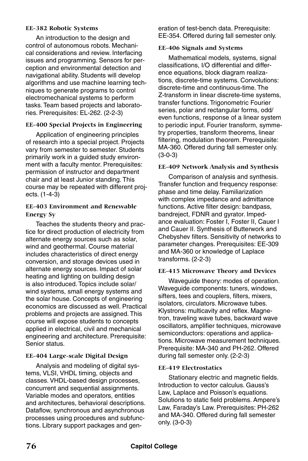#### **EE-382 Robotic Systems**

An introduction to the design and control of autonomous robots. Mechanical considerations and review. Interfacing issues and programming. Sensors for perception and environmental detection and navigational ability. Students will develop algorithms and use machine learning techniques to generate programs to control electromechanical systems to perform tasks. Team based projects and laboratories. Prerequisites: EL-262. (2-2-3)

### **EE-400 Special Projects in Engineering**

Application of engineering principles of research into a special project. Projects vary from semester to semester. Students primarily work in a guided study environment with a faculty mentor. Prerequisites: permission of instructor and department chair and at least Junior standing. This course may be repeated with different projects. (1-4-3)

#### **EE-403 Environment and Renewable Energy Sy**

Teaches the students theory and practice for direct production of electricity from alternate energy sources such as solar, wind and geothermal. Course material includes characteristics of direct energy conversion, and storage devices used in alternate energy sources. Impact of solar heating and lighting on building design is also introduced. Topics include solar/ wind systems, small energy systems and the solar house. Concepts of engineering economics are discussed as well. Practical problems and projects are assigned. This course will expose students to concepts applied in electrical, civil and mechanical engineering and architecture. Prerequisite: Senior status.

#### **EE-404 Large-scale Digital Design**

Analysis and modeling of digital systems, VLSI, VHDL timing, objects and classes. VHDL-based design processes, concurrent and sequential assignments. Variable modes and operators, entities and architectures, behavioral descriptions. Dataflow, synchronous and asynchronous processes using procedures and subfunctions. Library support packages and generation of test-bench data. Prerequisite: EE-354. Offered during fall semester only.

#### **EE-406 Signals and Systems**

Mathematical models, systems, signal classifications, I/O differential and difference equations, block diagram realizations, discrete-time systems. Convolutions: discrete-time and continuous-time. The Z-transform in linear discrete-time systems, transfer functions. Trigonometric Fourier series, polar and rectangular forms, odd/ even functions, response of a linear system to periodic input. Fourier transform, symmetry properties, transform theorems, linear filtering, modulation theorem. Prerequisite: MA-360. Offered during fall semester only. (3-0-3)

#### **EE-409 Network Analysis and Synthesis**

Comparison of analysis and synthesis. Transfer function and frequency response: phase and time delay. Familiarization with complex impedance and admittance functions. Active filter design: bandpass, bandreject, FDNR and gyrator. Impedance evaluation: Foster I, Foster II, Cauer I and Cauer II. Synthesis of Butterwork and Chebyshev filters. Sensitivity of networks to parameter changes. Prerequisites: EE-309 and MA-360 or knowledge of Laplace transforms. (2-2-3)

#### **EE-415 Microwave Theory and Devices**

Waveguide theory: modes of operation. Waveguide components: tuners, windows, sifters, tees and couplers, filters, mixers, isolators, circulators. Microwave tubes. Klystrons: multicavity and reflex. Magnetron, traveling wave tubes, backward wave oscillators, amplifier techniques, microwave semiconductors: operations and applications. Microwave measurement techniques. Prerequisite: MA-340 and PH-262. Offered during fall semester only. (2-2-3)

#### **EE-419 Electrostatics**

Stationary electric and magnetic fields. Introduction to vector calculus. Gauss's Law, Laplace and Poisson's equations. Solutions to static field problems. Ampere's Law, Faraday's Law. Prerequisites: PH-262 and MA-340. Offered during fall semester only. (3-0-3)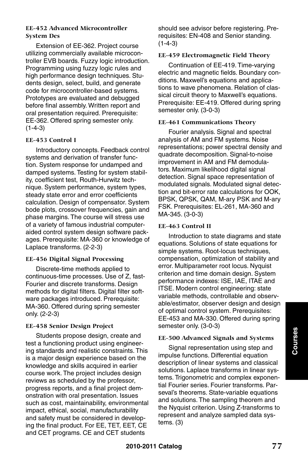#### **EE-452 Advanced Microcontroller System Des**

Extension of EE-362. Project course utilizing commercially available microcontroller EVB boards. Fuzzy logic introduction. Programming using fuzzy logic rules and high performance design techniques. Students design, select, build, and generate code for microcontroller-based systems. Prototypes are evaluated and debugged before final assembly. Written report and oral presentation required. Prerequisite: EE-362. Offered spring semester only. (1-4-3)

#### **EE-453 Control I**

Introductory concepts. Feedback control systems and derivation of transfer function. System response for undamped and damped systems. Testing for system stability, coefficient test, Routh-Hurwitz technique. System performance, system types, steady state error and error coefficients calculation. Design of compensator. System bode plots, crossover frequencies, gain and phase margins. The course will stress use of a variety of famous industrial computeraided control system design software packages. Prerequisite: MA-360 or knowledge of Laplace transforms. (2-2-3)

#### **EE-456 Digital Signal Processing**

Discrete-time methods applied to continuous-time processes. Use of Z, fast-Fourier and discrete transforms. Design methods for digital filters. Digital filter software packages introduced. Prerequisite: MA-360. Offered during spring semester only. (2-2-3)

#### **EE-458 Senior Design Project**

Students propose design, create and test a functioning product using engineering standards and realistic constraints. This is a major design experience based on the knowledge and skills acquired in earlier course work. The project includes design reviews as scheduled by the professor, progress reports, and a final project demonstration with oral presentation. Issues such as cost, maintainability, environmental impact, ethical, social, manufacturability and safety must be considered in developing the final product. For EE, TET, EET, CE and CET programs. CE and CET students

should see advisor before registering. Prerequisites: EN-408 and Senior standing.  $(1-4-3)$ 

#### **EE-459 Electromagnetic Field Theory**

Continuation of EE-419. Time-varying electric and magnetic fields. Boundary conditions. Maxwell's equations and applications to wave phenomena. Relation of classical circuit theory to Maxwell's equations. Prerequisite: EE-419. Offered during spring semester only. (3-0-3)

#### **EE-461 Communications Theory**

Fourier analysis. Signal and spectral analysis of AM and FM systems. Noise representations; power spectral density and quadrate decomposition. Signal-to-noise improvement in AM and FM demodulators. Maximum likelihood digital signal detection. Signal space representation of modulated signals. Modulated signal detection and bit-error rate calculations for OOK, BPSK, QPSK, QAM, M-ary PSK and M-ary FSK. Prerequisites: EL-261, MA-360 and MA-345. (3-0-3)

#### **EE-463 Control II**

Introduction to state diagrams and state equations. Solutions of state equations for simple systems. Root-locus techniques, compensation, optimization of stability and error. Multiparameter root locus. Nyquist criterion and time domain design. System performance indexes: ISE, IAE, ITAE and ITSE. Modern control engineering: state variable methods, controllable and observable/estimator, observer design and design of optimal control system. Prerequisites: EE-453 and MA-330. Offered during spring semester only. (3-0-3)

#### **EE-500 Advanced Signals and Systems**

Signal representation using step and impulse functions. Differential equation description of linear systems and classical solutions. Laplace transforms in linear systems. Trigonometric and complex exponential Fourier series. Fourier transforms. Parseval's theorems. State-variable equations and solutions. The sampling theorem and the Nyquist criterion. Using Z-transforms to represent and analyze sampled data systems. (3)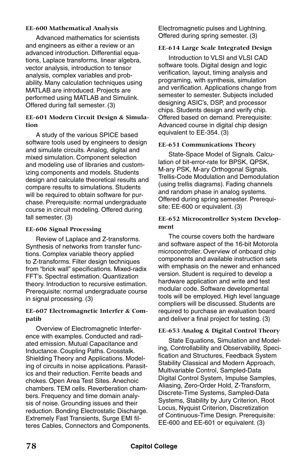#### **EE-600 Mathematical Analysis**

Advanced mathematics for scientists and engineers as either a review or an advanced introduction. Differential equations, Laplace transforms, linear algebra, vector analysis, introduction to tensor analysis, complex variables and probability. Many calculation techniques using MATLAB are introduced. Projects are performed using MATLAB and Simulink. Offered during fall semester. (3)

#### **EE-601 Modern Circuit Design & Simulation**

A study of the various SPICE based software tools used by engineers to design and simulate circuits. Analog, digital and mixed simulation. Component selection and modeling use of libraries and customizing components and models. Students design and calculate theoretical results and compare results to simulations. Students will be required to obtain software for purchase. Prerequisite: normal undergraduate course in circuit modeling. Offered during fall semester. (3)

#### **EE-606 Signal Processing**

Review of Laplace and Z-transforms. Synthesis of networks from transfer functions. Complex variable theory applied to Z-transforms. Filter design techniques from "brick wall" specifications. Mixed-radix FFT's. Spectral estimation. Quantization theory. Introduction to recursive estimation. Prerequisite: normal undergraduate course in signal processing. (3)

#### **EE-607 Electromagnetic Interfer & Compatib**

Overview of Electromagnetic Interference with examples. Conducted and radiated emission. Mutual Capacitance and Inductance. Coupling Paths. Crosstalk. Shielding Theory and Applications. Modeling of circuits in noise applications. Parasitics and their reduction. Ferrite beads and chokes. Open Area Test Sites. Anechoic chambers. TEM cells. Reverberation chambers. Frequency and time domain analysis of noise. Grounding issues and their reduction. Bonding Electrostatic Discharge. Extremely Fast Transients, Surge EMI filteres Cables, Connectors and Components. Electromagnetic pulses and Lightning. Offered during spring semester. (3)

# **EE-614 Large Scale Integrated Design**

Introduction to VLSI and VLSI CAD software tools. Digital design and logic verification, layout, timing analysis and programing, with synthesis, simulation and verification. Applications change from semester to semester. Subjects included designing ASIC's, DSP, and processor chips. Students design and verify chip. Offered based on demand. Prerequisite: Advanced course in digital chip design equivalent to EE-354. (3)

#### **EE-651 Communications Theory**

State-Space Model of Signals. Calculation of bit-error-rate for BPSK, QPSK, M-ary PSK, M-ary Orthogonal Signals. Trellis-Code Modulation and Demodulation (using trellis diagrams). Fading channels and random phase in analog systems. Offered during spring semester. Prerequisite: EE-600 or equivalent. (3)

#### **EE-652 Microcontroller System Development**

The course covers both the hardware and software aspect of the 16-bit Motorola microcontroller. Overview of onboard chip components and available instruction sets with emphasis on the newer and enhanced version. Student is required to develop a hardware application and write and test modular code. Software developmental tools will be employed. High level language compliers will be discussed. Students are required to purchase an evaluation board and deliver a final project for testing. (3)

#### **EE-653 Analog & Digital Control Theory**

State Equations, Simulation and Modeling, Controllability and Observability, Specification and Structures, Feedback System Stability Classical and Modern Approach, Multivariable Control, Sampled-Data Digital Control System, Impulse Samples, Aliasing, Zero-Order Hold, Z-Transform, Discrete-Time Systems, Sampled-Data Systems, Stability by Jury Criterion, Root Locus, Nyquist Criterion, Discretization of Continuous-Time Design. Prerequisite: EE-600 and EE-601 or equivalent. (3)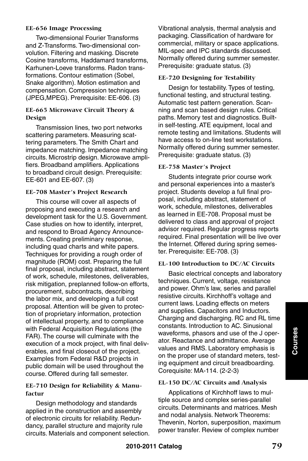#### **EE-656 Image Processing**

Two-dimensional Fourier Transforms and Z-Transforms. Two-dimensional convolution. Filtering and masking. Discrete Cosine transforms, Haddamard transforms, Karhunen-Loeve transforms. Radon transformations. Contour estimation (Sobel, Snake algorithm). Motion estimation and compensation. Compression techniques (JPEG,MPEG). Prerequisite: EE-606. (3)

#### **EE-665 Microwave Circuit Theory & Design**

Transmission lines, two port networks scattering parameters. Measuring scattering parameters. The Smith Chart and impedance matching. Impedance matching circuits. Microstrip design. Microwave amplifiers. Broadband amplifiers. Applications to broadband circuit design. Prerequisite: EE-601 and EE-607. (3)

#### **EE-708 Master's Project Research**

This course will cover all aspects of proposing and executing a research and development task for the U.S. Government. Case studies on how to identify, interpret, and respond to Broad Agency Announcements. Creating preliminary response, including quad charts and white papers. Techniques for providing a rough order of magnitude (ROM) cost. Preparing the full final proposal, including abstract, statement of work, schedule, milestones, deliverables, risk mitigation, preplanned follow-on efforts, procurement, subcontracts, describing the labor mix, and developing a full cost proposal. Attention will be given to protection of proprietary information, protection of intellectual property, and to compliance with Federal Acquisition Regulations (the FAR). The course will culminate with the execution of a mock project, with final deliverables, and final closeout of the project. Examples from Federal R&D projects in public domain will be used throughout the course. Offered during fall semester.

#### **EE-710 Design for Reliability & Manufactur**

Design methodology and standards applied in the construction and assembly of electronic circuits for reliability. Redundancy, parallel structure and majority rule circuits. Materials and component selection. Vibrational analysis, thermal analysis and packaging. Classification of hardware for commercial, military or space applications. MIL-spec and IPC standards discussed. Normally offered during summer semester. Prerequisite: graduate status. (3)

#### **EE-720 Designing for Testability**

Design for testability. Types of testing, functional testing, and structural testing. Automatic test pattern generation. Scanning and scan based design rules. Critical paths. Memory test and diagnostics. Builtin self-testing. ATE equipment, local and remote testing and limitations. Students will have access to on-line test workstations. Normally offered during summer semester. Prerequisite: graduate status. (3)

#### **EE-758 Master's Project**

Students integrate prior course work and personal experiences into a master's project. Students develop a full final proposal, including abstract, statement of work, schedule, milestones, deliverables as learned in EE-708. Proposal must be delivered to class and approval of project advisor required. Regular progress reports required. Final presentation will be live over the Internet. Offered during spring semester. Prerequisite: EE-708. (3)

#### **EL-100 Introduction to DC/AC Circuits**

Basic electrical concepts and laboratory techniques. Current, voltage, resistance and power. Ohm's law, series and parallel resistive circuits. Kirchhoff's voltage and current laws. Loading effects on meters and supplies. Capacitors and Inductors. Charging and discharging. RC and RL time constants. Introduction to AC. Sinusional waveforms, phasors and use of the J operator. Reactance and admittance. Average values and RMS. Laboratory emphasis is on the proper use of standard meters, testing equipment and circuit breadboarding. Corequisite: MA-114. (2-2-3)

#### **EL-150 DC/AC Circuits and Analysis**

Applications of Kirchhoff laws to multiple source and complex series-parallel circuits. Determinants and matrices. Mesh and nodal analysis. Network Theorems: Thevenin, Norton, superposition, maximum power transfer. Review of complex number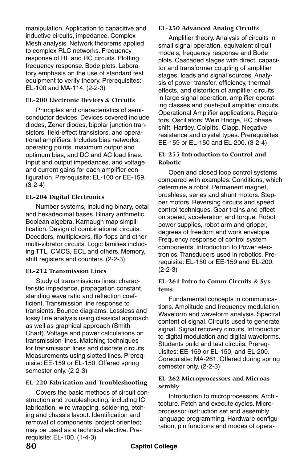manipulation. Application to capacitive and inductive circuits, impedance. Complex Mesh analysis. Network theorems applied to complex RLC networks. Frequency response of RL and RC circuits. Plotting frequency response. Bode plots. Laboratory emphasis on the use of standard test equipment to verify theory. Prerequisites: EL-100 and MA-114. (2-2-3)

#### **EL-200 Electronic Devices & Circuits**

Principles and characteristics of semiconductor devices. Devices covered include diodes, Zener diodes, bipolar junction transistors, field-effect transistors, and operational amplifiers. Includes bias networks, operating points, maximum output and optimum bias, and DC and AC load lines. Input and output impedances, and voltage and current gains for each amplifier configuration. Prerequisite: EL-100 or EE-159. (3-2-4)

#### **EL-204 Digital Electronics**

Number systems, including binary, octal and hexadecimal bases. Binary arithmetic. Boolean algebra, Karnaugh map simplification. Design of combinational circuits. Decoders, multiplexers, flip-flops and other multi-vibrator circuits. Logic families including TTL, CMOS, ECL and others. Memory, shift registers and counters. (2-2-3)

#### **EL-212 Transmission Lines**

Study of transmissions lines: characteristic impedance, propagation constant, standing wave ratio and reflection coefficient. Transmission line response to transients. Bounce diagrams. Lossless and lossy line analysis using classical approach as well as graphical approach (Smith Chart). Voltage and power calculations on transmission lines. Matching techniques for transmission lines and discrete circuits. Measurements using slotted lines. Prerequisite: EE-159 or EL-150. Offered spring semester only. (2-2-3)

#### **EL-220 Fabrication and Troubleshooting**

Covers the basic methods of circuit construction and troubleshooting, including IC fabrication, wire wrapping, soldering, etching and chassis layout. Identification and removal of components; project oriented; may be used as a technical elective. Prerequisite: EL-100. (1-4-3)

#### **EL-250 Advanced Analog Circuits**

Amplifier theory. Analysis of circuits in small signal operation, equivalent circuit models, frequency response and Bode plots. Cascaded stages with direct, capacitor and transformer coupling of amplifier stages, loads and signal sources. Analysis of power transfer, efficiency, thermal effects, and distortion of amplifier circuits in large signal operation, amplifier operating classes and push-pull amplifier circuits. Operational Amplifier applications. Regulators. Oscillators: Wein Bridge, RC phase shift, Hartley, Colpitts, Clapp, Negative resistance and crystal types. Prerequisites: EE-159 or EL-150 and EL-200. (3-2-4)

#### **EL-255 Introduction to Control and Robotic**

Open and closed loop control systems compared with examples. Conditions, which determine a robot. Permanent magnet, brushless, series and shunt motors. Stepper motors. Reversing circuits and speed control techniques. Gear trains and effect on speed, acceleration and torque. Robot power supplies, robot arm and gripper, degrees of freedom and work envelope. Frequency response of control system components. Introduction to Power electronics. Transducers used in robotics. Prerequisite: EL-150 or EE-159 and EL-200. (2-2-3)

#### **EL-261 Intro to Comm Circuits & Systems**

Fundamental concepts in communications. Amplitude and frequency modulation. Waveform and waveform analysis. Spectral content of signal. Circuits used to generate signal. Signal recovery circuits. Introduction to digital modulation and digital waveforms. Students build and test circuits. Prerequisites: EE-159 or EL-150, and EL-200. Corequisite: MA-261. Offered during spring semester only. (2-2-3)

#### **EL-262 Microprocessors and Microassembly**

Introduction to microprocessors. Architecture. Fetch and execute cycles. Microprocessor instruction set and assembly language programming. Hardware configuration, pin functions and modes of opera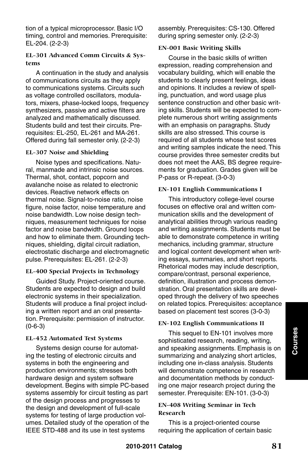tion of a typical microprocessor. Basic I/O timing, control and memories. Prerequisite: EL-204. (2-2-3)

#### **EL-301 Advanced Comm Circuits & Systems**

A continuation in the study and analysis of communications circuits as they apply to communications systems. Circuits such as voltage controlled oscillators, modulators, mixers, phase-locked loops, frequency synthesizers, passive and active filters are analyzed and mathematically discussed. Students build and test their circuits. Prerequisites: EL-250, EL-261 and MA-261. Offered during fall semester only. (2-2-3)

#### **EL-307 Noise and Shielding**

Noise types and specifications. Natural, manmade and intrinsic noise sources. Thermal, shot, contact, popcorn and avalanche noise as related to electronic devices. Reactive network effects on thermal noise. Signal-to-noise ratio, noise figure, noise factor, noise temperature and noise bandwidth. Low noise design techniques, measurement techniques for noise factor and noise bandwidth. Ground loops and how to eliminate them. Grounding techniques, shielding, digital circuit radiation, electrostatic discharge and electromagnetic pulse. Prerequisites: EL-261. (2-2-3)

#### **EL-400 Special Projects in Technology**

Guided Study. Project-oriented course. Students are expected to design and build electronic systems in their specialization. Students will produce a final project including a written report and an oral presentation. Prerequisite: permission of instructor. (0-6-3)

#### **EL-452 Automated Test Systems**

Systems design course for automating the testing of electronic circuits and systems in both the engineering and production environments; stresses both hardware design and system software development. Begins with simple PC-based systems assembly for circuit testing as part of the design process and progresses to the design and development of full-scale systems for testing of large production volumes. Detailed study of the operation of the IEEE STD-488 and its use in test systems

assembly. Prerequisites: CS-130. Offered during spring semester only. (2-2-3)

#### **EN-001 Basic Writing Skills**

Course in the basic skills of written expression, reading comprehension and vocabulary building, which will enable the students to clearly present feelings, ideas and opinions. It includes a review of spelling, punctuation, and word usage plus sentence construction and other basic writing skills. Students will be expected to complete numerous short writing assignments with an emphasis on paragraphs. Study skills are also stressed. This course is required of all students whose test scores and writing samples indicate the need. This course provides three semester credits but does not meet the AAS, BS degree requirements for graduation. Grades given will be P-pass or R-repeat. (3-0-3)

#### **EN-101 English Communications I**

This introductory college-level course focuses on effective oral and written communication skills and the development of analytical abilities through various reading and writing assignments. Students must be able to demonstrate competence in writing mechanics, including grammar, structure and logical content development when writing essays, summaries, and short reports. Rhetorical modes may include description, compare/contrast, personal experience, definition, illustration and process demonstration. Oral presentation skills are developed through the delivery of two speeches on related topics. Prerequisites: acceptance based on placement test scores (3-0-3)

#### **EN-102 English Communications II**

This sequel to EN-101 involves more sophisticated research, reading, writing, and speaking assignments. Emphasis is on summarizing and analyzing short articles, including one in-class analysis. Students will demonstrate competence in research and documentation methods by conducting one major research project during the semester. Prerequisite: EN-101. (3-0-3)

#### **EN-408 Writing Seminar in Tech Research**

This is a project-oriented course requiring the application of certain basic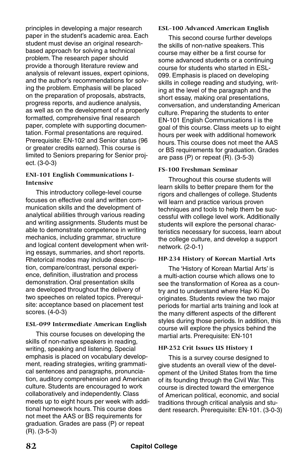principles in developing a major research paper in the student's academic area. Each student must devise an original researchbased approach for solving a technical problem. The research paper should provide a thorough literature review and analysis of relevant issues, expert opinions, and the author's recommendations for solving the problem. Emphasis will be placed on the preparation of proposals, abstracts, progress reports, and audience analysis, as well as on the development of a properly formatted, comprehensive final research paper, complete with supporting documentation. Formal presentations are required. Prerequisite: EN-102 and Senior status (96 or greater credits earned). This course is limited to Seniors preparing for Senior project. (3-0-3)

#### **ENI-101 English Communications I-Intensive**

This introductory college-level course focuses on effective oral and written communication skills and the development of analytical abilities through various reading and writing assignments. Students must be able to demonstrate competence in writing mechanics, including grammar, structure and logical content development when writing essays, summaries, and short reports. Rhetorical modes may include description, compare/contrast, personal experience, definition, illustration and process demonstration. Oral presentation skills are developed throughout the delivery of two speeches on related topics. Prerequisite: acceptance based on placement test scores. (4-0-3)

#### **ESL-099 Intermediate American English**

This course focuses on developing the skills of non-native speakers in reading, writing, speaking and listening. Special emphasis is placed on vocabulary development, reading strategies, writing grammatical sentences and paragraphs, pronunciation, auditory comprehension and American culture. Students are encouraged to work collaboratively and independently. Class meets up to eight hours per week with additional homework hours. This course does not meet the AAS or BS requirements for graduation. Grades are pass (P) or repeat (R). (3-5-3)

#### **ESL-100 Advanced American English**

This second course further develops the skills of non-native speakers. This course may either be a first course for some advanced students or a continuing course for students who started in ESL-099. Emphasis is placed on developing skills in college reading and studying, writing at the level of the paragraph and the short essay, making oral presentations, conversation, and understanding American culture. Preparing the students to enter EN-101 English Communications I is the goal of this course. Class meets up to eight hours per week with additional homework hours. This course does not meet the AAS or BS requirements for graduation. Grades are pass (P) or repeat (R). (3-5-3)

#### **FS-100 Freshman Seminar**

Throughout this course students will learn skills to better prepare them for the rigors and challenges of college. Students will learn and practice various proven techniques and tools to help them be successful with college level work. Additionally students will explore the personal characteristics necessary for success, learn about the college culture, and develop a support network. (2-0-1)

#### **HP-234 History of Korean Martial Arts**

The 'History of Korean Martial Arts' is a multi-action course which allows one to see the transformation of Korea as a country and to understand where Hap Ki Do originates. Students review the two major periods for martial arts training and look at the many different aspects of the different styles during those periods. In addition, this course will explore the physics behind the martial arts. Prerequisite: EN-101

#### **HP-252 Crit Issues US History I**

This is a survey course designed to give students an overall view of the development of the United States from the time of its founding through the Civil War. This course is directed toward the emergence of American political, economic, and social traditions through critical analysis and student research. Prerequisite: EN-101. (3-0-3)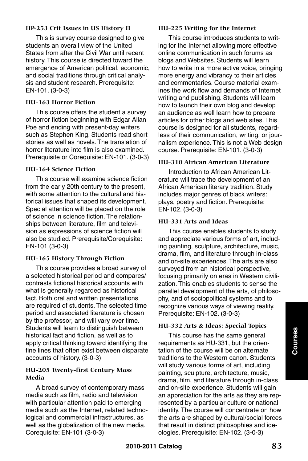#### **HP-253 Crit Issues in US History II**

This is survey course designed to give students an overall view of the United States from after the Civil War until recent history. This course is directed toward the emergence of American political, economic, and social traditions through critical analysis and student research. Prerequisite: EN-101. (3-0-3)

#### **HU-163 Horror Fiction**

This course offers the student a survey of horror fiction beginning with Edgar Allan Poe and ending with present-day writers such as Stephen King. Students read short stories as well as novels. The translation of horror literature into film is also examined. Prerequisite or Corequisite: EN-101. (3-0-3)

#### **HU-164 Science Fiction**

This course will examine science fiction from the early 20th century to the present, with some attention to the cultural and historical issues that shaped its development. Special attention will be placed on the role of science in science fiction. The relationships between literature, film and television as expressions of science fiction will also be studied. Prerequisite/Corequisite: EN-101 (3-0-3)

#### **HU-165 History Through Fiction**

This course provides a broad survey of a selected historical period and compares/ contrasts fictional historical accounts with what is generally regarded as historical fact. Both oral and written presentations are required of students. The selected time period and associated literature is chosen by the professor, and will vary over time. Students will learn to distinguish between historical fact and fiction, as well as to apply critical thinking toward identifying the fine lines that often exist between disparate accounts of history. (3-0-3)

### **HU-205 Twenty-first Century Mass Media**

A broad survey of contemporary mass media such as film, radio and television with particular attention paid to emerging media such as the Internet, related technological and commercial infrastructures, as well as the globalization of the new media. Corequisite: EN-101 (3-0-3)

#### **HU-225 Writing for the Internet**

This course introduces students to writing for the Internet allowing more effective online communication in such forums as blogs and Websites. Students will learn how to write in a more active voice, bringing more energy and vibrancy to their articles and commentaries. Course material examines the work flow and demands of Internet writing and publishing. Students will learn how to launch their own blog and develop an audience as well learn how to prepare articles for other blogs and web sites. This course is designed for all students, regardless of their communication, writing, or journalism experience. This is not a Web design course. Prerequisite: EN-101. (3-0-3)

#### **HU-310 African American Literature**

Introduction to African American Literature will trace the development of an African American literary tradition. Study includes major genres of black writers: plays, poetry and fiction. Prerequisite: EN-102. (3-0-3)

#### **HU-331 Arts and Ideas**

This course enables students to study and appreciate various forms of art, including painting, sculpture, architecture, music, drama, film, and literature through in-class and on-site experiences. The arts are also surveyed from an historical perspective, focusing primarily on eras in Western civilization. This enables students to sense the parallel development of the arts, of philosophy, and of sociopolitical systems and to recognize various ways of viewing reality. Prerequisite: EN-102. (3-0-3)

#### **HU-332 Arts & Ideas: Special Topics**

This course has the same general requirements as HU-331, but the orientation of the course will be on alternate traditions to the Western canon. Students will study various forms of art, including painting, sculpture, architecture, music, drama, film, and literature through in-class and on-site experience. Students will gain an appreciation for the arts as they are represented by a particular culture or national identity. The course will concentrate on how the arts are shaped by cultural/social forces that result in distinct philosophies and ideologies. Prerequisite: EN-102. (3-0-3)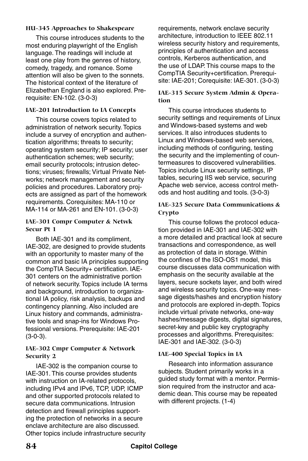#### **HU-345 Approaches to Shakespeare**

This course introduces students to the most enduring playwright of the English language. The readings will include at least one play from the genres of history, comedy, tragedy, and romance. Some attention will also be given to the sonnets. The historical context of the literature of Elizabethan England is also explored. Prerequisite: EN-102. (3-0-3)

## **IAE-201 Introduction to IA Concepts**

This course covers topics related to administration of network security. Topics include a survey of encryption and authentication algorithms; threats to security; operating system security; IP security; user authentication schemes; web security; email security protocols; intrusion detections; viruses; firewalls; Virtual Private Networks; network management and security policies and procedures. Laboratory projects are assigned as part of the homework requirements. Corequisites: MA-110 or MA-114 or MA-261 and EN-101. (3-0-3)

#### **IAE-301 Compr Computer & Netwk Secur Pt 1**

Both IAE-301 and its compliment, IAE-302, are designed to provide students with an opportunity to master many of the common and basic IA principles supporting the CompTIA Security+ certification. IAE-301 centers on the administrative portion of network security. Topics include IA terms and background, introduction to organizational IA policy, risk analysis, backups and contingency planning. Also included are Linux history and commands, administrative tools and snap-ins for Windows Professional versions. Prerequisite: IAE-201 (3-0-3).

#### **IAE-302 Cmpr Computer & Network Security 2**

IAE-302 is the companion course to IAE-301. This course provides students with instruction on IA-related protocols, including IPv4 and IPv6, TCP, UDP, ICMP and other supported protocols related to secure data communications. Intrusion detection and firewall principles supporting the protection of networks in a secure enclave architecture are also discussed. Other topics include infrastructure security requirements, network enclave security architecture, introduction to IEEE 802.11 wireless security history and requirements, principles of authentication and access controls, Kerberos authentication, and the use of LDAP. This course maps to the CompTIA Security+certification. Prerequisite: IAE-201; Corequisite: IAE-301. (3-0-3)

#### **IAE-315 Secure System Admin & Operation**

This course introduces students to security settings and requirements of Linux and Windows-based systems and web services. It also introduces students to Linux and Windows-based web services, including methods of configuring, testing the security and the implementing of countermeasures to discovered vulnerabilities. Topics include Linux security settings, IP tables, securing IIS web service, securing Apache web service, access control methods and host auditing and tools. (3-0-3)

### **IAE-325 Secure Data Communications & Crypto**

This course follows the protocol education provided in IAE-301 and IAE-302 with a more detailed and practical look at secure transactions and correspondence, as well as protection of data in storage. Within the confines of the ISO-OS1 model, this course discusses data communication with emphasis on the security available at the layers, secure sockets layer, and both wired and wireless security topics. One-way message digests/hashes and encryption history and protocols are explored in-depth. Topics include virtual private networks, one-way hashes/message digests, digital signatures, secret-key and public key cryptography processes and algorithms. Prerequisites: IAE-301 and IAE-302. (3-0-3)

#### **IAE-400 Special Topics in IA**

Research into information assurance subjects. Student primarily works in a guided study format with a mentor. Permission required from the instructor and academic dean. This course may be repeated with different projects. (1-4)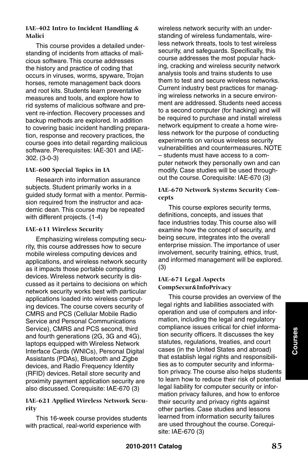#### **IAE-402 Intro to Incident Handling & Malici**

This course provides a detailed understanding of incidents from attacks of malicious software. This course addresses the history and practice of coding that occurs in viruses, worms, spyware, Trojan horses, remote management back doors and root kits. Students learn preventative measures and tools, and explore how to rid systems of malicious software and prevent re-infection. Recovery processes and backup methods are explored. In addition to covering basic incident handling preparation, response and recovery practices, the course goes into detail regarding malicious software. Prerequisites: IAE-301 and IAE-302. (3-0-3)

#### **IAE-600 Special Topics in IA**

Research into information assurance subjects. Student primarily works in a guided study format with a mentor. Permission required from the instructor and academic dean. This course may be repeated with different projects. (1-4)

#### **IAE-611 Wireless Security**

Emphasizing wireless computing security, this course addresses how to secure mobile wireless computing devices and applications, and wireless network security as it impacts those portable computing devices. Wireless network security is discussed as it pertains to decisions on which network security works best with particular applications loaded into wireless computing devices. The course covers security of CMRS and PCS (Cellular Mobile Radio Service and Personal Communications Service), CMRS and PCS second, third and fourth generations (2G, 3G and 4G), laptops equipped with Wireless Network Interface Cards (WNICs), Personal Digital Assistants (PDAs), Bluetooth and Zigbe devices, and Radio Frequency Identity (RFID) devices. Retail store security and proximity payment application security are also discussed. Corequisite: IAE-670 (3)

#### **IAE-621 Applied Wireless Network Security**

This 16-week course provides students with practical, real-world experience with

wireless network security with an understanding of wireless fundamentals, wireless network threats, tools to test wireless security, and safeguards. Specifically, this course addresses the most popular hacking, cracking and wireless security network analysis tools and trains students to use them to test and secure wireless networks. Current industry best practices for managing wireless networks in a secure environment are addressed. Students need access to a second computer (for hacking) and will be required to purchase and install wireless network equipment to create a home wireless network for the purpose of conducting experiments on various wireless security vulnerabilities and countermeasures. NOTE – students must have access to a computer network they personally own and can modify. Case studies will be used throughout the course. Corequisite: IAE-670 (3)

#### **IAE-670 Network Systems Security Concepts**

This course explores security terms, definitions, concepts, and issues that face industries today. This course also will examine how the concept of security, and being secure, integrates into the overall enterprise mission. The importance of user involvement, security training, ethics, trust, and informed management will be explored. (3)

#### **IAE-671 Legal Aspects CompSecur&InfoPrivacy**

This course provides an overview of the legal rights and liabilities associated with operation and use of computers and information, including the legal and regulatory compliance issues critical for chief information security officers. It discusses the key statutes, regulations, treaties, and court cases (in the United States and abroad) that establish legal rights and responsibilities as to computer security and information privacy. The course also helps students to learn how to reduce their risk of potential legal liability for computer security or information privacy failures, and how to enforce their security and privacy rights against other parties. Case studies and lessons learned from information security failures are used throughout the course. Corequisite: IAE-670 (3)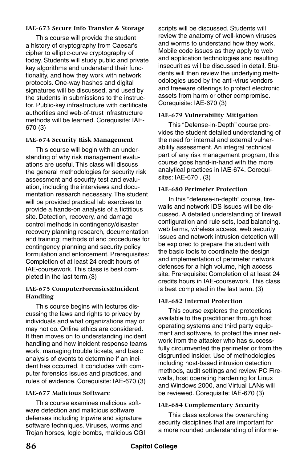#### **IAE-673 Secure Info Transfer & Storage**

This course will provide the student a history of cryptography from Caesar's cipher to elliptic-curve cryptography of today. Students will study public and private key algorithms and understand their functionality, and how they work with network protocols. One-way hashes and digital signatures will be discussed, and used by the students in submissions to the instructor. Public-key infrastructure with certificate authorities and web-of-trust infrastructure methods will be learned. Corequisite: IAE-670 (3)

#### **IAE-674 Security Risk Management**

This course will begin with an understanding of why risk management evaluations are useful. This class will discuss the general methodologies for security risk assessment and security test and evaluation, including the interviews and documentation research necessary. The student will be provided practical lab exercises to provide a hands-on analysis of a fictitious site. Detection, recovery, and damage control methods in contingency/disaster recovery planning research, documentation and training; methods of and procedures for contingency planning and security policy formulation and enforcement. Prerequisites: Completion of at least 24 credit hours of IAE-coursework. This class is best completed in the last term.(3)

#### **IAE-675 ComputerForensics&Incident Handling**

This course begins with lectures discussing the laws and rights to privacy by individuals and what organizations may or may not do. Online ethics are considered. It then moves on to understanding incident handling and how incident response teams work, managing trouble tickets, and basic analysis of events to determine if an incident has occurred. It concludes with computer forensics issues and practices, and rules of evidence. Corequisite: IAE-670 (3)

#### **IAE-677 Malicious Software**

This course examines malicious software detection and malicious software defenses including tripwire and signature software techniques. Viruses, worms and Trojan horses, logic bombs, malicious CGI scripts will be discussed. Students will review the anatomy of well-known viruses and worms to understand how they work. Mobile code issues as they apply to web and application technologies and resulting insecurities will be discussed in detail. Students will then review the underlying methodologies used by the anti-virus vendors and freeware offerings to protect electronic assets from harm or other compromise. Corequisite: IAE-670 (3)

#### **IAE-679 Vulnerability Mitigation**

This "Defense-in-Depth" course provides the student detailed understanding of the need for internal and external vulnerability assessment. An integral technical part of any risk management program, this course goes hand-in-hand with the more analytical practices in IAE-674. Corequisites: IAE-670 . (3)

#### **IAE-680 Perimeter Protection**

In this "defense-in-depth" course, firewalls and network IDS issues will be discussed. A detailed understanding of firewall configuration and rule sets, load balancing, web farms, wireless access, web security issues and network intrusion detection will be explored to prepare the student with the basic tools to coordinate the design and implementation of perimeter network defenses for a high volume, high access site. Prerequisite: Completion of at least 24 credits hours in IAE-coursework. This class is best completed in the last term. (3)

#### **IAE-682 Internal Protection**

This course explores the protections available to the practitioner through host operating systems and third party equipment and software, to protect the inner network from the attacker who has successfully circumvented the perimeter or from the disgruntled insider. Use of methodologies including host-based intrusion detection methods, audit settings and review PC Firewalls, host operating hardening for Linux and Windows 2000, and Virtual LANs will be reviewed. Corequisite: IAE-670 (3)

#### **IAE-684 Complementary Security**

This class explores the overarching security disciplines that are important for a more rounded understanding of informa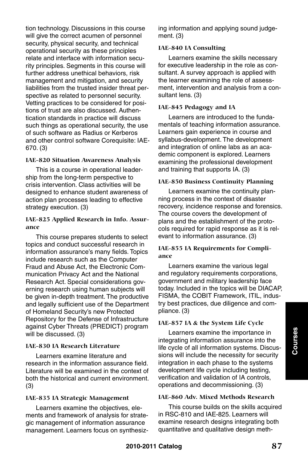tion technology. Discussions in this course will give the correct acumen of personnel security, physical security, and technical operational security as these principles relate and interface with information security principles. Segments in this course will further address unethical behaviors, risk management and mitigation, and security liabilities from the trusted insider threat perspective as related to personnel security. Vetting practices to be considered for positions of trust are also discussed. Authentication standards in practice will discuss such things as operational security, the use of such software as Radius or Kerberos and other control software Corequisite: IAE-670. (3)

#### **IAE-820 Situation Awareness Analysis**

This is a course in operational leadership from the long-term perspective to crisis intervention. Class activities will be designed to enhance student awareness of action plan processes leading to effective strategy execution. (3)

#### **IAE-825 Applied Research in Info. Assurance**

This course prepares students to select topics and conduct successful research in information assurance's many fields. Topics include research such as the Computer Fraud and Abuse Act, the Electronic Communication Privacy Act and the National Research Act. Special considerations governing research using human subjects will be given in-depth treatment. The productive and legally sufficient use of the Department of Homeland Security's new Protected Repository for the Defense of Infrastructure against Cyber Threats (PREDICT) program will be discussed. (3)

#### **IAE-830 IA Research Literature**

Learners examine literature and research in the information assurance field. Literature will be examined in the context of both the historical and current environment. (3)

#### **IAE-835 IA Strategic Management**

Learners examine the objectives, elements and framework of analysis for strategic management of information assurance management. Learners focus on synthesizing information and applying sound judgement. (3)

#### **IAE-840 IA Consulting**

Learners examine the skills necessary for executive leadership in the role as consultant. A survey approach is applied with the learner examining the role of assessment, intervention and analysis from a consultant lens. (3)

#### **IAE-845 Pedagogy and IA**

Learners are introduced to the fundamentals of teaching information assurance. Learners gain experience in course and syllabus-development. The development and integration of online labs as an academic component is explored. Learners examining the professional development and training that supports IA. (3)

#### **IAE-850 Business Continuity Planning**

Learners examine the continuity planning process in the context of disaster recovery, incidence response and forensics. The course covers the development of plans and the establishment of the protocols required for rapid response as it is relevant to information assurance. (3)

#### **IAE-855 IA Requirements for Compliance**

Learners examine the various legal and regulatory requirements corporations, government and military leadership face today. Included in the topics will be DIACAP, FISMA, the COBIT Framework, ITIL, industry best practices, due diligence and compliance. (3)

#### **IAE-857 IA & the System Life Cycle**

Learners examine the importance in integrating information assurance into the life cycle of all information systems. Discussions will include the necessity for security integration in each phase to the systems development life cycle including testing, verification and validation of IA controls, operations and decommissioning. (3)

## **IAE-860 Adv. Mixed Methods Research**

This course builds on the skills acquired in RSC-810 and IAE-825. Learners will examine research designs integrating both quantitative and qualitative design meth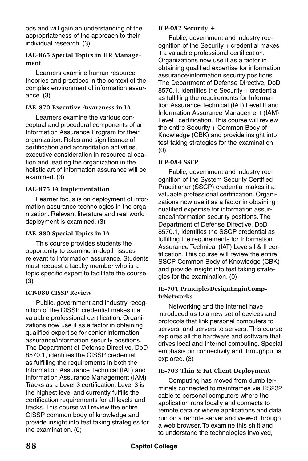ods and will gain an understanding of the appropriateness of the approach to their individual research. (3)

#### **IAE-865 Special Topics in HR Management**

Learners examine human resource theories and practices in the context of the complex environment of information assurance. (3)

#### **IAE-870 Executive Awareness in IA**

Learners examine the various conceptual and procedural components of an Information Assurance Program for their organization. Roles and significance of certification and accreditation activities, executive consideration in resource allocation and leading the organization in the holistic art of information assurance will be examined. (3)

#### **IAE-875 IA Implementation**

Learner focus is on deployment of information assurance technologies in the organization. Relevant literature and real world deployment is examined. (3)

#### **IAE-880 Special Topics in IA**

This course provides students the opportunity to examine in-depth issues relevant to information assurance. Students must request a faculty member who is a topic specific expert to facilitate the course. (3)

#### **ICP-080 CISSP Review**

Public, government and industry recognition of the CISSP credential makes it a valuable professional certification. Organizations now use it as a factor in obtaining qualified expertise for senior information assurance/information security positions. The Department of Defense Directive, DoD 8570.1, identifies the CISSP credential as fulfilling the requirements in both the Information Assurance Technical (IAT) and Information Assurance Management (IAM) Tracks as a Level 3 certification. Level 3 is the highest level and currently fulfills the certification requirements for all levels and tracks. This course will review the entire CISSP common body of knowledge and provide insight into test taking strategies for the examination. (0)

#### **ICP-082 Security +**

Public, government and industry recognition of the Security + credential makes it a valuable professional certification. Organizations now use it as a factor in obtaining qualified expertise for information assurance/information security positions. The Department of Defense Directive, DoD 8570.1, identifies the Security + credential as fulfilling the requirements for Information Assurance Technical (IAT) Level II and Information Assurance Management (IAM) Level I certification. This course will review the entire Security + Common Body of Knowledge (CBK) and provide insight into test taking strategies for the examination. (0)

#### **ICP-084 SSCP**

Public, government and industry recognition of the System Security Certified Practitioner (SSCP) credential makes it a valuable professional certification. Organizations now use it as a factor in obtaining qualified expertise for information assurance/information security positions. The Department of Defense Directive, DoD 8570.1, identifies the SSCP credential as fulfilling the requirements for Information Assurance Technical (IAT) Levels I & II certification. This course will review the entire SSCP Common Body of Knowledge (CBK) and provide insight into test taking strategies for the examination. (0)

#### **IE-701 PrinciplesDesignEnginComptrNetworks**

Networking and the Internet have introduced us to a new set of devices and protocols that link personal computers to servers, and servers to servers. This course explores all the hardware and software that drives local and Internet computing. Special emphasis on connectivity and throughput is explored. (3)

#### **IE-703 Thin & Fat Client Deployment**

Computing has moved from dumb terminals connected to mainframes via RS232 cable to personal computers where the application runs locally and connects to remote data or where applications and data run on a remote server and viewed through a web browser. To examine this shift and to understand the technologies involved,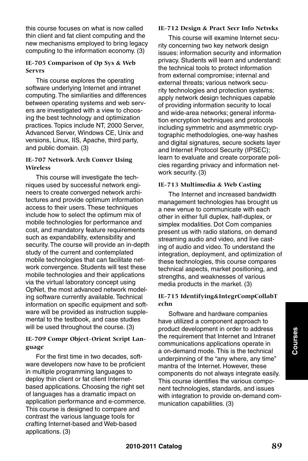this course focuses on what is now called thin client and fat client computing and the new mechanisms employed to bring legacy computing to the information economy. (3)

#### **IE-705 Comparison of Op Sys & Web Servrs**

This course explores the operating software underlying Internet and intranet computing. The similarities and differences between operating systems and web servers are investigated with a view to choosing the best technology and optimization practices. Topics include NT, 2000 Server, Advanced Server, Windows CE, Unix and versions, Linux, IIS, Apache, third party, and public domain. (3)

#### **IE-707 Network Arch Conver Using Wireless**

This course will investigate the techniques used by successful network engineers to create converged network architectures and provide optimum information access to their users. These techniques include how to select the optimum mix of mobile technologies for performance and cost, and mandatory feature requirements such as expandability, extensibility and security. The course will provide an in-depth study of the current and contemplated mobile technologies that can facilitate network convergence. Students will test these mobile technologies and their applications via the virtual laboratory concept using OpNet, the most advanced network modeling software currently available. Technical information on specific equipment and software will be provided as instruction supplemental to the testbook, and case studies will be used throughout the course. (3)

#### **IE-709 Compr Object-Orient Script Language**

For the first time in two decades, software developers now have to be proficient in multiple programming languages to deploy thin client or fat client Internetbased applications. Choosing the right set of languages has a dramatic impact on application performance and e-commerce. This course is designed to compare and contrast the various language tools for crafting Internet-based and Web-based applications. (3)

#### **IE-712 Design & Pract Secr Info Netwks**

This course will examine Internet security concerning two key network design issues: information security and information privacy. Students will learn and understand: the technical tools to protect information from external compromise; internal and external threats; various network security technologies and protection systems; apply network design techniques capable of providing information security to local and wide-area networks; general information encryption techniques and protocols including symmetric and asymmetric cryptographic methodologies, one-way hashes and digital signatures, secure sockets layer and Internet Protocol Security (IPSEC); learn to evaluate and create corporate policies regarding privacy and information network security. (3)

#### **IE-713 Multimedia & Web Casting**

The Internet and increased bandwidth management technologies has brought us a new venue to communicate with each other in either full duplex, half-duplex, or simplex modalities. Dot Com companies present us with radio stations, on demand streaming audio and video, and live casting of audio and video. To understand the integration, deployment, and optimization of these technologies, this course compares technical aspects, market positioning, and strengths, and weaknesses of various media products in the market. (3)

#### **IE-715 Identifying&IntegrCompCollabT echn**

Software and hardware companies have utilized a component approach to product development in order to address the requirement that Internet and Intranet communications applications operate in a on-demand mode. This is the technical underpinning of the "any where, any time" mantra of the Internet. However, these components do not always integrate easily. This course identifies the various component technologies, standards, and issues with integration to provide on-demand communication capabilities. (3)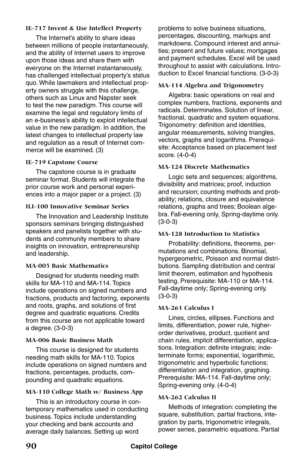#### **IE-717 Invent & Use Intellect Property**

The Internet's ability to share ideas between millions of people instantaneously, and the ability of Internet users to improve upon those ideas and share them with everyone on the Internet instantaneously, has challenged intellectual property's status quo. While lawmakers and intellectual property owners struggle with this challenge, others such as Linux and Napster seek to test the new paradigm. This course will examine the legal and regulatory limits of an e-business's ability to exploit intellectual value in the new paradigm. In addition, the latest changes to intellectual property law and regulation as a result of Internet commerce will be examined. (3)

#### **IE-719 Capstone Course**

The capstone course is in graduate seminar format. Students will integrate the prior course work and personal experiences into a major paper or a project. (3)

#### **ILI-100 Innovative Seminar Series**

The Innovation and Leadership Institute sponsors seminars bringing distinguished speakers and panelists together with students and community members to share insights on innovation, entrepreneurship and leadership.

#### **MA-005 Basic Mathematics**

Designed for students needing math skills for MA-110 and MA-114. Topics include operations on signed numbers and fractions, products and factoring, exponents and roots, graphs, and solutions of first degree and quadratic equations. Credits from this course are not applicable toward a degree. (3-0-3)

#### **MA-006 Basic Business Math**

This course is designed for students needing math skills for MA-110. Topics include operations on signed numbers and fractions, percentages, products, compounding and quadratic equations.

#### **MA-110 College Math w/ Business App**

This is an introductory course in contemporary mathematics used in conducting business. Topics include understanding your checking and bank accounts and average daily balances. Setting up word

problems to solve business situations, percentages, discounting, markups and markdowns. Compound interest and annuities; present and future values; mortgages and payment schedules. Excel will be used throughout to assist with calculations. Introduction to Excel financial functions. (3-0-3)

#### **MA-114 Algebra and Trigonometry**

Algebra: basic operations on real and complex numbers, fractions, exponents and radicals. Determinates. Solution of linear, fractional, quadratic and system equations. Trigonometry: definition and identities, angular measurements, solving triangles, vectors, graphs and logarithms. Prerequisite: Acceptance based on placement test score. (4-0-4)

#### **MA-124 Discrete Mathematics**

Logic sets and sequences; algorithms, divisibility and matrices; proof, induction and recursion; counting methods and probability; relations, closure and equivalence relations, graphs and trees; Boolean algebra. Fall-evening only, Spring-daytime only. (3-0-3)

#### **MA-128 Introduction to Statistics**

Probability: definitions, theorems, permutations and combinations. Binomial, hypergeometric, Poisson and normal distributions. Sampling distribution and central limit theorem, estimation and hypothesis testing. Prerequisite: MA-110 or MA-114. Fall-daytime only; Spring-evening only. (3-0-3)

#### **MA-261 Calculus I**

Lines, circles, ellipses. Functions and limits, differentiation, power rule, higherorder derivatives, product, quotient and chain rules, implicit differentiation, applications. Integration: definite integrals; indeterminate forms; exponential, logarithmic, trigonometric and hyperbolic functions; differentiation and integration, graphing. Prerequisite: MA-114. Fall-daytime only; Spring-evening only. (4-0-4)

#### **MA-262 Calculus II**

Methods of integration: completing the square, substitution, partial fractions, integration by parts, trigonometric integrals, power series, parametric equations. Partial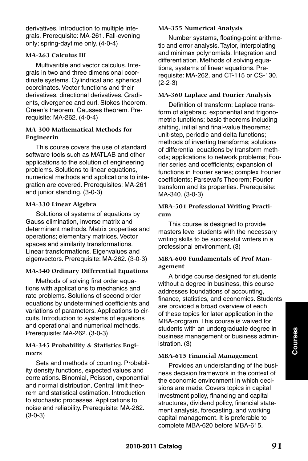derivatives. Introduction to multiple integrals. Prerequisite: MA-261. Fall-evening only; spring-daytime only. (4-0-4)

#### **MA-263 Calculus III**

Multivarible and vector calculus. Integrals in two and three dimensional coordinate systems. Cylindrical and spherical coordinates. Vector functions and their derivatives, directional derivatives. Gradients, divergence and curl. Stokes theorem, Green's theorem, Gausses theorem. Prerequisite: MA-262. (4-0-4)

#### **MA-300 Mathematical Methods for Engineerin**

This course covers the use of standard software tools such as MATLAB and other applications to the solution of engineering problems. Solutions to linear equations, numerical methods and applications to integration are covered. Prerequisites: MA-261 and junior standing. (3-0-3)

#### **MA-330 Linear Algebra**

Solutions of systems of equations by Gauss elimination, inverse matrix and determinant methods. Matrix properties and operations; elementary matrices. Vector spaces and similarity transformations. Linear transformations. Eigenvalues and eigenvectors. Prerequisite: MA-262. (3-0-3)

#### **MA-340 Ordinary Differential Equations**

Methods of solving first order equations with applications to mechanics and rate problems. Solutions of second order equations by undetermined coefficients and variations of parameters. Applications to circuits. Introduction to systems of equations and operational and numerical methods. Prerequisite: MA-262. (3-0-3)

#### **MA-345 Probability & Statistics Engineers**

Sets and methods of counting. Probability density functions, expected values and correlations. Binomial, Poisson, exponential and normal distribution. Central limit theorem and statistical estimation. Introduction to stochastic processes. Applications to noise and reliability. Prerequisite: MA-262. (3-0-3)

#### **MA-355 Numerical Analysis**

Number systems, floating-point arithmetic and error analysis. Taylor, interpolating and minimax polynomials. Integration and differentiation. Methods of solving equations, systems of linear equations. Prerequisite: MA-262, and CT-115 or CS-130. (2-2-3)

#### **MA-360 Laplace and Fourier Analysis**

Definition of transform: Laplace transform of algebraic, exponential and trigonometric functions; basic theorems including shifting, initial and final-value theorems; unit-step, periodic and delta functions; methods of inverting transforms; solutions of differential equations by transform methods; applications to network problems; Fourier series and coefficients; expansion of functions in Fourier series; complex Fourier coefficients; Parseval's Theorem; Fourier transform and its properties. Prerequisite: MA-340. (3-0-3)

#### **MBA-501 Professional Writing Practicum**

This course is designed to provide masters level students with the necessary writing skills to be successful writers in a professional environment. (3)

#### **MBA-600 Fundamentals of Prof Management**

A bridge course designed for students without a degree in business, this course addresses foundations of accounting, finance, statistics, and economics. Students are provided a broad overview of each of these topics for later application in the MBA-program. This course is waived for students with an undergraduate degree in business management or business administration. (3)

#### **MBA-615 Financial Management**

Provides an understanding of the business decision framework in the context of the economic environment in which decisions are made. Covers topics in capital investment policy, financing and capital structures, dividend policy, financial statement analysis, forecasting, and working capital management. It is preferable to complete MBA-620 before MBA-615.

**Courses**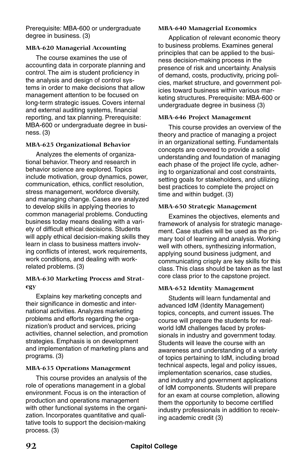Prerequisite: MBA-600 or undergraduate degree in business. (3)

#### **MBA-620 Managerial Accounting**

The course examines the use of accounting data in corporate planning and control. The aim is student proficiency in the analysis and design of control systems in order to make decisions that allow management attention to be focused on long-term strategic issues. Covers internal and external auditing systems, financial reporting, and tax planning. Prerequisite: MBA-600 or undergraduate degree in business. (3)

#### **MBA-625 Organizational Behavior**

Analyzes the elements of organizational behavior. Theory and research in behavior science are explored. Topics include motivation, group dynamics, power, communication, ethics, conflict resolution, stress management, workforce diversity, and managing change. Cases are analyzed to develop skills in applying theories to common managerial problems. Conducting business today means dealing with a variety of difficult ethical decisions. Students will apply ethical decision-making skills they learn in class to business matters involving conflicts of interest, work requirements, work conditions, and dealing with workrelated problems. (3)

#### **MBA-630 Marketing Process and Strategy**

Explains key marketing concepts and their significance in domestic and international activities. Analyzes marketing problems and efforts regarding the organization's product and services, pricing activities, channel selection, and promotion strategies. Emphasis is on development and implementation of marketing plans and programs. (3)

#### **MBA-635 Operations Management**

This course provides an analysis of the role of operations management in a global environment. Focus is on the interaction of production and operations management with other functional systems in the organization. Incorporates quantitative and qualitative tools to support the decision-making process. (3)

#### **MBA-640 Managerial Economics**

Application of relevant economic theory to business problems. Examines general principles that can be applied to the business decision-making process in the presence of risk and uncertainty. Analysis of demand, costs, productivity, pricing policies, market structure, and government policies toward business within various marketing structures. Prerequisite: MBA-600 or undergraduate degree in business (3)

#### **MBA-646 Project Management**

This course provides an overview of the theory and practice of managing a project in an organizational setting. Fundamentals concepts are covered to provide a solid understanding and foundation of managing each phase of the project life cycle, adhering to organizational and cost constraints, setting goals for stakeholders, and utilizing best practices to complete the project on time and within budget. (3)

#### **MBA-650 Strategic Management**

Examines the objectives, elements and framework of analysis for strategic management. Case studies will be used as the primary tool of learning and analysis. Working well with others, synthesizing information, applying sound business judgment, and communicating crisply are key skills for this class. This class should be taken as the last core class prior to the capstone project.

#### **MBA-652 Identity Management**

Students will learn fundamental and advanced IdM (Identity Management) topics, concepts, and current issues. The course will prepare the students for realworld IdM challenges faced by professionals in industry and government today. Students will leave the course with an awareness and understanding of a variety of topics pertaining to IdM, including broad technical aspects, legal and policy issues, implementation scenarios, case studies, and industry and government applications of IdM components. Students will prepare for an exam at course completion, allowing them the opportunity to become certified industry professionals in addition to receiving academic credit (3)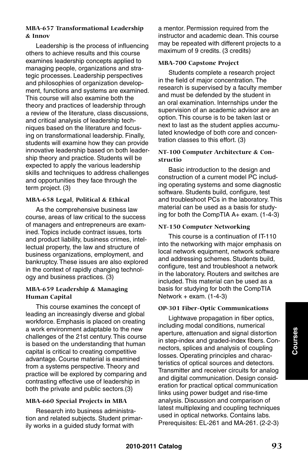#### **MBA-657 Transformational Leadership & Innov**

Leadership is the process of influencing others to achieve results and this course examines leadership concepts applied to managing people, organizations and strategic processes. Leadership perspectives and philosophies of organization development, functions and systems are examined. This course will also examine both the theory and practices of leadership through a review of the literature, class discussions, and critical analysis of leadership techniques based on the literature and focusing on transformational leadership. Finally, students will examine how they can provide innovative leadership based on both leadership theory and practice. Students will be expected to apply the various leadership skills and techniques to address challenges and opportunities they face through the term project. (3)

#### **MBA-658 Legal, Political & Ethical**

As the comprehensive business law course, areas of law critical to the success of managers and entrepreneurs are examined. Topics include contract issues, torts and product liability, business crimes, intellectual property, the law and structure of business organizations, employment, and bankruptcy. These issues are also explored in the context of rapidly changing technology and business practices. (3)

#### **MBA-659 Leadership & Managing Human Capital**

This course examines the concept of leading an increasingly diverse and global workforce. Emphasis is placed on creating a work environment adaptable to the new challenges of the 21st century. This course is based on the understanding that human capital is critical to creating competitive advantage. Course material is examined from a systems perspective. Theory and practice will be explored by comparing and contrasting effective use of leadership in both the private and public sectors.(3)

# **MBA-660 Special Projects in MBA**

Research into business administration and related subjects. Student primarily works in a guided study format with

a mentor. Permission required from the instructor and academic dean. This course may be repeated with different projects to a maximum of 9 credits. (3 credits)

#### **MBA-700 Capstone Project**

Students complete a research project in the field of major concentration. The research is supervised by a faculty member and must be defended by the student in an oral examination. Internships under the supervision of an academic advisor are an option. This course is to be taken last or next to last as the student applies accumulated knowledge of both core and concentration classes to this effort. (3)

#### **NT-100 Computer Architecture & Constructio**

Basic introduction to the design and construction of a current model PC including operating systems and some diagnostic software. Students build, configure, test and troubleshoot PCs in the laboratory. This material can be used as a basis for studying for both the CompTIA A+ exam. (1-4-3)

#### **NT-150 Computer Networking**

This course is a continuation of IT-110 into the networking with major emphasis on local network equipment, network software and addressing schemes. Students build, configure, test and troubleshoot a network in the laboratory. Routers and switches are included. This material can be used as a basis for studying for both the CompTIA Network  $+$  exam.  $(1-4-3)$ 

#### **OP-301 Fiber-Optic Communications**

Lightwave propagation in fiber optics, including modal conditions, numerical aperture, attenuation and signal distortion in step-index and graded-index fibers. Connectors, splices and analysis of coupling losses. Operating principles and characteristics of optical sources and detectors. Transmitter and receiver circuits for analog and digital communication. Design consideration for practical optical communication links using power budget and rise-time analysis. Discussion and comparison of latest multiplexing and coupling techniques used in optical networks. Contains labs. Prerequisites: EL-261 and MA-261. (2-2-3)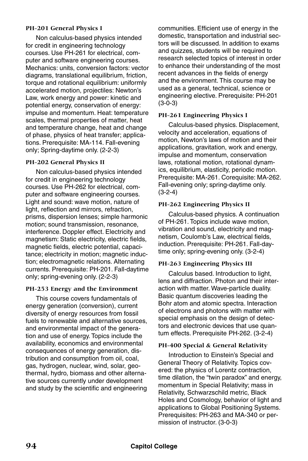#### **PH-201 General Physics I**

Non calculus-based physics intended for credit in engineering technology courses. Use PH-261 for electrical, computer and software engineering courses. Mechanics: units, conversion factors: vector diagrams, translational equilibrium, friction, torque and rotational equilibrium: uniformly accelerated motion, projectiles: Newton's Law, work energy and power: kinetic and potential energy, conservation of energy: impulse and momentum. Heat: temperature scales, thermal properties of matter, heat and temperature change, heat and change of phase, physics of heat transfer; applications. Prerequisite: MA-114. Fall-evening only; Spring-daytime only. (2-2-3)

### **PH-202 General Physics II**

Non calculus-based physics intended for credit in engineering technology courses. Use PH-262 for electrical, computer and software engineering courses. Light and sound: wave motion, nature of light, reflection and mirrors, refraction, prisms, dispersion lenses; simple harmonic motion; sound transmission, resonance, interference. Doppler effect. Electricity and magnetism: Static electricity, electric fields, magnetic fields, electric potential, capacitance; electricity in motion; magnetic induction; electromagnetic relations. Alternating currents. Prerequisite: PH-201. Fall-daytime only; spring-evening only. (2-2-3)

#### **PH-253 Energy and the Environment**

This course covers fundamentals of energy generation (conversion), current diversity of energy resources from fossil fuels to renewable and alternative sources, and environmental impact of the generation and use of energy. Topics include the availability, economics and environmental consequences of energy generation, distribution and consumption from oil, coal, gas, hydrogen, nuclear, wind, solar, geothermal, hydro, biomass and other alternative sources currently under development and study by the scientific and engineering communities. Efficient use of energy in the domestic, transportation and industrial sectors will be discussed. In addition to exams and quizzes, students will be required to research selected topics of interest in order to enhance their understanding of the most recent advances in the fields of energy and the environment. This course may be used as a general, technical, science or engineering elective. Prerequisite: PH-201 (3-0-3)

#### **PH-261 Engineering Physics I**

Calculus-based physics. Displacement, velocity and acceleration, equations of motion, Newton's laws of motion and their applications, gravitation, work and energy, impulse and momentum, conservation laws, rotational motion, rotational dynamics, equilibrium, elasticity, periodic motion. Prerequisite: MA-261. Corequisite: MA-262. Fall-evening only; spring-daytime only. (3-2-4)

#### **PH-262 Engineering Physics II**

Calculus-based physics. A continuation of PH-261. Topics include wave motion, vibration and sound, electricity and magnetism, Coulomb's Law, electrical fields, induction. Prerequisite: PH-261. Fall-daytime only; spring-evening only. (3-2-4)

#### **PH-263 Engineering Physics III**

Calculus based. Introduction to light, lens and diffraction. Photon and their interaction with matter. Wave-particle duality. Basic quantum discoveries leading the Bohr atom and atomic spectra. Interaction of electrons and photons with matter with special emphasis on the design of detectors and electronic devices that use quantum effects. Prerequisite PH-262. (3-2-4)

#### **PH-400 Special & General Relativity**

Introduction to Einstein's Special and General Theory of Relativity. Topics covered: the physics of Lorentz contraction, time dilation, the "twin paradox" and energy, momentum in Special Relativity; mass in Relativity, Schwarzschild metric, Black Holes and Cosmology, behavior of light and applications to Global Positioning Systems. Prerequisites: PH-263 and MA-340 or permission of instructor. (3-0-3)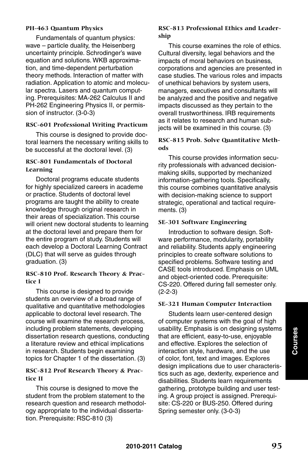#### **PH-463 Quantum Physics**

Fundamentals of quantum physics: wave – particle duality, the Heisenberg uncertainty principle. Schrodinger's wave equation and solutions. WKB approximation, and time-dependent perturbation theory methods. Interaction of matter with radiation. Application to atomic and molecular spectra. Lasers and quantum computing. Prerequisites: MA-262 Calculus II and PH-262 Engineering Physics II, or permission of instructor. (3-0-3)

#### **RSC-601 Professional Writing Practicum**

This course is designed to provide doctoral learners the necessary writing skills to be successful at the doctoral level. (3)

#### **RSC-801 Fundamentals of Doctoral Learning**

Doctoral programs educate students for highly specialized careers in academe or practice. Students of doctoral level programs are taught the ability to create knowledge through original research in their areas of specialization. This course will orient new doctoral students to learning at the doctoral level and prepare them for the entire program of study. Students will each develop a Doctoral Learning Contract (DLC) that will serve as guides through graduation. (3)

#### **RSC-810 Prof. Research Theory & Practice I**

This course is designed to provide students an overview of a broad range of qualitative and quantitative methodologies applicable to doctoral level research. The course will examine the research process, including problem statements, developing dissertation research questions, conducting a literature review and ethical implications in research. Students begin examining topics for Chapter 1 of the dissertation. (3)

#### **RSC-812 Prof Research Theory & Practice II**

This course is designed to move the student from the problem statement to the research question and research methodology appropriate to the individual dissertation. Prerequisite: RSC-810 (3)

## **RSC-813 Professional Ethics and Leadership**

This course examines the role of ethics. Cultural diversity, legal behaviors and the impacts of moral behaviors on business, corporations and agencies are presented in case studies. The various roles and impacts of unethical behaviors by system users, managers, executives and consultants will be analyzed and the positive and negative impacts discussed as they pertain to the overall trustworthiness. IRB requirements as it relates to research and human subjects will be examined in this course. (3)

## **RSC-815 Prob. Solve Quantitative Methods**

This course provides information security professionals with advanced decisionmaking skills, supported by mechanized information-gathering tools. Specifically, this course combines quantitative analysis with decision-making science to support strategic, operational and tactical requirements. (3)

# **SE-301 Software Engineering**

Introduction to software design. Software performance, modularity, portability and reliability. Students apply engineering principles to create software solutions to specified problems. Software testing and CASE tools introduced. Emphasis on UML and object-oriented code. Prerequisite: CS-220. Offered during fall semester only. (2-2-3)

# **SE-321 Human Computer Interaction**

Students learn user-centered design of computer systems with the goal of high usability. Emphasis is on designing systems that are efficient, easy-to-use, enjoyable and effective. Explores the selection of interaction style, hardware, and the use of color, font, text and images. Explores design implications due to user characteristics such as age, dexterity, experience and disabilities. Students learn requirements gathering, prototype building and user testing. A group project is assigned. Prerequisite: CS-220 or BUS-250. Offered during Spring semester only. (3-0-3)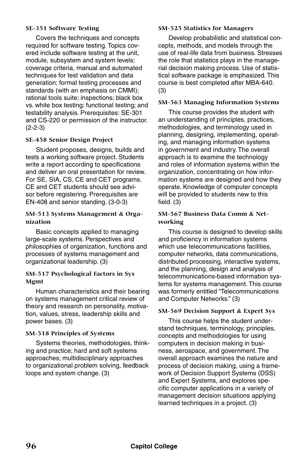#### **SE-351 Software Testing**

Covers the techniques and concepts required for software testing. Topics covered include software testing at the unit, module, subsystem and system levels; coverage criteria, manual and automated techniques for test validation and data generation; formal testing processes and standards (with an emphasis on CMMI); rational tools suite; inspections; black box vs. white box testing; functional testing; and testability analysis. Prerequisites: SE-301 and CS-220 or permission of the instructor. (2-2-3)

#### **SE-458 Senior Design Project**

Student proposes, designs, builds and tests a working software project. Students write a report according to specifications and deliver an oral presentation for review. For SE, SIA, CS, CE and CET programs. CE and CET students should see advisor before registering. Prerequisites are EN-408 and senior standing. (3-0-3)

#### **SM-513 Systems Management & Organization**

Basic concepts applied to managing large-scale systems. Perspectives and philosophies of organization, functions and processes of systems management and organizational leadership. (3)

#### **SM-517 Psychological Factors in Sys Mgmt**

Human characteristics and their bearing on systems management critical review of theory and research on personality, motivation, values, stress, leadership skills and power bases. (3)

#### **SM-518 Principles of Systems**

Systems theories, methodologies, thinking and practice; hard and soft systems approaches; multidisciplinary approaches to organizational problem solving, feedback loops and system change. (3)

#### **SM-525 Statistics for Managers**

Develop probabilistic and statistical concepts, methods, and models through the use of real-life data from business. Stresses the role that statistics plays in the managerial decision making process. Use of statistical software package is emphasized. This course is best completed after MBA-640. (3)

#### **SM-563 Managing Information Systems**

This course provides the student with an understanding of principles, practices, methodologies, and terminology used in planning, designing, implementing, operating, and managing information systems in government and industry. The overall approach is to examine the technology and roles of information systems within the organization, concentrating on how information systems are designed and how they operate. Knowledge of computer concepts will be provided to students new to this field. (3)

#### **SM-567 Business Data Comm & Networking**

This course is designed to develop skills and proficiency in information systems which use telecommunications facilities. computer networks, data communications, distributed processing, interactive systems, and the planning, design and analysis of telecommunications-based information systems for systems management. This course was formerly entitled "Telecommunications and Computer Networks." (3)

#### **SM-569 Decision Support & Expert Sys**

This course helps the student understand techniques, terminology, principles, concepts and methodologies for using computers in decision making in business, aerospace, and government. The overall approach examines the nature and process of decision making, using a framework of Decision Support Systems (DSS) and Expert Systems, and explores specific computer applications in a variety of management decision situations applying learned techniques in a project. (3)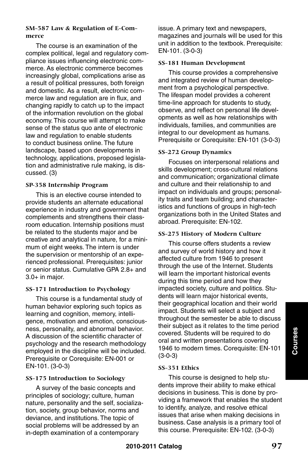#### **SM-587 Law & Regulation of E-Commerce**

The course is an examination of the complex political, legal and regulatory compliance issues influencing electronic commerce. As electronic commerce becomes increasingly global, complications arise as a result of political pressures, both foreign and domestic. As a result, electronic commerce law and regulation are in flux, and changing rapidly to catch up to the impact of the information revolution on the global economy. This course will attempt to make sense of the status quo ante of electronic law and regulation to enable students to conduct business online. The future landscape, based upon developments in technology, applications, proposed legislation and administrative rule making, is discussed. (3)

#### **SP-358 Internship Program**

This is an elective course intended to provide students an alternate educational experience in industry and government that complements and strengthens their classroom education. Internship positions must be related to the students major and be creative and analytical in nature, for a minimum of eight weeks. The intern is under the supervision or mentorship of an experienced professional. Prerequisites: junior or senior status. Cumulative GPA 2.8+ and  $3.0+$  in major.

#### **SS-171 Introduction to Psychology**

This course is a fundamental study of human behavior exploring such topics as learning and cognition, memory, intelligence, motivation and emotion, consciousness, personality, and abnormal behavior. A discussion of the scientific character of psychology and the research methodology employed in the discipline will be included. Prerequisite or Corequisite: EN-001 or EN-101. (3-0-3)

#### **SS-175 Introduction to Sociology**

A survey of the basic concepts and principles of sociology; culture, human nature, personality and the self, socialization, society, group behavior, norms and deviance, and institutions. The topic of social problems will be addressed by an in-depth examination of a contemporary

issue. A primary text and newspapers, magazines and journals will be used for this unit in addition to the textbook. Prerequisite: EN-101. (3-0-3)

#### **SS-181 Human Development**

This course provides a comprehensive and integrated review of human development from a psychological perspective. The lifespan model provides a coherent time-line approach for students to study, observe, and reflect on personal life developments as well as how relationships with individuals, families, and communities are integral to our development as humans. Prerequisite or Corequisite: EN-101 (3-0-3)

#### **SS-272 Group Dynamics**

Focuses on interpersonal relations and skills development; cross-cultural relations and communication; organizational climate and culture and their relationship to and impact on individuals and groups; personality traits and team building; and characteristics and functions of groups in high-tech organizations both in the United States and abroad. Prerequisite: EN-102.

#### **SS-275 History of Modern Culture**

This course offers students a review and survey of world history and how it affected culture from 1946 to present through the use of the Internet. Students will learn the important historical events during this time period and how they impacted society, culture and politics. Students will learn major historical events, their geographical location and their world impact. Students will select a subject and throughout the semester be able to discuss their subject as it relates to the time period covered. Students will be required to do oral and written presentations covering 1946 to modern times. Corequisite: EN-101 (3-0-3)

#### **SS-351 Ethics**

This course is designed to help students improve their ability to make ethical decisions in business. This is done by providing a framework that enables the student to identify, analyze, and resolve ethical issues that arise when making decisions in business. Case analysis is a primary tool of this course. Prerequisite: EN-102. (3-0-3)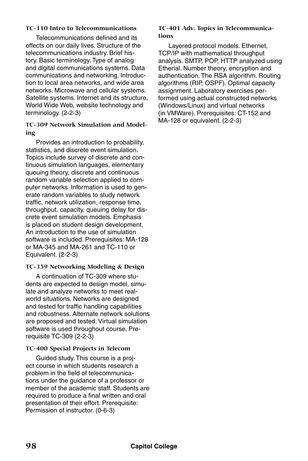#### **TC-110 Intro to Telecommunications**

Telecommunications defined and its effects on our daily lives. Structure of the telecommunications industry. Brief history. Basic terminology. Type of analog and digital communications systems. Data communications and networking. Introduction to local area networks, and wide area networks. Microwave and cellular systems. Satellite systems. Internet and its structure, World Wide Web, website technology and terminology. (2-2-3)

#### **TC-309 Network Simulation and Modeling**

Provides an introduction to probability, statistics, and discrete event simulation. Topics include survey of discrete and continuous simulation languages, elementary queuing theory, discrete and continuous random variable selection applied to computer networks. Information is used to generate random variables to study network traffic, network utilization, response time, throughput, capacity, queuing delay for discrete event simulation models. Emphasis is placed on student design development. An introduction to the use of simulation software is included. Prerequisites: MA-128 or MA-345 and MA-261 and TC-110 or Equivalent. (2-2-3)

#### **TC-359 Networking Modeling & Design**

A continuation of TC-309 where students are expected to design model, simulate and analyze networks to meet realworld situations. Networks are designed and tested for traffic handling capabilities and robustness. Alternate network solutions are proposed and tested. Virtual simulation software is used throughout course. Prerequisite TC-309 (2-2-3)

#### **TC-400 Special Projects in Telecom**

Guided study. This course is a project course in which students research a problem in the field of telecommunications under the guidance of a professor or member of the academic staff. Students are required to produce a final written and oral presentation of their effort. Prerequisite: Permission of instructor. (0-6-3)

#### **TC-401 Adv. Topics in Telecommunications**

Layered protocol models. Ethernet, TCP/IP with mathematical throughput analysis. SMTP, POP, HTTP analyzed using Etherial. Number theory, encryption and authentication. The RSA algorithm. Routing algorithms (RIP, OSPF). Optimal capacity assignment. Laboratory exercises performed using actual constructed networks (Windows/Linux) and virtual networks (in VMWare). Prerequisites: CT-152 and MA-128 or equivalent. (2-2-3)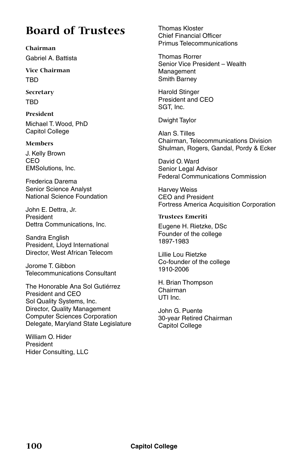# **Board of Trustees**

**Chairman** Gabriel A. Battista

**Vice Chairman TBD** 

**Secretary TRD** 

**President** Michael T. Wood, PhD Capitol College

#### **Members**

J. Kelly Brown CEO EMSolutions, Inc.

Frederica Darema Senior Science Analyst National Science Foundation

John E. Dettra, Jr. President Dettra Communications, Inc.

Sandra English President, Lloyd International Director, West African Telecom

Jorome T. Gibbon Telecommunications Consultant

The Honorable Ana Sol Gutiérrez President and CEO Sol Quality Systems, Inc. Director, Quality Management Computer Sciences Corporation Delegate, Maryland State Legislature

William O. Hider President Hider Consulting, LLC Thomas Kloster Chief Financial Officer Primus Telecommunications

Thomas Rorrer Senior Vice President – Wealth Management Smith Barney

Harold Stinger President and CEO SGT, Inc.

Dwight Taylor

Alan S. Tilles Chairman, Telecommunications Division Shulman, Rogers, Gandal, Pordy & Ecker

David O. Ward Senior Legal Advisor Federal Communications Commission

Harvey Weiss CEO and President Fortress America Acquisition Corporation

#### **Trustees Emeriti**

Eugene H. Rietzke, DSc Founder of the college 1897-1983

Lillie Lou Rietzke Co-founder of the college 1910-2006

H. Brian Thompson Chairman UTI Inc.

John G. Puente 30-year Retired Chairman Capitol College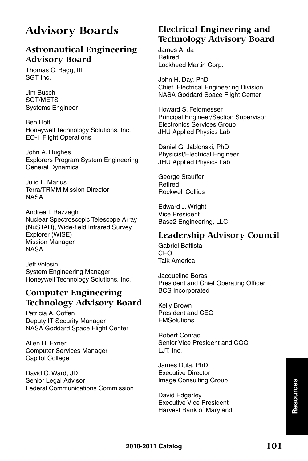# **Advisory Boards**

# **Astronautical Engineering Advisory Board**

Thomas C. Bagg, III SGT Inc.

Jim Busch SGT/METS Systems Engineer

Ben Holt Honeywell Technology Solutions, Inc. EO-1 Flight Operations

John A. Hughes Explorers Program System Engineering General Dynamics

Julio L. Marius Terra/TRMM Mission Director NASA

Andrea I. Razzaghi Nuclear Spectroscopic Telescope Array (NuSTAR), Wide-field Infrared Survey Explorer (WISE) Mission Manager NASA

Jeff Volosin System Engineering Manager Honeywell Technology Solutions, Inc.

# **Computer Engineering Technology Advisory Board**

Patricia A. Coffen Deputy IT Security Manager NASA Goddard Space Flight Center

Allen H. Exner Computer Services Manager Capitol College

David O. Ward, JD Senior Legal Advisor Federal Communications Commission

# **Electrical Engineering and Technology Advisory Board**

James Arida Retired Lockheed Martin Corp.

John H. Day, PhD Chief, Electrical Engineering Division NASA Goddard Space Flight Center

Howard S. Feldmesser Principal Engineer/Section Supervisor Electronics Services Group JHU Applied Physics Lab

Daniel G. Jablonski, PhD Physicist/Electrical Engineer JHU Applied Physics Lab

George Stauffer Retired Rockwell Collius

Edward J. Wright Vice President Base2 Engineering, LLC

# **Leadership Advisory Council**

Gabriel Battista **CEO** Talk America

Jacqueline Boras President and Chief Operating Officer BCS Incorporated

Kelly Brown President and CEO **EMSolutions** 

Robert Conrad Senior Vice President and COO LJT, Inc.

James Dula, PhD Executive Director Image Consulting Group

David Edgerley Executive Vice President Harvest Bank of Maryland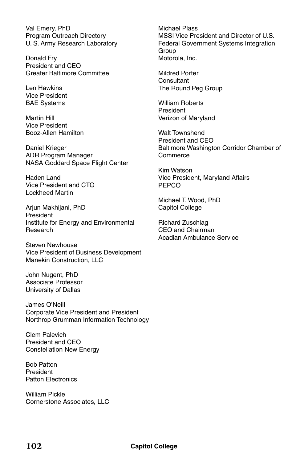Val Emery, PhD Program Outreach Directory U. S. Army Research Laboratory

Donald Fry President and CEO Greater Baltimore Committee

Len Hawkins Vice President BAE Systems

Martin Hill Vice President Booz-Allen Hamilton

Daniel Krieger ADR Program Manager NASA Goddard Space Flight Center

Haden Land Vice President and CTO Lockheed Martin

Arjun Makhijani, PhD President Institute for Energy and Environmental Research

Steven Newhouse Vice President of Business Development Manekin Construction, LLC

John Nugent, PhD Associate Professor University of Dallas

James O'Neill Corporate Vice President and President Northrop Grumman Information Technology

Clem Palevich President and CEO Constellation New Energy

Bob Patton President Patton Electronics

William Pickle Cornerstone Associates, LLC

Michael Plass MSSI Vice President and Director of U.S. Federal Government Systems Integration Group Motorola, Inc.

Mildred Porter **Consultant** The Round Peg Group

William Roberts President Verizon of Maryland

Walt Townshend President and CEO Baltimore Washington Corridor Chamber of **Commerce** 

Kim Watson Vice President, Maryland Affairs **PEPCO** 

Michael T. Wood, PhD Capitol College

Richard Zuschlag CEO and Chairman Acadian Ambulance Service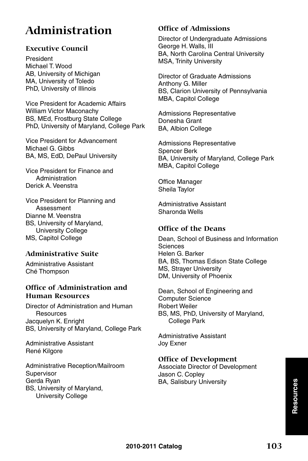# **Administration**

# **Executive Council**

President Michael T. Wood AB, University of Michigan MA, University of Toledo PhD, University of Illinois

Vice President for Academic Affairs William Victor Maconachy BS, MEd, Frostburg State College PhD, University of Maryland, College Park

Vice President for Advancement Michael G. Gibbs BA, MS, EdD, DePaul University

Vice President for Finance and Administration Derick A. Veenstra

Vice President for Planning and Assessment Dianne M. Veenstra BS, University of Maryland, University College MS, Capitol College

# **Administrative Suite**

Administrative Assistant Ché Thompson

# **Office of Administration and Human Resources**

Director of Administration and Human Resources Jacquelyn K. Enright BS, University of Maryland, College Park

Administrative Assistant René Kilgore

Administrative Reception/Mailroom Supervisor Gerda Ryan BS, University of Maryland, University College

# **Office of Admissions**

Director of Undergraduate Admissions George H. Walls, III BA, North Carolina Central University MSA, Trinity University

Director of Graduate Admissions Anthony G. Miller BS, Clarion University of Pennsylvania MBA, Capitol College

Admissions Representative Donesha Grant BA, Albion College

Admissions Representative Spencer Berk BA, University of Maryland, College Park MBA, Capitol College

Office Manager Sheila Taylor

Administrative Assistant Sharonda Wells

# **Office of the Deans**

Dean, School of Business and Information **Sciences** Helen G. Barker BA, BS, Thomas Edison State College MS, Strayer University DM, University of Phoenix

Dean, School of Engineering and Computer Science Robert Weiler BS, MS, PhD, University of Maryland, College Park

Administrative Assistant Joy Exner

#### **Office of Development**

Associate Director of Development Jason C. Copley BA, Salisbury University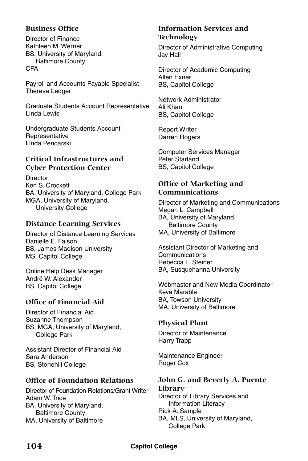# **Business Office**

Director of Finance Kathleen M. Werner BS, University of Maryland, Baltimore County CPA

Payroll and Accounts Payable Specialist Theresa Ledger

Graduate Students Account Representative Linda Lewis

Undergraduate Students Account **Representative** Linda Pencarski

# **Critical Infrastructures and Cyber Protection Center**

**Director** Ken S. Crockett BA, University of Maryland, College Park MGA, University of Maryland, University College

# **Distance Learning Services**

Director of Distance Learning Services Danielle E. Faison BS, James Madison University MS, Capitol College

Online Help Desk Manager André W. Alexander BS, Capitol College

# **Office of Financial Aid**

Director of Financial Aid Suzanne Thompson BS, MGA, University of Maryland, College Park

Assistant Director of Financial Aid Sara Anderson BS, Stonehill College

# **Office of Foundation Relations**

Director of Foundation Relations/Grant Writer Adam W. Trice BA, University of Maryland, Baltimore County MA, University of Baltimore

# **Information Services and Technology**

Director of Administrative Computing Jay Hall

Director of Academic Computing Allen Exner BS, Capitol College

Network Administrator Ali Khan BS, Capitol College

Report Writer Darren Rogers

Computer Services Manager Peter Starland BS, Capitol College

# **Office of Marketing and Communications**

Director of Marketing and Communications Megan L. Campbell BA, University of Maryland, Baltimore County MA, University of Baltimore

Assistant Director of Marketing and Communications Rebecca L. Steiner BA, Susquehanna University

Webmaster and New Media Coordinator Keva Marable BA, Towson University MA, University of Baltimore

# **Physical Plant**

Director of Maintenance Harry Trapp

Maintenance Engineer Roger Cox

# **John G. and Beverly A. Puente Library**

Director of Library Services and Information Literacy Rick A. Sample BA, MLS, University of Maryland, College Park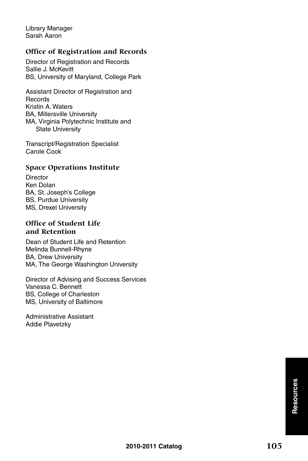Library Manager Sarah Aaron

#### **Office of Registration and Records**

Director of Registration and Records Sallie J. McKevitt BS, University of Maryland, College Park

Assistant Director of Registration and **Records** Kristin A. Waters BA, Millersville University MA, Virginia Polytechnic Institute and State University

Transcript/Registration Specialist Carole Cook

#### **Space Operations Institute**

**Director** Ken Dolan BA, St. Joseph's College BS, Purdue University MS, Drexel University

#### **Office of Student Life and Retention**

Dean of Student Life and Retention Melinda Bunnell-Rhyne BA, Drew University MA, The George Washington University

Director of Advising and Success Services Vanessa C. Bennett BS, College of Charleston MS, University of Baltimore

Administrative Assistant Addie Plavetzky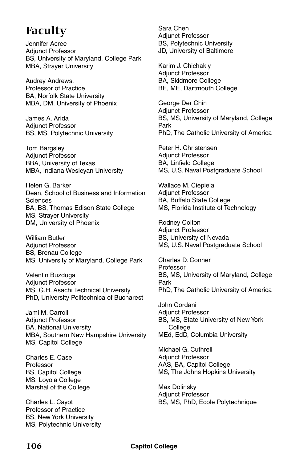# **Faculty**

Jennifer Acree Adjunct Professor BS, University of Maryland, College Park MBA, Strayer University

Audrey Andrews, Professor of Practice BA, Norfolk State University MBA, DM, University of Phoenix

James A. Arida Adjunct Professor BS, MS, Polytechnic University

Tom Bargsley Adjunct Professor BBA, University of Texas MBA, Indiana Wesleyan University

Helen G. Barker Dean, School of Business and Information **Sciences** BA, BS, Thomas Edison State College MS, Strayer University DM, University of Phoenix

William Butler Adjunct Professor BS, Brenau College MS, University of Maryland, College Park

Valentin Buzduga Adjunct Professor MS, G.H. Asachi Technical University PhD, University Politechnica of Bucharest

Jami M. Carroll Adjunct Professor BA, National University MBA, Southern New Hampshire University MS, Capitol College

Charles E. Case Professor BS, Capitol College MS, Loyola College Marshal of the College

Charles L. Cayot Professor of Practice BS, New York University MS, Polytechnic University Sara Chen Adjunct Professor BS, Polytechnic University JD, University of Baltimore

Karim J. Chichakly Adjunct Professor BA, Skidmore College BE, ME, Dartmouth College

George Der Chin Adjunct Professor BS, MS, University of Maryland, College Park PhD, The Catholic University of America

Peter H. Christensen Adjunct Professor BA, Linfield College MS, U.S. Naval Postgraduate School

Wallace M. Ciepiela Adjunct Professor BA, Buffalo State College MS, Florida Institute of Technology

Rodney Colton Adjunct Professor BS, University of Nevada MS, U.S. Naval Postgraduate School

Charles D. Conner Professor BS, MS, University of Maryland, College Park PhD, The Catholic University of America

John Cordani Adjunct Professor BS, MS, State University of New York College MEd, EdD, Columbia University

Michael G. Cuthrell Adjunct Professor AAS, BA, Capitol College MS, The Johns Hopkins University

Max Dolinsky Adjunct Professor BS, MS, PhD, Ecole Polytechnique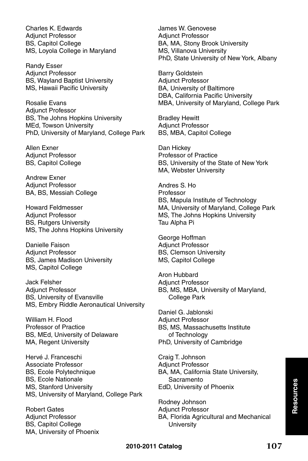Charles K. Edwards Adjunct Professor BS, Capitol College MS, Loyola College in Maryland

Randy Esser Adjunct Professor BS, Wayland Baptist University MS, Hawaii Pacific University

Rosalie Evans Adjunct Professor BS, The Johns Hopkins University MEd, Towson University PhD, University of Maryland, College Park

Allen Exner Adjunct Professor BS, Capitol College

Andrew Exner Adjunct Professor BA, BS, Messiah College

Howard Feldmesser Adjunct Professor BS, Rutgers University MS, The Johns Hopkins University

Danielle Faison Adjunct Professor BS, James Madison University MS, Capitol College

Jack Felsher Adjunct Professor BS, University of Evansville MS, Embry Riddle Aeronautical University

William H. Flood Professor of Practice BS, MEd, University of Delaware MA, Regent University

Hervé J. Franceschi Associate Professor BS, Ecole Polytechnique BS, Ecole Nationale MS, Stanford University MS, University of Maryland, College Park

Robert Gates Adjunct Professor BS, Capitol College MA, University of Phoenix James W. Genovese Adjunct Professor BA, MA, Stony Brook University MS, Villanova University PhD, State University of New York, Albany

Barry Goldstein Adjunct Professor BA, University of Baltimore DBA, California Pacific University MBA, University of Maryland, College Park

Bradley Hewitt Adjunct Professor BS, MBA, Capitol College

Dan Hickey Professor of Practice BS, University of the State of New York MA, Webster University

Andres S. Ho Professor BS, Mapula Institute of Technology MA, University of Maryland, College Park MS, The Johns Hopkins University Tau Alpha Pi

George Hoffman Adjunct Professor BS, Clemson University MS, Capitol College

Aron Hubbard Adjunct Professor BS, MS, MBA, University of Maryland, College Park

Daniel G. Jablonski Adjunct Professor BS, MS, Massachusetts Institute of Technology PhD, University of Cambridge

Craig T. Johnson Adjunct Professor BA, MA, California State University, Sacramento EdD, University of Phoenix

Rodney Johnson Adjunct Professor BA, Florida Agricultural and Mechanical **University**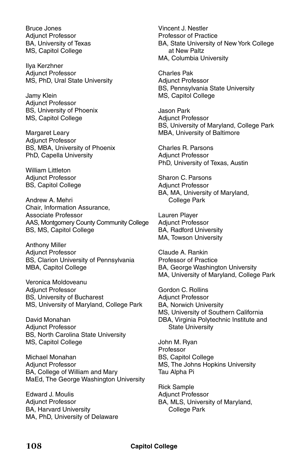Bruce Jones Adjunct Professor BA, University of Texas MS, Capitol College

Ilya Kerzhner Adjunct Professor MS, PhD, Ural State University

Jamy Klein Adjunct Professor BS, University of Phoenix MS, Capitol College

Margaret Leary Adjunct Professor BS, MBA, University of Phoenix PhD, Capella University

William Littleton Adjunct Professor BS, Capitol College

Andrew A. Mehri Chair, Information Assurance, Associate Professor AAS, Montgomery County Community College BS, MS, Capitol College

Anthony Miller Adjunct Professor BS, Clarion University of Pennsylvania MBA, Capitol College

Veronica Moldoveanu Adjunct Professor BS, University of Bucharest MS, University of Maryland, College Park

David Monahan Adjunct Professor BS, North Carolina State University MS, Capitol College

Michael Monahan Adjunct Professor BA, College of William and Mary MaEd, The George Washington University

Edward J. Moulis Adjunct Professor BA, Harvard University MA, PhD, University of Delaware

Vincent J. Nestler Professor of Practice BA, State University of New York College at New Paltz MA, Columbia University

Charles Pak Adjunct Professor BS, Pennsylvania State University MS, Capitol College

Jason Park Adjunct Professor BS, University of Maryland, College Park MBA, University of Baltimore

Charles R. Parsons Adjunct Professor PhD, University of Texas, Austin

Sharon C. Parsons Adjunct Professor BA, MA, University of Maryland, College Park

Lauren Player Adjunct Professor BA, Radford University MA, Towson University

Claude A. Rankin Professor of Practice BA, George Washington University MA, University of Maryland, College Park

Gordon C. Rollins Adjunct Professor BA, Norwich University MS, University of Southern California DBA, Virginia Polytechnic Institute and State University

John M. Ryan Professor BS, Capitol College MS, The Johns Hopkins University Tau Alpha Pi

Rick Sample Adjunct Professor BA, MLS, University of Maryland, College Park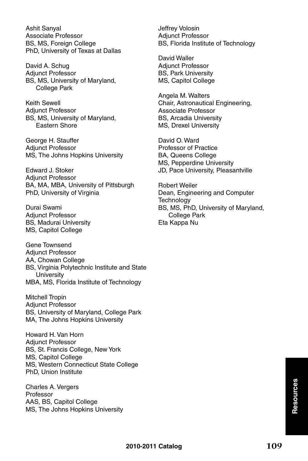Ashit Sanyal Associate Professor BS, MS, Foreign College PhD, University of Texas at Dallas

David A. Schug Adjunct Professor BS, MS, University of Maryland, College Park

Keith Sewell Adjunct Professor BS, MS, University of Maryland, Eastern Shore

George H. Stauffer Adjunct Professor MS, The Johns Hopkins University

Edward J. Stoker Adjunct Professor BA, MA, MBA, University of Pittsburgh PhD, University of Virginia

Durai Swami Adjunct Professor BS, Madurai University MS, Capitol College

Gene Townsend Adjunct Professor AA, Chowan College BS, Virginia Polytechnic Institute and State **University** MBA, MS, Florida Institute of Technology

Mitchell Tropin Adjunct Professor BS, University of Maryland, College Park MA, The Johns Hopkins University

Howard H. Van Horn Adjunct Professor BS, St. Francis College, New York MS, Capitol College MS, Western Connecticut State College PhD, Union Institute

Charles A. Vergers Professor AAS, BS, Capitol College MS, The Johns Hopkins University Jeffrey Volosin Adjunct Professor BS, Florida Institute of Technology

David Waller Adjunct Professor BS, Park University MS, Capitol College

Angela M. Walters Chair, Astronautical Engineering, Associate Professor BS, Arcadia University MS, Drexel University

David O. Ward Professor of Practice BA, Queens College MS, Pepperdine University JD, Pace University, Pleasantville

Robert Weiler Dean, Engineering and Computer **Technology** BS, MS, PhD, University of Maryland, College Park Eta Kappa Nu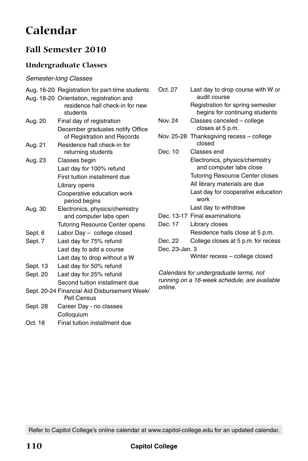# **Calendar**

# **Fall Semester 2010**

#### **Undergraduate Classes**

#### *Semester-long Classes*

|          | Aug. 16-20 Registration for part-time students                  |
|----------|-----------------------------------------------------------------|
|          | Aug. 18-20 Orientation, registration and                        |
|          | residence hall check-in for new                                 |
|          | students                                                        |
| Aug. 20  | Final day of registration                                       |
|          | December graduates notify Office<br>of Registration and Records |
| Aug. 21  | Residence hall check-in for                                     |
|          | returning students                                              |
| Aug. 23  | Classes begin                                                   |
|          | Last day for 100% refund                                        |
|          | First tuition installment due                                   |
|          | Library opens                                                   |
|          | Cooperative education work<br>period begins                     |
| Aug. 30  | Electronics, physics/chemistry                                  |
|          | and computer labs open                                          |
|          | <b>Tutoring Resource Center opens</b>                           |
| Sept. 6  | Labor Day - college closed                                      |
| Sept. 7  | Last day for 75% refund                                         |
|          | Last day to add a course                                        |
|          | Last day to drop without a W                                    |
| Sept. 13 | Last day for 50% refund                                         |
| Sept. 20 | Last day for 25% refund                                         |
|          | Second tuition installment due                                  |
|          | Sept. 20-24 Financial Aid Disbursement Week/<br>Pell Census     |
| Sept. 28 | Career Day - no classes                                         |
|          | Colloquium                                                      |

Oct. 18 Final tuition installment due

| Oct. 27        | Last day to drop course with W or<br>audit course                  |
|----------------|--------------------------------------------------------------------|
|                | Registration for spring semester<br>begins for continuing students |
| Nov. 24        | Classes canceled - college<br>closes at 5 p.m.                     |
|                | Nov. 25-28 Thanksgiving recess – college<br>closed                 |
| Dec. 10        | Classes end                                                        |
|                | Electronics, physics/chemistry<br>and computer labs close          |
|                | <b>Tutoring Resource Center closes</b>                             |
|                | All library materials are due                                      |
|                | Last day for cooperative education<br>work                         |
|                | Last day to withdraw                                               |
|                | Dec. 13-17 Final examinations                                      |
| Dec. 17        | Library closes                                                     |
|                | Residence halls close at 5 p.m.                                    |
| Dec. 22        | College closes at 5 p.m. for recess                                |
| Dec. 23-Jan. 3 |                                                                    |
|                | Winter recess - college closed                                     |

*Calendars for undergraduate terms, not running on a 16-week schedule, are available online.*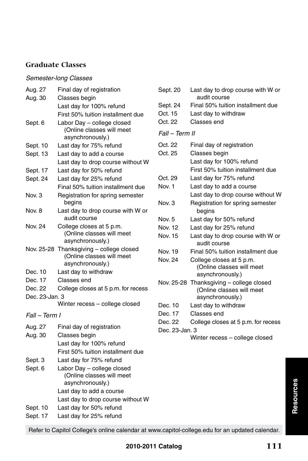#### *Semester-long Classes*

| Aug. 27        | Final day of registration                                                      |
|----------------|--------------------------------------------------------------------------------|
| Aug. 30        | Classes begin                                                                  |
|                | Last day for 100% refund                                                       |
|                | First 50% tuition installment due                                              |
| Sept. 6        | Labor Day - college closed<br>(Online classes will meet<br>asynchronously.)    |
| Sept. 10       | Last day for 75% refund                                                        |
| Sept. 13       | Last day to add a course                                                       |
|                | Last day to drop course without W                                              |
| Sept. 17       | Last day for 50% refund                                                        |
| Sept. 24       | Last day for 25% refund                                                        |
|                | Final 50% tuition installment due                                              |
| Nov. 3         | Registration for spring semester<br>begins                                     |
| Nov. 8         | Last day to drop course with W or<br>audit course                              |
| Nov. 24        | College closes at 5 p.m.<br>(Online classes will meet<br>asynchronously.)      |
| Nov. 25-28     | Thanksgiving - college closed<br>(Online classes will meet<br>asynchronously.) |
| Dec. 10        | Last day to withdraw                                                           |
| Dec. 17        | Classes end                                                                    |
| Dec. 22        | College closes at 5 p.m. for recess                                            |
| Dec. 23-Jan. 3 |                                                                                |
|                | Winter recess - college closed                                                 |
| Fall – Term I  |                                                                                |
| Aug. 27        | Final day of registration                                                      |
| Aug. 30        | Classes begin                                                                  |
|                | Last day for 100% refund                                                       |
|                | First 50% tuition installment due                                              |
| Sept. 3        | Last day for 75% refund                                                        |
| Sept. 6        | Labor Day - college closed<br>(Online classes will meet<br>asynchronously.)    |
|                | Last day to add a course                                                       |
|                | Last day to drop course without W                                              |
| Sept. 10       | Last day for 50% refund                                                        |

Sept. 17 Last day for 25% refund

| Sept. 20       | Last day to drop course with W or<br>audit course                                         |
|----------------|-------------------------------------------------------------------------------------------|
| Sept. 24       | Final 50% tuition installment due                                                         |
| Oct. 15        | Last day to withdraw                                                                      |
| Oct. 22        | Classes end                                                                               |
| Fall - Term II |                                                                                           |
| Oct. 22        | Final day of registration                                                                 |
| Oct. 25        | Classes begin                                                                             |
|                | Last day for 100% refund                                                                  |
|                | First 50% tuition installment due                                                         |
| Oct. 29        | Last day for 75% refund                                                                   |
| Nov. 1         | Last day to add a course                                                                  |
|                | Last day to drop course without W                                                         |
| Nov. 3         | Registration for spring semester<br>begins                                                |
| Nov. 5         | Last day for 50% refund                                                                   |
| Nov. 12        | Last day for 25% refund                                                                   |
| Nov. 15        | Last day to drop course with W or<br>audit course                                         |
| Nov. 19        | Final 50% tuition installment due                                                         |
| Nov. 24        | College closes at 5 p.m.<br>(Online classes will meet<br>asynchronously.)                 |
|                | Nov. 25-28 Thanksgiving - college closed<br>(Online classes will meet<br>asynchronously.) |
| Dec. 10        | Last day to withdraw                                                                      |
| Dec. 17        | Classes end                                                                               |
| Dec. 22        | College closes at 5 p.m. for recess                                                       |
| Dec. 23-Jan. 3 |                                                                                           |
|                | Winter recess - college closed                                                            |

**Resources Resources**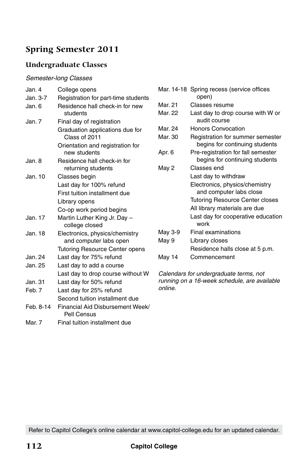# **Spring Semester 2011**

### **Undergraduate Classes**

#### *Semester-long Classes*

| Jan. 4    | College opens                                            |
|-----------|----------------------------------------------------------|
| Jan. 3-7  | Registration for part-time students                      |
| Jan. 6    | Residence hall check-in for new<br>students              |
| Jan. 7    | Final day of registration                                |
|           | Graduation applications due for<br>Class of 2011         |
|           | Orientation and registration for<br>new students         |
| Jan. 8    | Residence hall check-in for<br>returning students        |
| Jan. 10   | Classes begin                                            |
|           | Last day for 100% refund                                 |
|           | First tuition installment due                            |
|           | Library opens                                            |
|           | Co-op work period begins                                 |
| Jan. 17   | Martin Luther King Jr. Day -<br>college closed           |
| Jan. 18   | Electronics, physics/chemistry<br>and computer labs open |
|           | <b>Tutoring Resource Center opens</b>                    |
| Jan. 24   | Last day for 75% refund                                  |
| Jan. 25   | Last day to add a course                                 |
|           | Last day to drop course without W                        |
| Jan. 31   | Last day for 50% refund                                  |
| Feb. 7    | Last day for 25% refund                                  |
|           | Second tuition installment due                           |
| Feb. 8-14 | Financial Aid Disbursement Week/<br>Pell Census          |
| Mar. 7    | Final tuition installment due                            |

|         | Mar. 14-18 Spring recess (service offices<br>open)                   |
|---------|----------------------------------------------------------------------|
| Mar. 21 | Classes resume                                                       |
| Mar. 22 | Last day to drop course with W or<br>audit course                    |
| Mar. 24 | <b>Honors Convocation</b>                                            |
| Mar. 30 | Registration for summer semester<br>begins for continuing students   |
| Apr. 6  | Pre-registration for fall semester<br>begins for continuing students |
| May 2   | Classes end                                                          |
|         | Last day to withdraw                                                 |
|         | Electronics, physics/chemistry<br>and computer labs close            |
|         | <b>Tutoring Resource Center closes</b>                               |
|         | All library materials are due                                        |
|         | Last day for cooperative education<br>work                           |
| May 3-9 | Final examinations                                                   |
| May 9   | Library closes                                                       |
|         | Residence halls close at 5 p.m.                                      |
| May 14  | Commencement                                                         |

*Calendars for undergraduate terms, not running on a 16-week schedule, are available online.*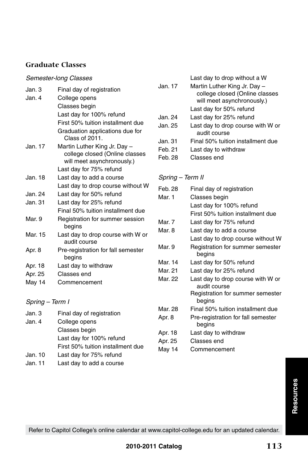#### *Semester-long Classes*

| Jan. 3  | Final day of registration                                                                    |
|---------|----------------------------------------------------------------------------------------------|
| Jan. 4  | College opens                                                                                |
|         | Classes begin                                                                                |
|         | Last day for 100% refund                                                                     |
|         | First 50% tuition installment due                                                            |
|         | Graduation applications due for<br>Class of 2011.                                            |
| Jan. 17 | Martin Luther King Jr. Day -<br>college closed (Online classes<br>will meet asynchronously.) |
|         | Last day for 75% refund                                                                      |
| Jan. 18 | Last day to add a course                                                                     |
|         | Last day to drop course without W                                                            |
| Jan. 24 | Last day for 50% refund                                                                      |
| Jan. 31 | Last day for 25% refund                                                                      |
|         | Final 50% tuition installment due                                                            |
| Mar. 9  | Registration for summer session<br>begins                                                    |
| Mar. 15 | Last day to drop course with W or<br>audit course                                            |
| Apr. 8  | Pre-registration for fall semester<br>begins                                                 |
| Apr. 18 | Last day to withdraw                                                                         |
| Apr. 25 | Classes end                                                                                  |
| May 14  | Commencement                                                                                 |
|         |                                                                                              |

#### *Spring – Term I*

| Jan. 3           | Final day of registration         |
|------------------|-----------------------------------|
| Jan. 4           | College opens                     |
|                  | Classes begin                     |
|                  | Last day for 100% refund          |
|                  | First 50% tuition installment due |
| Jan. 10          | Last day for 75% refund           |
| $\frac{1}{2}$ 11 | $l$ act dou to add a course       |

Jan. 11 Last day to add a course

| lan 17.  | Last day to drop without a W<br>Martin Luther King Jr. Day -<br>college closed (Online classes<br>will meet asynchronously.) |
|----------|------------------------------------------------------------------------------------------------------------------------------|
|          | Last day for 50% refund                                                                                                      |
| lan 24.  | Last day for 25% refund                                                                                                      |
| Jan. 25  | Last day to drop course with W or<br>audit course                                                                            |
| Jan. 31. | Final 50% tuition installment due                                                                                            |
| Feb. 21  | Last day to withdraw                                                                                                         |
| Feb. 28  | Classes end                                                                                                                  |

#### *Spring – Term II*

| Feb. 28 | Final day of registration                         |
|---------|---------------------------------------------------|
| Mar. 1  | Classes begin                                     |
|         | Last day for 100% refund                          |
|         | First 50% tuition installment due                 |
| Mar. 7  | Last day for 75% refund                           |
| Mar. 8  | Last day to add a course                          |
|         | Last day to drop course without W                 |
| Mar. 9  | Registration for summer semester<br>begins        |
| Mar. 14 | Last day for 50% refund                           |
| Mar. 21 | Last day for 25% refund                           |
| Mar. 22 | Last day to drop course with W or<br>audit course |
|         | Registration for summer semester<br>begins        |
| Mar. 28 | Final 50% tuition installment due                 |
| Apr. 8  | Pre-registration for fall semester<br>begins      |
| Apr. 18 | Last day to withdraw                              |
| Apr. 25 | Classes end                                       |
| May 14  | Commencement                                      |

# **Resources Resources**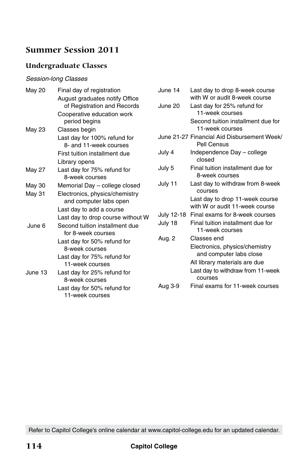# **Summer Session 2011**

#### **Undergraduate Classes**

#### *Session-long Classes*

| May 20  | Final day of registration         |   |
|---------|-----------------------------------|---|
|         | August graduates notify Office    |   |
|         | of Registration and Records       |   |
|         | Cooperative education work        |   |
|         | period begins                     |   |
| May 23  | Classes begin                     |   |
|         | Last day for 100% refund for      |   |
|         | 8- and 11-week courses            |   |
|         | First tuition installment due     |   |
|         | Library opens                     |   |
| May 27  | Last day for 75% refund for       |   |
|         | 8-week courses                    |   |
| May 30  | Memorial Day - college closed     |   |
| May 31  | Electronics, physics/chemistry    |   |
|         | and computer labs open            |   |
|         | Last day to add a course          |   |
|         | Last day to drop course without W |   |
| June 6  | Second tuition installment due    |   |
|         | for 8-week courses                | ŀ |
|         | Last day for 50% refund for       |   |
|         | 8-week courses                    |   |
|         | Last day for 75% refund for       |   |
|         | 11-week courses                   |   |
| June 13 | Last day for 25% refund for       |   |
|         | 8-week courses                    | ŀ |
|         | Last day for 50% refund for       |   |
|         | 11-week courses                   |   |

| June 14    | Last day to drop 8-week course<br>with W or audit 8-week course   |
|------------|-------------------------------------------------------------------|
| June 20    | Last day for 25% refund for<br>11-week courses                    |
|            | Second tuition installment due for<br>11-week courses             |
|            | June 21-27 Financial Aid Disbursement Week/<br>Pell Census        |
| July 4     | Independence Day - college<br>closed                              |
| July 5     | Final tuition installment due for<br>8-week courses               |
| July 11    | Last day to withdraw from 8-week<br><b>COULSES</b>                |
|            | Last day to drop 11-week course<br>with W or audit 11-week course |
| July 12-18 | Final exams for 8-week courses                                    |
| July 18    | Final tuition installment due for<br>11-week courses              |
| Aug. 2     | Classes end                                                       |
|            | Electronics, physics/chemistry<br>and computer labs close         |
|            | All library materials are due                                     |
|            | Last day to withdraw from 11-week<br>courses                      |
| Aug 3-9    | Final exams for 11-week courses                                   |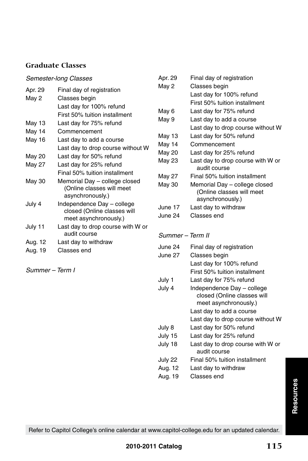#### *Semester-long Classes*

| Apr. 29<br>May 2 | Final day of registration<br>Classes begin                                         |
|------------------|------------------------------------------------------------------------------------|
|                  | Last day for 100% refund<br>First 50% tuition installment                          |
| May 13           | Last day for 75% refund                                                            |
| May 14           | Commencement                                                                       |
| May 16           | Last day to add a course                                                           |
|                  | Last day to drop course without W                                                  |
| May 20           | Last day for 50% refund                                                            |
| May 27           | Last day for 25% refund                                                            |
|                  | Final 50% tuition installment                                                      |
| May 30           | Memorial Day - college closed<br>(Online classes will meet<br>asynchronously.)     |
| July 4           | Independence Day - college<br>closed (Online classes will<br>meet asynchronously.) |
| July 11          | Last day to drop course with W or<br>audit course                                  |
| Aug. 12          | Last day to withdraw                                                               |
| Aug. 19          | Classes end                                                                        |
|                  |                                                                                    |

*Summer – Term I*

| Apr. 29          | Final day of registration                                                          |
|------------------|------------------------------------------------------------------------------------|
| May 2            | Classes begin                                                                      |
|                  | Last day for 100% refund                                                           |
|                  | First 50% tuition installment                                                      |
| May 6            | Last day for 75% refund                                                            |
| May 9            | Last day to add a course                                                           |
|                  | Last day to drop course without W                                                  |
| May 13           | Last day for 50% refund                                                            |
| May 14           | Commencement                                                                       |
| <b>May 20</b>    | Last day for 25% refund                                                            |
| <b>May 23</b>    | Last day to drop course with W or<br>audit course                                  |
| May 27           | Final 50% fuition installment                                                      |
| <b>May 30</b>    | Memorial Day - college closed<br>(Online classes will meet<br>asynchronously.)     |
| June 17          | Last day to withdraw                                                               |
| June 24          | Classes end                                                                        |
|                  |                                                                                    |
| Summer – Term II |                                                                                    |
| June 24          | Final day of registration                                                          |
| June 27          | Classes begin                                                                      |
|                  | Last day for 100% refund                                                           |
|                  | First 50% tuition installment                                                      |
| July 1           | Last day for 75% refund                                                            |
| July 4           | Independence Day - college<br>closed (Online classes will<br>meet asynchronously.) |

Last day to add a course

July 18 Last day to drop course with W or audit course July 22 Final 50% tuition installment Aug. 12 Last day to withdraw Aug. 19 Classes end

July 8 Last day for 50% refund July 15 Last day for 25% refund

Last day to drop course without W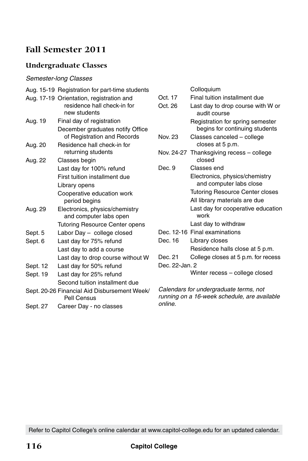# **Fall Semester 2011**

#### **Undergraduate Classes**

#### *Semester-long Classes*

|          | Aug. 15-19 Registration for part-time students              |        |
|----------|-------------------------------------------------------------|--------|
|          | Aug. 17-19 Orientation, registration and                    | C      |
|          | residence hall check-in for                                 | (      |
|          | new students                                                |        |
| Aug. 19  | Final day of registration                                   |        |
|          | December graduates notify Office                            |        |
|          | of Registration and Records                                 | ľ      |
| Aug. 20  | Residence hall check-in for                                 |        |
|          | returning students                                          | ľ      |
| Aug. 22  | Classes begin                                               |        |
|          | Last day for 100% refund                                    | I      |
|          | First tuition installment due                               |        |
|          | Library opens                                               |        |
|          | Cooperative education work<br>period begins                 |        |
| Aug. 29  | Electronics, physics/chemistry<br>and computer labs open    |        |
|          | <b>Tutoring Resource Center opens</b>                       |        |
| Sept. 5  | Labor Day - college closed                                  | ſ      |
| Sept. 6  | Last day for 75% refund                                     | D      |
|          | Last day to add a course                                    |        |
|          | Last day to drop course without W                           | D      |
| Sept. 12 | Last day for 50% refund                                     | D      |
| Sept. 19 | Last day for 25% refund                                     |        |
|          | Second tuition installment due                              |        |
|          | Sept. 20-26 Financial Aid Disbursement Week/<br>Pell Census | (<br>ı |

Sept. 27 Career Day - no classes

**Colloquium** 

- Oct. 17 Final tuition installment due
- Oct. 26 Last day to drop course with W or audit course

Registration for spring semester begins for continuing students

- Nov. 23 Classes canceled college closes at 5 p.m.
- Nov. 24-27 Thanksgiving recess college closed
- Dec. 9 Classes end Electronics, physics/chemistry and computer labs close Tutoring Resource Center closes All library materials are due Last day for cooperative education work Last day to withdraw
- Dec. 12-16 Final examinations
- Dec. 16 Library closes Residence halls close at 5 p.m.
- Dec. 21 College closes at 5 p.m. for recess Dec. 22-Jan. 2

Winter recess – college closed

*Calendars for undergraduate terms, not running on a 16-week schedule, are available online.*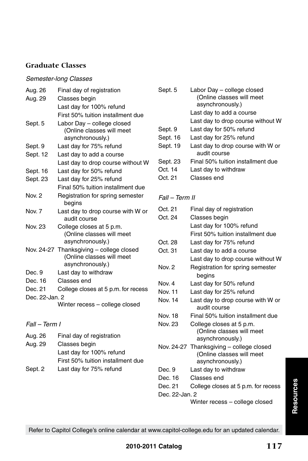#### *Semester-long Classes*

| Aug. 26        | Final day of registration                         |
|----------------|---------------------------------------------------|
| Aug. 29        | Classes begin                                     |
|                | Last day for 100% refund                          |
|                | First 50% tuition installment due                 |
| Sept. 5        | Labor Day - college closed                        |
|                | (Online classes will meet                         |
|                | asynchronously.)                                  |
| Sept. 9        | Last day for 75% refund                           |
| Sept. 12       | Last day to add a course                          |
|                | Last day to drop course without W                 |
| Sept. 16       | Last day for 50% refund                           |
| Sept. 23       | Last day for 25% refund                           |
|                | Final 50% tuition installment due                 |
| Nov. 2         | Registration for spring semester<br>begins        |
| Nov. 7         | Last day to drop course with W or<br>audit course |
| Nov. 23        | College closes at 5 p.m.                          |
|                | (Online classes will meet<br>asynchronously.)     |
|                | Nov. 24-27 Thanksgiving - college closed          |
|                | (Online classes will meet                         |
|                | asynchronously.)                                  |
| Dec. 9         | Last day to withdraw                              |
| Dec. 16        | Classes end                                       |
| Dec. 21        | College closes at 5 p.m. for recess               |
| Dec. 22-Jan. 2 |                                                   |
|                | Winter recess - college closed                    |
|                |                                                   |
|                |                                                   |

#### *Fall – Term I*

| Aug. 26 | Final day of registration         |
|---------|-----------------------------------|
| Aug. 29 | Classes begin                     |
|         | Last day for 100% refund          |
|         | First 50% tuition installment due |
| .       | . <i>. ==</i> ~ <i>. .</i> .      |

Sept. 2 Last day for 75% refund

| Sept. 5  | Labor Day - college closed        |
|----------|-----------------------------------|
|          | (Online classes will meet         |
|          | asynchronously.)                  |
|          | Last day to add a course          |
|          | Last day to drop course without W |
| Sept. 9  | Last day for 50% refund           |
| Sept. 16 | Last day for 25% refund           |
| Sept. 19 | Last day to drop course with W or |
|          | audit course                      |
| Sept. 23 | Final 50% tuition installment due |
| Oct. 14  | Last day to withdraw              |
| Oct. 21  | Classes end                       |

#### *Fall – Term II*

| Oct. 21        | Final day of registration                     |
|----------------|-----------------------------------------------|
| Oct. 24        | Classes begin                                 |
|                | Last day for 100% refund                      |
|                | First 50% tuition installment due             |
| Oct. 28        | Last day for 75% refund                       |
| Oct. 31        | Last day to add a course                      |
|                | Last day to drop course without W             |
| Nov. 2         | Registration for spring semester              |
|                | begins                                        |
| Nov. 4         | Last day for 50% refund                       |
| Nov. 11        | Last day for 25% refund                       |
| Nov. 14        | Last day to drop course with W or             |
|                | audit course                                  |
| Nov. 18        | Final 50% tuition installment due             |
| Nov. 23        | College closes at 5 p.m.                      |
|                | (Online classes will meet                     |
|                | asynchronously.)                              |
|                | Nov. 24-27 Thanksgiving - college closed      |
|                | (Online classes will meet<br>asynchronously.) |
| Dec. 9         | Last day to withdraw                          |
| Dec. 16        | Classes end                                   |
| Dec. 21        | College closes at 5 p.m. for recess           |
| Dec. 22-Jan. 2 |                                               |

Winter recess – college closed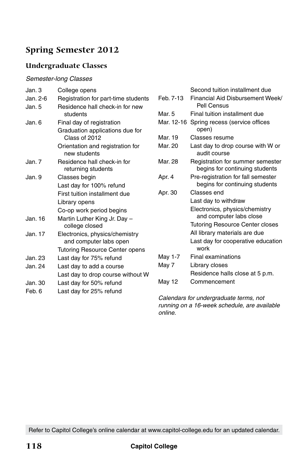# **Spring Semester 2012**

#### **Undergraduate Classes**

#### *Semester-long Classes*

| Jan. 3   | College opens                                            |
|----------|----------------------------------------------------------|
| Jan. 2-6 | Registration for part-time students                      |
| Jan. 5   | Residence hall check-in for new<br>students              |
| Jan. 6   | Final day of registration                                |
|          | Graduation applications due for<br>Class of 2012         |
|          | Orientation and registration for<br>new students         |
| Jan. 7   | Residence hall check-in for<br>returning students        |
| Jan. 9   | Classes begin                                            |
|          | Last day for 100% refund                                 |
|          | First tuition installment due                            |
|          | Library opens                                            |
|          | Co-op work period begins                                 |
| Jan. 16  | Martin Luther King Jr. Day -<br>college closed           |
| Jan. 17  | Electronics, physics/chemistry<br>and computer labs open |
|          | <b>Tutoring Resource Center opens</b>                    |
| Jan. 23  | Last day for 75% refund                                  |
| Jan. 24  | Last day to add a course                                 |
|          | Last day to drop course without W                        |
| Jan. 30  | Last day for 50% refund                                  |
| Feb. 6   | Last day for 25% refund                                  |

|            | Second tuition installment due                                       |
|------------|----------------------------------------------------------------------|
| Feb. 7-13  | Financial Aid Disbursement Week/<br>Pell Census                      |
| Mar. 5     | Final fuition installment due                                        |
| Mar. 12-16 | Spring recess (service offices<br>open)                              |
| Mar. 19    | Classes resume                                                       |
| Mar. 20    | Last day to drop course with W or<br>audit course                    |
| Mar. 28    | Registration for summer semester<br>begins for continuing students   |
| Apr. 4     | Pre-registration for fall semester<br>begins for continuing students |
| Apr. 30    | Classes end                                                          |
|            | Last day to withdraw                                                 |
|            | Electronics, physics/chemistry<br>and computer labs close            |
|            | <b>Tutoring Resource Center closes</b>                               |
|            | All library materials are due                                        |
|            | Last day for cooperative education<br>work                           |
| May 1-7    | Final examinations                                                   |
| May 7      | Library closes                                                       |
|            | Residence halls close at 5 p.m.                                      |
| May 12     | Commencement                                                         |

*Calendars for undergraduate terms, not running on a 16-week schedule, are available online.*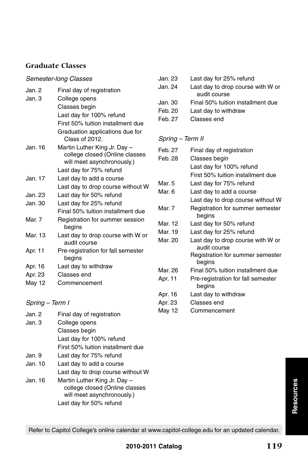| Semester-long Classes |                                                                                              |  |
|-----------------------|----------------------------------------------------------------------------------------------|--|
| Jan. 2                | Final day of registration                                                                    |  |
| Jan. 3                | College opens                                                                                |  |
|                       | Classes begin                                                                                |  |
|                       | Last day for 100% refund                                                                     |  |
|                       | First 50% tuition installment due                                                            |  |
|                       | Graduation applications due for<br>Class of 2012.                                            |  |
| Jan. 16               | Martin Luther King Jr. Day -<br>college closed (Online classes<br>will meet asynchronously.) |  |
|                       | Last day for 75% refund                                                                      |  |
| Jan. 17               | Last day to add a course                                                                     |  |
|                       | Last day to drop course without W                                                            |  |
| Jan. 23               | Last day for 50% refund                                                                      |  |
| Jan. 30               | Last day for 25% refund                                                                      |  |
|                       | Final 50% tuition installment due                                                            |  |
| Mar. 7                | Registration for summer session<br>begins                                                    |  |
| Mar. 13               | Last day to drop course with W or<br>audit course                                            |  |
| Apr. 11               | Pre-registration for fall semester<br>begins                                                 |  |
| Apr. 16               | Last day to withdraw                                                                         |  |
| Apr. 23               | Classes end                                                                                  |  |
| <b>May 12</b>         | Commencement                                                                                 |  |
| Spring – Term I       |                                                                                              |  |

| Jan. 2  | Final day of registration                                                                    |
|---------|----------------------------------------------------------------------------------------------|
| Jan. 3  | College opens                                                                                |
|         | Classes begin                                                                                |
|         | Last day for 100% refund                                                                     |
|         | First 50% tuition installment due                                                            |
| Jan. 9  | Last day for 75% refund                                                                      |
| Jan. 10 | Last day to add a course                                                                     |
|         | Last day to drop course without W                                                            |
| Jan. 16 | Martin Luther King Jr. Day -<br>college closed (Online classes<br>will meet asynchronously.) |
|         | Last day for 50% refund                                                                      |

| Jan. 23 | Last day for 25% refund           |
|---------|-----------------------------------|
| Jan. 24 | Last day to drop course with W or |
|         | audit course                      |
| Jan. 30 | Final 50% tuition installment due |
| Feb. 20 | Last day to withdraw              |
| Feb. 27 | Classes end                       |

#### *Spring – Term II*

| Feb. 27 | Final day of registration                         |
|---------|---------------------------------------------------|
| Feb. 28 | Classes begin                                     |
|         | Last day for 100% refund                          |
|         | First 50% tuition installment due                 |
| Mar. 5  | Last day for 75% refund                           |
| Mar. 6  | Last day to add a course                          |
|         | Last day to drop course without W                 |
| Mar. 7  | Registration for summer semester<br>begins        |
| Mar. 12 | Last day for 50% refund                           |
| Mar. 19 | Last day for 25% refund                           |
| Mar. 20 | Last day to drop course with W or<br>audit course |
|         | Registration for summer semester<br>begins        |
| Mar. 26 | Final 50% tuition installment due                 |
| Apr. 11 | Pre-registration for fall semester<br>begins      |
| Apr. 16 | Last day to withdraw                              |
| Apr. 23 | Classes end                                       |
| May 12  | Commencement                                      |

**Resources Resources**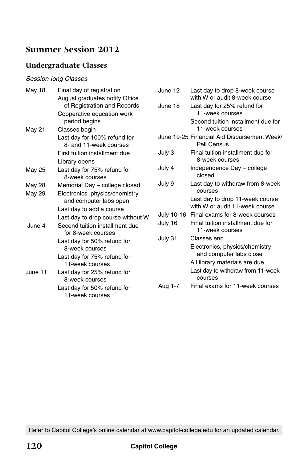# **Summer Session 2012**

#### **Undergraduate Classes**

#### *Session-long Classes*

| May 18        | Final day of registration                                     | June 12   |
|---------------|---------------------------------------------------------------|-----------|
|               | August graduates notify Office<br>of Registration and Records | June 18   |
|               | Cooperative education work<br>period begins                   |           |
| May 21        | Classes begin                                                 |           |
|               | Last day for 100% refund for<br>8- and 11-week courses        | June 19   |
|               | First tuition installment due                                 | July 3    |
|               | Library opens                                                 |           |
| May 25        | Last day for 75% refund for<br>8-week courses                 | July 4    |
| May 28        | Memorial Day - college closed                                 | July 9    |
| <b>May 29</b> | Electronics, physics/chemistry<br>and computer labs open      |           |
|               | Last day to add a course                                      |           |
|               | Last day to drop course without W                             | July 10-1 |
| June 4        | Second tuition installment due<br>for 8-week courses          | July 16   |
|               | Last day for 50% refund for<br>8-week courses                 | July 31   |
|               | Last day for 75% refund for<br>11-week courses                |           |
| June 11       | Last day for 25% refund for<br>8-week courses                 |           |
|               | Last day for 50% refund for<br>11-week courses                | Aug 1-7   |

Last day to drop 8-week course with W or audit 8-week course Last day for 25% refund for 11-week courses Second tuition installment due for 11-week courses -25 Financial Aid Disbursement Week/ Pell Census Final tuition installment due for 8-week courses Independence Day – college closed Last day to withdraw from 8-week courses Last day to drop 11-week course with W or audit 11-week course 16 Final exams for 8-week courses Final tuition installment due for 11-week courses Classes end Electronics, physics/chemistry and computer labs close All library materials are due Last day to withdraw from 11-week courses Final exams for 11-week courses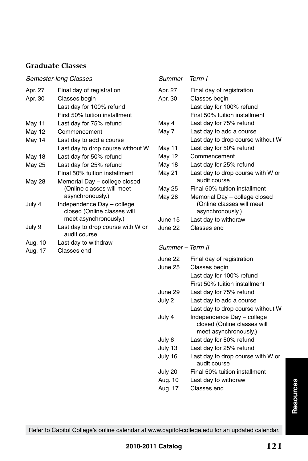#### *Semester-long Classes*

| Apr. 27 | Final day of registration                         |
|---------|---------------------------------------------------|
| Apr. 30 | Classes begin                                     |
|         | Last day for 100% refund                          |
|         | First 50% tuition installment                     |
| May 11  | Last day for 75% refund                           |
| May 12  | Commencement                                      |
| May 14  | Last day to add a course                          |
|         | Last day to drop course without W                 |
| May 18  | Last day for 50% refund                           |
| May 25  | Last day for 25% refund                           |
|         | Final 50% tuition installment                     |
| May 28  | Memorial Day - college closed                     |
|         | (Online classes will meet                         |
|         | asynchronously.)                                  |
| July 4  | Independence Day - college                        |
|         | closed (Online classes will                       |
|         | meet asynchronously.)                             |
| July 9  | Last day to drop course with W or<br>audit course |
| Aug. 10 | Last day to withdraw                              |
| Aug. 17 | Classes end                                       |

#### *Summer – Term I*

| Apr. 27 | Final day of registration         |
|---------|-----------------------------------|
| Apr. 30 | Classes begin                     |
|         | Last day for 100% refund          |
|         | First 50% tuition installment     |
| May 4   | Last day for 75% refund           |
| May 7   | Last day to add a course          |
|         | Last day to drop course without W |
| May 11  | Last day for 50% refund           |
| May 12  | Commencement                      |
| May 18  | Last day for 25% refund           |
| May 21  | Last day to drop course with W or |
|         | audit course                      |
| May 25  | Final 50% tuition installment     |
| May 28  | Memorial Day - college closed     |
|         | (Online classes will meet         |
|         | asynchronously.)                  |
| June 15 | Last day to withdraw              |
| June 22 | Classes end                       |

#### *Summer – Term II*

| June 22 | Final day of registration                                                          |
|---------|------------------------------------------------------------------------------------|
| June 25 | Classes begin                                                                      |
|         | Last day for 100% refund                                                           |
|         | First 50% tuition installment                                                      |
| June 29 | Last day for 75% refund                                                            |
| July 2  | Last day to add a course                                                           |
|         | Last day to drop course without W                                                  |
| July 4  | Independence Day - college<br>closed (Online classes will<br>meet asynchronously.) |
| July 6  | Last day for 50% refund                                                            |
| July 13 | Last day for 25% refund                                                            |
| July 16 | Last day to drop course with W or<br>audit course                                  |
| July 20 | Final 50% tuition installment                                                      |
| Aug. 10 | Last day to withdraw                                                               |
| Aug. 17 | Classes end                                                                        |
|         |                                                                                    |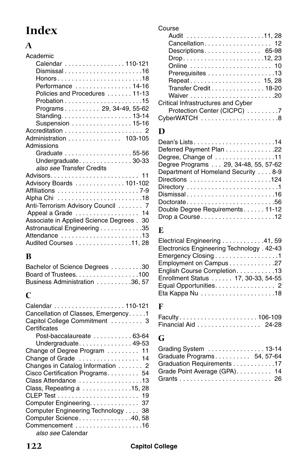# **Index**

# **A**

| Academic                                                |
|---------------------------------------------------------|
| Calendar 110-121                                        |
|                                                         |
|                                                         |
| Performance  14-16                                      |
| Policies and Procedures  11-13                          |
|                                                         |
| Programs 29, 34-49, 55-62                               |
|                                                         |
| Suspension 15-16                                        |
|                                                         |
| Administration 103-105                                  |
| Admissions                                              |
| Graduate 55-56                                          |
| Undergraduate30-33                                      |
| also see Transfer Credits                               |
|                                                         |
| Advisory Boards 101-102                                 |
|                                                         |
|                                                         |
| Anti-Terrorism Advisory Council 7<br>Appeal a Grade  14 |
| Associate in Applied Science Degrees . 30               |
| Astronautical Engineering 35                            |
| Attendance 13                                           |
| Audited Courses 11, 28                                  |
|                                                         |

# **B**

| Bachelor of Science Degrees 30                                     |  |
|--------------------------------------------------------------------|--|
| Board of Trustees. $\ldots$ , $\ldots$ , $\ldots$ , $\ldots$ , 100 |  |
| Business Administration 36, 57                                     |  |

# **C**

| Cancellation of Classes, Emergency1                      |
|----------------------------------------------------------|
| Capitol College Commitment  3                            |
| Certificates                                             |
| Post-baccalaureate  63-64                                |
| Undergraduate49-53                                       |
| Change of Degree Program  11                             |
| Change of Grade  14                                      |
| Changes in Catalog Information 2                         |
| Cisco Certification Programs 54                          |
| Class Attendance 13                                      |
| Class, Repeating $a \ldots \ldots \ldots \ldots 15$ , 28 |
|                                                          |
| Computer Engineering. 37                                 |
| Computer Engineering Technology<br>38                    |
| Computer Science40, 58                                   |
| Commencement 16                                          |
| also see Calendar                                        |

| Course                             |
|------------------------------------|
|                                    |
| Cancellation 12                    |
| Descriptions 65-98                 |
| Drop12, 23                         |
| Online  10                         |
|                                    |
| Repeat 15, 28                      |
| Transfer Credit 18-20              |
|                                    |
| Critical Infrastructures and Cyber |
| Protection Center (CICPC) 7        |
| CyberWATCH 8                       |

# **D**

| Deferred Payment Plan 22             |
|--------------------------------------|
| Degree, Change of 11                 |
| Degree Programs 29, 34-48, 55, 57-62 |
| Department of Homeland Security 8-9  |
|                                      |
|                                      |
|                                      |
|                                      |
| Double Degree Requirements 11-12     |
| Drop a Course12                      |

### **E**

| Electrical Engineering 41, 59             |  |
|-------------------------------------------|--|
|                                           |  |
| Electronics Engineering Technology. 42-43 |  |
| Emergency Closing1                        |  |
| Employment on Campus27                    |  |
| English Course Completion13               |  |
| Enrollment Status 17, 30-33, 54-55        |  |
| Equal Opportunities 2                     |  |
|                                           |  |

# **F**

| Financial Aid 24-28 |  |  |  |  |  |  |  |  |  |  |
|---------------------|--|--|--|--|--|--|--|--|--|--|

# **G**

| Grading System  13-14         |  |
|-------------------------------|--|
| Graduate Programs 54, 57-64   |  |
| Graduation Requirements 17    |  |
| Grade Point Average (GPA). 14 |  |
|                               |  |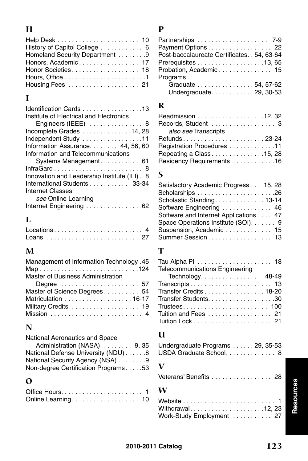# **H**

| History of Capitol College  6  |  |
|--------------------------------|--|
| Homeland Security Department 9 |  |
| Honors, Academic 17            |  |
| Honor Societies 18             |  |
|                                |  |
|                                |  |

# **I**

| Identification Cards 13                      |
|----------------------------------------------|
| Institute of Electrical and Electronics      |
| Engineers (IEEE)  8                          |
| Incomplete Grades 14, 28                     |
| Independent Study 11                         |
| Information Assurance. 44, 56, 60            |
| Information and Telecommunications           |
| Systems Management 61                        |
|                                              |
|                                              |
| Innovation and Leadership Institute (ILI). 8 |
| International Students 33-34                 |
| Internet Classes                             |
| see Online Learning                          |
| Internet Engineering  62                     |

# **L**

| Locations 4 |  |  |  |  |  |  |  |  |  |  |  |  |  |
|-------------|--|--|--|--|--|--|--|--|--|--|--|--|--|
| Loans  27   |  |  |  |  |  |  |  |  |  |  |  |  |  |

# **M**

| Management of Information Technology .45 |
|------------------------------------------|
|                                          |
| Master of Business Administration        |
| Degree  57                               |
| Master of Science Degrees 54             |
| Matriculation  16-17                     |
| Military Credits  19                     |
| Mission  4                               |

# **N**

| National Aeronautics and Space      |  |
|-------------------------------------|--|
| Administration (NASA)  9, 35        |  |
| National Defense University (NDU) 8 |  |
| National Security Agency (NSA) 9    |  |
| Non-degree Certification Programs53 |  |

# **O**

# **P**

| Partnerships  7-9                            |
|----------------------------------------------|
| Payment Options 22                           |
| Post-baccalaureate Certificates. . 54, 63-64 |
| Prerequisites 13, 65                         |
| Probation, Academic 15                       |
| Programs                                     |
| Graduate 54, 57-62                           |
| Undergraduate 29, 30-53                      |

# **R**

| Readmission 12, 32         |
|----------------------------|
| Records, Student  3        |
|                            |
|                            |
| Registration Procedures 11 |
| Repeating a Class15, 28    |
| Residency Requirements 16  |
|                            |

# **S**

| Satisfactory Academic Progress 15, 28 |  |
|---------------------------------------|--|
| Scholarships 26                       |  |
| Scholastic Standing13-14              |  |
| Software Engineering  46              |  |
| Software and Internet Applications 47 |  |
| Space Operations Institute (SOI). 9   |  |
| Suspension, Academic  15              |  |
| Summer Session 13                     |  |

# **T**

| <b>Telecommunications Engineering</b> |  |
|---------------------------------------|--|
| Technology. 48-49                     |  |
| Transcripts 13                        |  |
| Transfer Credits 18-20                |  |
|                                       |  |
| Trustees 100                          |  |
| Tuition and Fees  21                  |  |
|                                       |  |

# **U**

| Undergraduate Programs 29, 35-53 |  |  |  |  |  |
|----------------------------------|--|--|--|--|--|
| USDA Graduate School. 8          |  |  |  |  |  |

# **V**

| Veterans' Benefits 28 |  |  |  |  |  |  |  |  |  |  |  |  |  |  |  |  |  |
|-----------------------|--|--|--|--|--|--|--|--|--|--|--|--|--|--|--|--|--|
|-----------------------|--|--|--|--|--|--|--|--|--|--|--|--|--|--|--|--|--|

# **W**

| Work-Study Employment  27 |
|---------------------------|